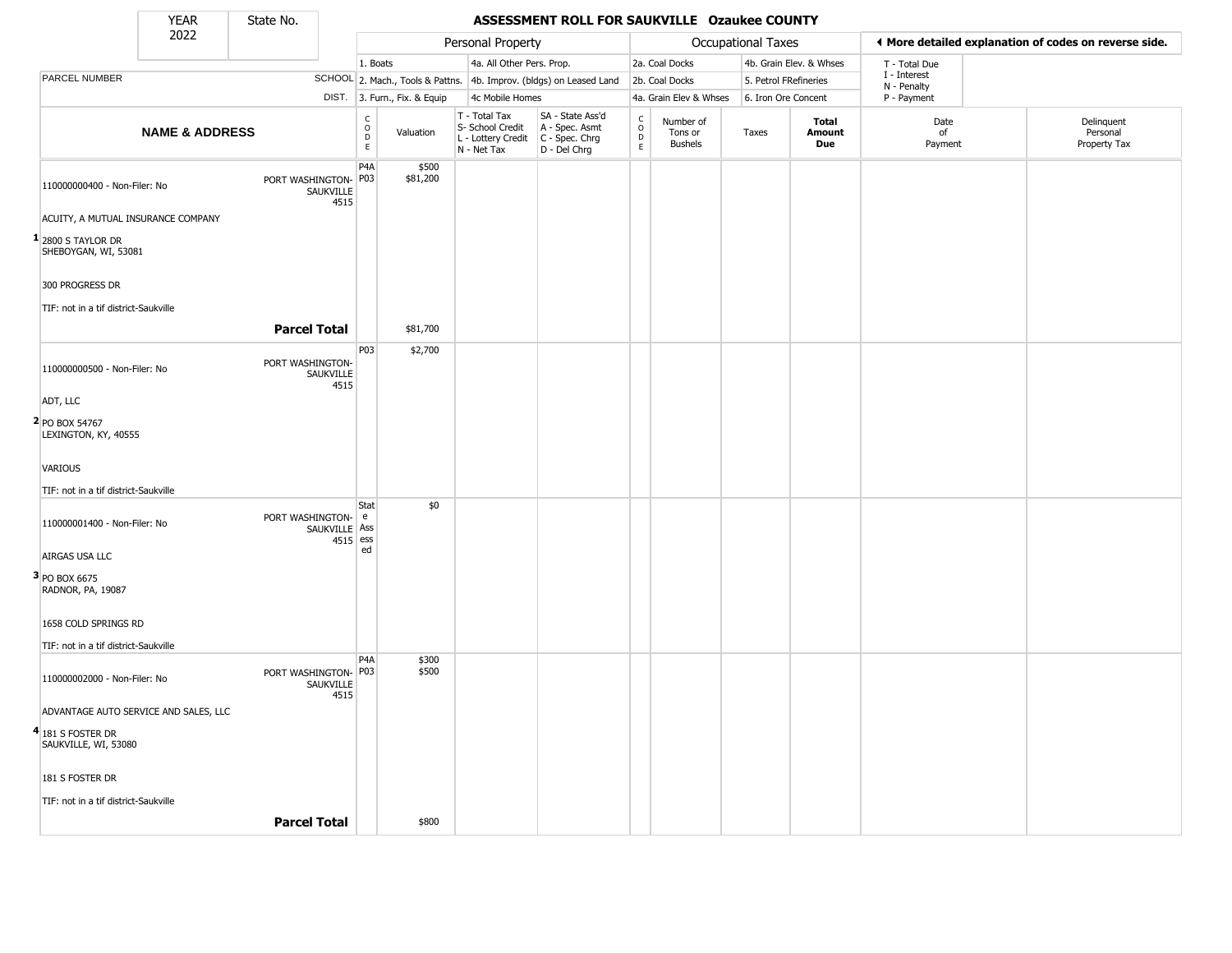State No.

т.

### YEAR **ASSESSMENT ROLL FOR SAUKVILLE Ozaukee COUNTY**

|                                              | 2022                      |                      |                             |                                                            |                              | Personal Property                                                                       |                                                                     |                                        |                                        | <b>Occupational Taxes</b> |                               |                             | ◀ More detailed explanation of codes on reverse side. |
|----------------------------------------------|---------------------------|----------------------|-----------------------------|------------------------------------------------------------|------------------------------|-----------------------------------------------------------------------------------------|---------------------------------------------------------------------|----------------------------------------|----------------------------------------|---------------------------|-------------------------------|-----------------------------|-------------------------------------------------------|
|                                              |                           |                      |                             | 1. Boats                                                   |                              | 4a. All Other Pers. Prop.                                                               |                                                                     |                                        | 2a. Coal Docks                         |                           | 4b. Grain Elev. & Whses       | T - Total Due               |                                                       |
| PARCEL NUMBER                                |                           |                      |                             |                                                            |                              |                                                                                         | SCHOOL 2. Mach., Tools & Pattns. 4b. Improv. (bldgs) on Leased Land |                                        | 2b. Coal Docks                         | 5. Petrol FRefineries     |                               | I - Interest<br>N - Penalty |                                                       |
|                                              |                           |                      |                             |                                                            | DIST. 3. Furn., Fix. & Equip | 4c Mobile Homes                                                                         |                                                                     |                                        | 4a. Grain Elev & Whses                 | 6. Iron Ore Concent       |                               | P - Payment                 |                                                       |
|                                              | <b>NAME &amp; ADDRESS</b> |                      |                             | $\mathsf C$<br>$\ddot{\mathbf{O}}$<br>$\overline{D}$<br>E. | Valuation                    | T - Total Tax<br>S- School Credit<br>L - Lottery Credit $C -$ Spec. Chrg<br>N - Net Tax | SA - State Ass'd<br>A - Spec. Asmt<br>D - Del Chrg                  | $_{\rm o}^{\rm c}$<br>$\mathsf D$<br>E | Number of<br>Tons or<br><b>Bushels</b> | Taxes                     | <b>Total</b><br>Amount<br>Due | Date<br>of<br>Payment       | Delinquent<br>Personal<br>Property Tax                |
| 110000000400 - Non-Filer: No                 |                           | PORT WASHINGTON- P03 | SAUKVILLE<br>4515           | P4A                                                        | \$500<br>\$81,200            |                                                                                         |                                                                     |                                        |                                        |                           |                               |                             |                                                       |
| ACUITY, A MUTUAL INSURANCE COMPANY           |                           |                      |                             |                                                            |                              |                                                                                         |                                                                     |                                        |                                        |                           |                               |                             |                                                       |
| $1$ 2800 S TAYLOR DR<br>SHEBOYGAN, WI, 53081 |                           |                      |                             |                                                            |                              |                                                                                         |                                                                     |                                        |                                        |                           |                               |                             |                                                       |
| 300 PROGRESS DR                              |                           |                      |                             |                                                            |                              |                                                                                         |                                                                     |                                        |                                        |                           |                               |                             |                                                       |
| TIF: not in a tif district-Saukville         |                           |                      |                             |                                                            |                              |                                                                                         |                                                                     |                                        |                                        |                           |                               |                             |                                                       |
|                                              |                           | <b>Parcel Total</b>  |                             |                                                            | \$81,700                     |                                                                                         |                                                                     |                                        |                                        |                           |                               |                             |                                                       |
| 110000000500 - Non-Filer: No                 |                           | PORT WASHINGTON-     | SAUKVILLE<br>4515           | P03                                                        | \$2,700                      |                                                                                         |                                                                     |                                        |                                        |                           |                               |                             |                                                       |
| ADT, LLC                                     |                           |                      |                             |                                                            |                              |                                                                                         |                                                                     |                                        |                                        |                           |                               |                             |                                                       |
| 2 PO BOX 54767<br>LEXINGTON, KY, 40555       |                           |                      |                             |                                                            |                              |                                                                                         |                                                                     |                                        |                                        |                           |                               |                             |                                                       |
| VARIOUS                                      |                           |                      |                             |                                                            |                              |                                                                                         |                                                                     |                                        |                                        |                           |                               |                             |                                                       |
| TIF: not in a tif district-Saukville         |                           |                      |                             |                                                            |                              |                                                                                         |                                                                     |                                        |                                        |                           |                               |                             |                                                       |
| 110000001400 - Non-Filer: No                 |                           | PORT WASHINGTON- e   | SAUKVILLE Ass<br>$4515$ ess | Stat                                                       | \$0                          |                                                                                         |                                                                     |                                        |                                        |                           |                               |                             |                                                       |
| AIRGAS USA LLC                               |                           |                      |                             | ed                                                         |                              |                                                                                         |                                                                     |                                        |                                        |                           |                               |                             |                                                       |
| 3 PO BOX 6675<br>RADNOR, PA, 19087           |                           |                      |                             |                                                            |                              |                                                                                         |                                                                     |                                        |                                        |                           |                               |                             |                                                       |
| 1658 COLD SPRINGS RD                         |                           |                      |                             |                                                            |                              |                                                                                         |                                                                     |                                        |                                        |                           |                               |                             |                                                       |
| TIF: not in a tif district-Saukville         |                           |                      |                             |                                                            |                              |                                                                                         |                                                                     |                                        |                                        |                           |                               |                             |                                                       |
| 110000002000 - Non-Filer: No                 |                           | PORT WASHINGTON- P03 | SAUKVILLE<br>4515           | P <sub>4</sub> A                                           | \$300<br>\$500               |                                                                                         |                                                                     |                                        |                                        |                           |                               |                             |                                                       |
| ADVANTAGE AUTO SERVICE AND SALES, LLC        |                           |                      |                             |                                                            |                              |                                                                                         |                                                                     |                                        |                                        |                           |                               |                             |                                                       |
| $4$ 181 S FOSTER DR<br>SAUKVILLE, WI, 53080  |                           |                      |                             |                                                            |                              |                                                                                         |                                                                     |                                        |                                        |                           |                               |                             |                                                       |
| 181 S FOSTER DR                              |                           |                      |                             |                                                            |                              |                                                                                         |                                                                     |                                        |                                        |                           |                               |                             |                                                       |
| TIF: not in a tif district-Saukville         |                           |                      |                             |                                                            |                              |                                                                                         |                                                                     |                                        |                                        |                           |                               |                             |                                                       |
|                                              |                           | <b>Parcel Total</b>  |                             |                                                            | \$800                        |                                                                                         |                                                                     |                                        |                                        |                           |                               |                             |                                                       |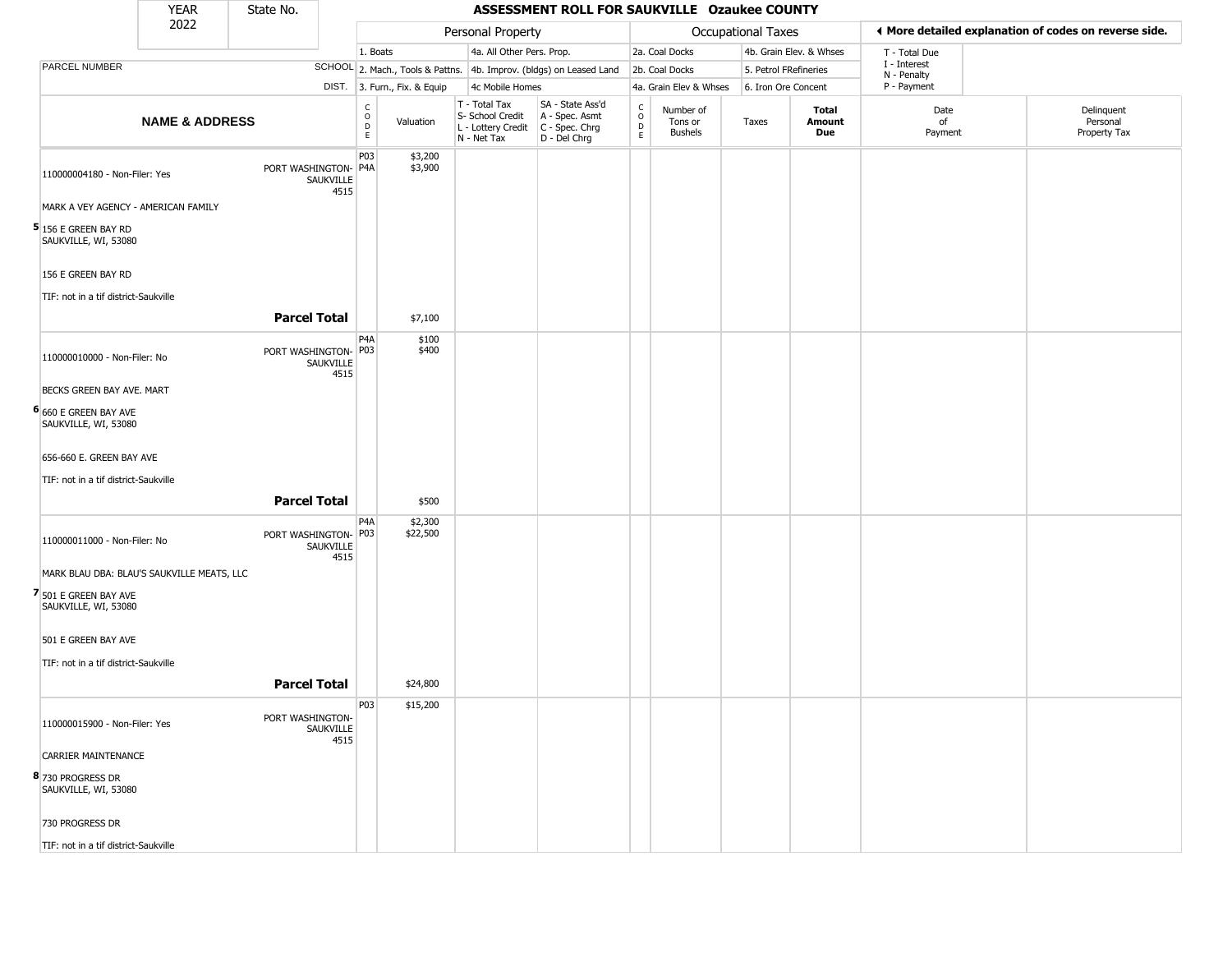|                                                | YEAR                      | State No. |                                           |                                                                    |                                  |                                                                        | ASSESSMENT ROLL FOR SAUKVILLE Ozaukee COUNTY                         |                                           |                                        |                           |                         |                             |                                                       |
|------------------------------------------------|---------------------------|-----------|-------------------------------------------|--------------------------------------------------------------------|----------------------------------|------------------------------------------------------------------------|----------------------------------------------------------------------|-------------------------------------------|----------------------------------------|---------------------------|-------------------------|-----------------------------|-------------------------------------------------------|
|                                                | 2022                      |           |                                           |                                                                    |                                  | Personal Property                                                      |                                                                      |                                           |                                        | <b>Occupational Taxes</b> |                         |                             | I More detailed explanation of codes on reverse side. |
|                                                |                           |           |                                           | 1. Boats                                                           |                                  | 4a. All Other Pers. Prop.                                              |                                                                      |                                           | 2a. Coal Docks                         |                           | 4b. Grain Elev. & Whses | T - Total Due               |                                                       |
| PARCEL NUMBER                                  |                           |           |                                           |                                                                    | SCHOOL 2. Mach., Tools & Pattns. |                                                                        | 4b. Improv. (bldgs) on Leased Land                                   |                                           | 2b. Coal Docks                         |                           | 5. Petrol FRefineries   | I - Interest<br>N - Penalty |                                                       |
|                                                |                           |           |                                           |                                                                    | DIST. 3. Furn., Fix. & Equip     | 4c Mobile Homes                                                        |                                                                      |                                           | 4a. Grain Elev & Whses                 |                           | 6. Iron Ore Concent     | P - Payment                 |                                                       |
|                                                | <b>NAME &amp; ADDRESS</b> |           |                                           | $\begin{smallmatrix} 0 \\ 0 \\ D \end{smallmatrix}$<br>$\mathsf E$ | Valuation                        | T - Total Tax<br>S- School Credit<br>L - Lottery Credit<br>N - Net Tax | SA - State Ass'd<br>A - Spec. Asmt<br>C - Spec. Chrg<br>D - Del Chrg | $\rm ^c_o$<br>$\mathsf{D}$<br>$\mathsf E$ | Number of<br>Tons or<br><b>Bushels</b> | Taxes                     | Total<br>Amount<br>Due  | Date<br>of<br>Payment       | Delinquent<br>Personal<br>Property Tax                |
| 110000004180 - Non-Filer: Yes                  |                           |           | PORT WASHINGTON-P4A<br>SAUKVILLE<br>4515  | P03                                                                | \$3,200<br>\$3,900               |                                                                        |                                                                      |                                           |                                        |                           |                         |                             |                                                       |
| MARK A VEY AGENCY - AMERICAN FAMILY            |                           |           |                                           |                                                                    |                                  |                                                                        |                                                                      |                                           |                                        |                           |                         |                             |                                                       |
| $5$ 156 E GREEN BAY RD<br>SAUKVILLE, WI, 53080 |                           |           |                                           |                                                                    |                                  |                                                                        |                                                                      |                                           |                                        |                           |                         |                             |                                                       |
| 156 E GREEN BAY RD                             |                           |           |                                           |                                                                    |                                  |                                                                        |                                                                      |                                           |                                        |                           |                         |                             |                                                       |
|                                                |                           |           |                                           |                                                                    |                                  |                                                                        |                                                                      |                                           |                                        |                           |                         |                             |                                                       |
| TIF: not in a tif district-Saukville           |                           |           |                                           |                                                                    |                                  |                                                                        |                                                                      |                                           |                                        |                           |                         |                             |                                                       |
|                                                |                           |           | <b>Parcel Total</b>                       |                                                                    | \$7,100                          |                                                                        |                                                                      |                                           |                                        |                           |                         |                             |                                                       |
| 110000010000 - Non-Filer: No                   |                           |           | PORT WASHINGTON- P03<br>SAUKVILLE<br>4515 | P <sub>4</sub> A                                                   | \$100<br>\$400                   |                                                                        |                                                                      |                                           |                                        |                           |                         |                             |                                                       |
| BECKS GREEN BAY AVE. MART                      |                           |           |                                           |                                                                    |                                  |                                                                        |                                                                      |                                           |                                        |                           |                         |                             |                                                       |
| 6 660 E GREEN BAY AVE<br>SAUKVILLE, WI, 53080  |                           |           |                                           |                                                                    |                                  |                                                                        |                                                                      |                                           |                                        |                           |                         |                             |                                                       |
| 656-660 E. GREEN BAY AVE                       |                           |           |                                           |                                                                    |                                  |                                                                        |                                                                      |                                           |                                        |                           |                         |                             |                                                       |
| TIF: not in a tif district-Saukville           |                           |           |                                           |                                                                    |                                  |                                                                        |                                                                      |                                           |                                        |                           |                         |                             |                                                       |
|                                                |                           |           | <b>Parcel Total</b>                       |                                                                    | \$500                            |                                                                        |                                                                      |                                           |                                        |                           |                         |                             |                                                       |
|                                                |                           |           |                                           |                                                                    |                                  |                                                                        |                                                                      |                                           |                                        |                           |                         |                             |                                                       |
| 110000011000 - Non-Filer: No                   |                           |           | PORT WASHINGTON- P03<br>SAUKVILLE<br>4515 | P4A                                                                | \$2,300<br>\$22,500              |                                                                        |                                                                      |                                           |                                        |                           |                         |                             |                                                       |
| MARK BLAU DBA: BLAU'S SAUKVILLE MEATS, LLC     |                           |           |                                           |                                                                    |                                  |                                                                        |                                                                      |                                           |                                        |                           |                         |                             |                                                       |
| 7 501 E GREEN BAY AVE<br>SAUKVILLE, WI, 53080  |                           |           |                                           |                                                                    |                                  |                                                                        |                                                                      |                                           |                                        |                           |                         |                             |                                                       |
| 501 E GREEN BAY AVE                            |                           |           |                                           |                                                                    |                                  |                                                                        |                                                                      |                                           |                                        |                           |                         |                             |                                                       |
| TIF: not in a tif district-Saukville           |                           |           |                                           |                                                                    |                                  |                                                                        |                                                                      |                                           |                                        |                           |                         |                             |                                                       |
|                                                |                           |           | <b>Parcel Total</b>                       |                                                                    | \$24,800                         |                                                                        |                                                                      |                                           |                                        |                           |                         |                             |                                                       |
|                                                |                           |           |                                           |                                                                    |                                  |                                                                        |                                                                      |                                           |                                        |                           |                         |                             |                                                       |
| 110000015900 - Non-Filer: Yes                  |                           |           | PORT WASHINGTON-<br>SAUKVILLE<br>4515     | P03                                                                | \$15,200                         |                                                                        |                                                                      |                                           |                                        |                           |                         |                             |                                                       |
| <b>CARRIER MAINTENANCE</b>                     |                           |           |                                           |                                                                    |                                  |                                                                        |                                                                      |                                           |                                        |                           |                         |                             |                                                       |
| 8 730 PROGRESS DR<br>SAUKVILLE, WI, 53080      |                           |           |                                           |                                                                    |                                  |                                                                        |                                                                      |                                           |                                        |                           |                         |                             |                                                       |
| 730 PROGRESS DR                                |                           |           |                                           |                                                                    |                                  |                                                                        |                                                                      |                                           |                                        |                           |                         |                             |                                                       |
| TIF: not in a tif district-Saukville           |                           |           |                                           |                                                                    |                                  |                                                                        |                                                                      |                                           |                                        |                           |                         |                             |                                                       |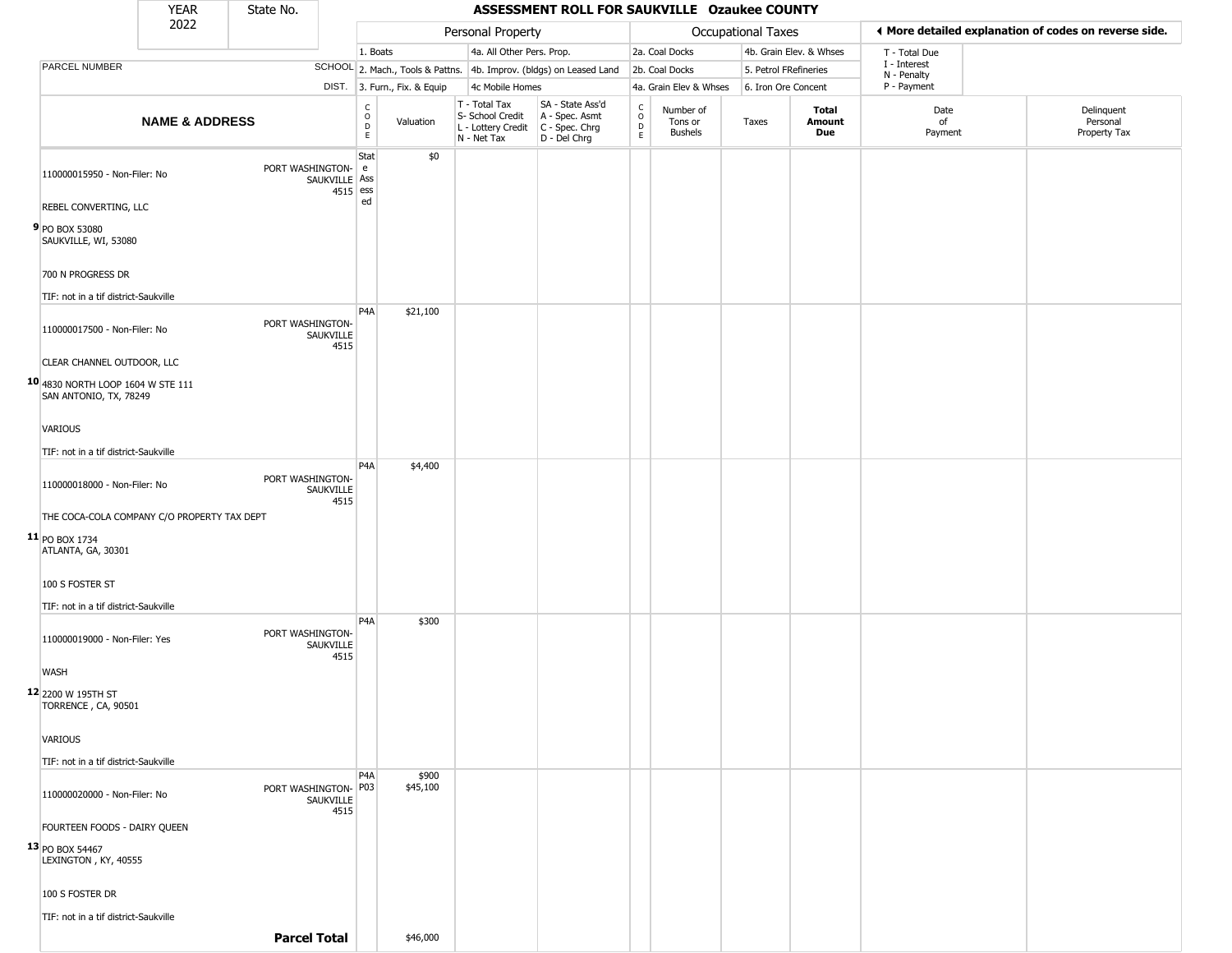|                                                             | YEAR                      | State No.            |                           |                                        |                              |                                                                                       | ASSESSMENT ROLL FOR SAUKVILLE Ozaukee COUNTY                        |                                    |                                        |                       |                         |                             |                                                       |
|-------------------------------------------------------------|---------------------------|----------------------|---------------------------|----------------------------------------|------------------------------|---------------------------------------------------------------------------------------|---------------------------------------------------------------------|------------------------------------|----------------------------------------|-----------------------|-------------------------|-----------------------------|-------------------------------------------------------|
|                                                             | 2022                      |                      |                           |                                        |                              | Personal Property                                                                     |                                                                     |                                    |                                        | Occupational Taxes    |                         |                             | ♦ More detailed explanation of codes on reverse side. |
|                                                             |                           |                      |                           | 1. Boats                               |                              | 4a. All Other Pers. Prop.                                                             |                                                                     |                                    | 2a. Coal Docks                         |                       | 4b. Grain Elev. & Whses | T - Total Due               |                                                       |
| PARCEL NUMBER                                               |                           |                      |                           |                                        |                              |                                                                                       | SCHOOL 2. Mach., Tools & Pattns. 4b. Improv. (bldgs) on Leased Land |                                    | 2b. Coal Docks                         | 5. Petrol FRefineries |                         | I - Interest<br>N - Penalty |                                                       |
|                                                             |                           |                      |                           |                                        | DIST. 3. Furn., Fix. & Equip | 4c Mobile Homes                                                                       |                                                                     |                                    | 4a. Grain Elev & Whses                 | 6. Iron Ore Concent   |                         | P - Payment                 |                                                       |
|                                                             | <b>NAME &amp; ADDRESS</b> |                      |                           | $_{\rm o}^{\rm c}$<br>$\mathsf D$<br>E | Valuation                    | T - Total Tax<br>S- School Credit<br>L - Lottery Credit C - Spec. Chrg<br>N - Net Tax | SA - State Ass'd<br>A - Spec. Asmt<br>D - Del Chrg                  | $\mathsf{C}$<br>$\circ$<br>D<br>E. | Number of<br>Tons or<br><b>Bushels</b> | Taxes                 | Total<br>Amount<br>Due  | Date<br>of<br>Payment       | Delinquent<br>Personal<br>Property Tax                |
| 110000015950 - Non-Filer: No                                |                           | PORT WASHINGTON-     | SAUKVILLE Ass<br>4515 ess | Stat<br>e                              | \$0                          |                                                                                       |                                                                     |                                    |                                        |                       |                         |                             |                                                       |
| REBEL CONVERTING, LLC                                       |                           |                      |                           | ed                                     |                              |                                                                                       |                                                                     |                                    |                                        |                       |                         |                             |                                                       |
| 9 PO BOX 53080<br>SAUKVILLE, WI, 53080                      |                           |                      |                           |                                        |                              |                                                                                       |                                                                     |                                    |                                        |                       |                         |                             |                                                       |
| 700 N PROGRESS DR                                           |                           |                      |                           |                                        |                              |                                                                                       |                                                                     |                                    |                                        |                       |                         |                             |                                                       |
| TIF: not in a tif district-Saukville                        |                           |                      |                           |                                        |                              |                                                                                       |                                                                     |                                    |                                        |                       |                         |                             |                                                       |
| 110000017500 - Non-Filer: No                                |                           | PORT WASHINGTON-     | SAUKVILLE<br>4515         | P <sub>4</sub> A                       | \$21,100                     |                                                                                       |                                                                     |                                    |                                        |                       |                         |                             |                                                       |
| CLEAR CHANNEL OUTDOOR, LLC                                  |                           |                      |                           |                                        |                              |                                                                                       |                                                                     |                                    |                                        |                       |                         |                             |                                                       |
| 10 4830 NORTH LOOP 1604 W STE 111<br>SAN ANTONIO, TX, 78249 |                           |                      |                           |                                        |                              |                                                                                       |                                                                     |                                    |                                        |                       |                         |                             |                                                       |
| VARIOUS                                                     |                           |                      |                           |                                        |                              |                                                                                       |                                                                     |                                    |                                        |                       |                         |                             |                                                       |
| TIF: not in a tif district-Saukville                        |                           |                      |                           |                                        |                              |                                                                                       |                                                                     |                                    |                                        |                       |                         |                             |                                                       |
| 110000018000 - Non-Filer: No                                |                           | PORT WASHINGTON-     | SAUKVILLE<br>4515         | P <sub>4</sub> A                       | \$4,400                      |                                                                                       |                                                                     |                                    |                                        |                       |                         |                             |                                                       |
| THE COCA-COLA COMPANY C/O PROPERTY TAX DEPT                 |                           |                      |                           |                                        |                              |                                                                                       |                                                                     |                                    |                                        |                       |                         |                             |                                                       |
| $11$ PO BOX 1734<br>ATLANTA, GA, 30301                      |                           |                      |                           |                                        |                              |                                                                                       |                                                                     |                                    |                                        |                       |                         |                             |                                                       |
| 100 S FOSTER ST                                             |                           |                      |                           |                                        |                              |                                                                                       |                                                                     |                                    |                                        |                       |                         |                             |                                                       |
| TIF: not in a tif district-Saukville                        |                           |                      |                           |                                        |                              |                                                                                       |                                                                     |                                    |                                        |                       |                         |                             |                                                       |
| 110000019000 - Non-Filer: Yes                               |                           | PORT WASHINGTON-     | SAUKVILLE<br>4515         | P <sub>4</sub> A                       | \$300                        |                                                                                       |                                                                     |                                    |                                        |                       |                         |                             |                                                       |
| <b>WASH</b>                                                 |                           |                      |                           |                                        |                              |                                                                                       |                                                                     |                                    |                                        |                       |                         |                             |                                                       |
| 12 2200 W 195TH ST<br>TORRENCE, CA, 90501                   |                           |                      |                           |                                        |                              |                                                                                       |                                                                     |                                    |                                        |                       |                         |                             |                                                       |
| <b>VARIOUS</b>                                              |                           |                      |                           |                                        |                              |                                                                                       |                                                                     |                                    |                                        |                       |                         |                             |                                                       |
| TIF: not in a tif district-Saukville                        |                           |                      |                           |                                        |                              |                                                                                       |                                                                     |                                    |                                        |                       |                         |                             |                                                       |
| 110000020000 - Non-Filer: No                                |                           | PORT WASHINGTON- P03 | SAUKVILLE<br>4515         | P <sub>4</sub> A                       | \$900<br>\$45,100            |                                                                                       |                                                                     |                                    |                                        |                       |                         |                             |                                                       |
| FOURTEEN FOODS - DAIRY QUEEN                                |                           |                      |                           |                                        |                              |                                                                                       |                                                                     |                                    |                                        |                       |                         |                             |                                                       |
| 13 PO BOX 54467<br>LEXINGTON, KY, 40555                     |                           |                      |                           |                                        |                              |                                                                                       |                                                                     |                                    |                                        |                       |                         |                             |                                                       |
| 100 S FOSTER DR                                             |                           |                      |                           |                                        |                              |                                                                                       |                                                                     |                                    |                                        |                       |                         |                             |                                                       |
| TIF: not in a tif district-Saukville                        |                           |                      |                           |                                        |                              |                                                                                       |                                                                     |                                    |                                        |                       |                         |                             |                                                       |
|                                                             |                           | <b>Parcel Total</b>  |                           |                                        | \$46,000                     |                                                                                       |                                                                     |                                    |                                        |                       |                         |                             |                                                       |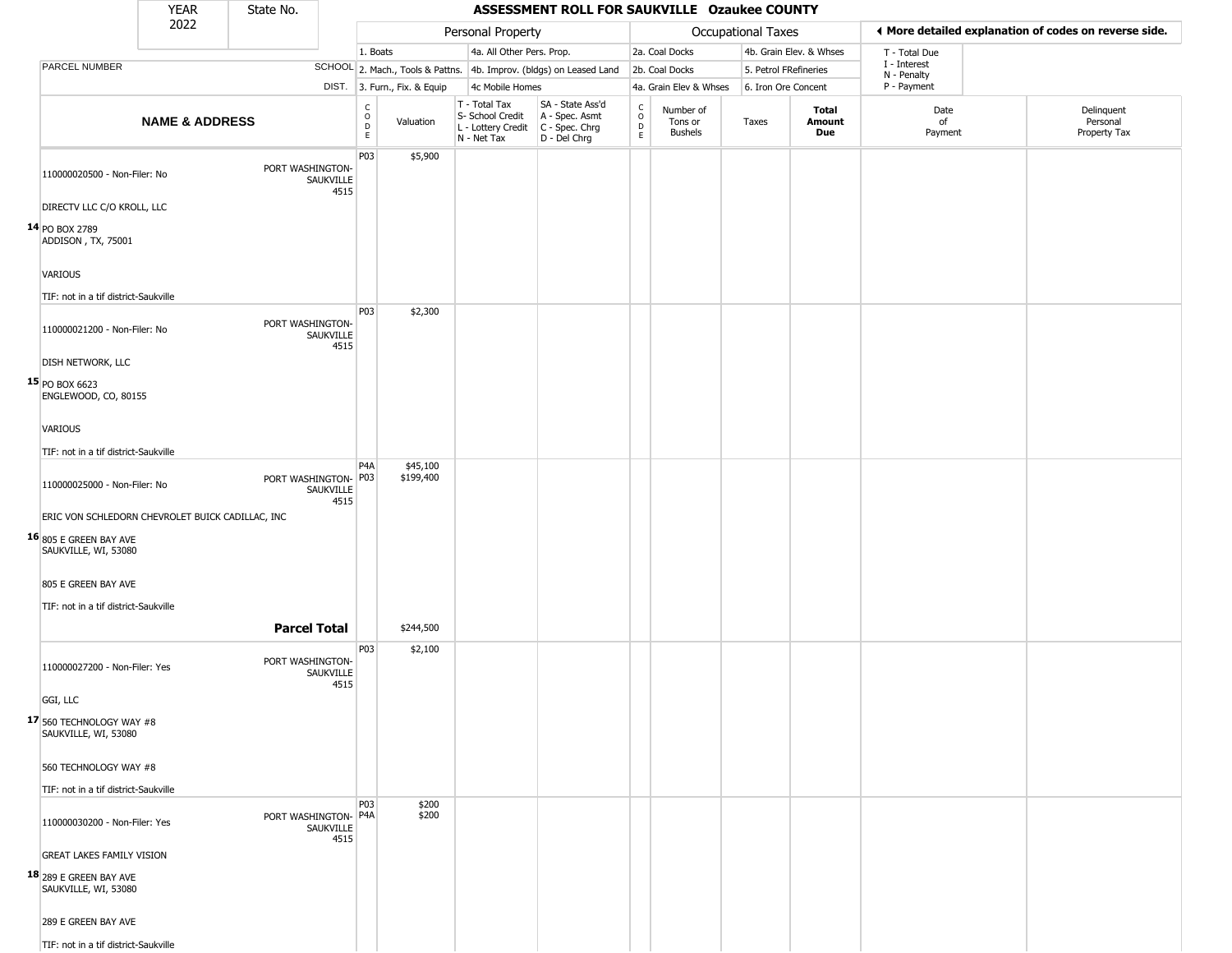|                                                         | <b>YEAR</b>               | State No.            |                   |                                              |                              |                                                                                         | ASSESSMENT ROLL FOR SAUKVILLE Ozaukee COUNTY                        |                                                          |                                        |                           |                         |                             |                                                       |
|---------------------------------------------------------|---------------------------|----------------------|-------------------|----------------------------------------------|------------------------------|-----------------------------------------------------------------------------------------|---------------------------------------------------------------------|----------------------------------------------------------|----------------------------------------|---------------------------|-------------------------|-----------------------------|-------------------------------------------------------|
|                                                         | 2022                      |                      |                   |                                              |                              | Personal Property                                                                       |                                                                     |                                                          |                                        | <b>Occupational Taxes</b> |                         |                             | ◀ More detailed explanation of codes on reverse side. |
|                                                         |                           |                      |                   | 1. Boats                                     |                              | 4a. All Other Pers. Prop.                                                               |                                                                     |                                                          | 2a. Coal Docks                         |                           | 4b. Grain Elev. & Whses | T - Total Due               |                                                       |
| PARCEL NUMBER                                           |                           |                      |                   |                                              |                              |                                                                                         | SCHOOL 2. Mach., Tools & Pattns. 4b. Improv. (bldgs) on Leased Land |                                                          | 2b. Coal Docks                         | 5. Petrol FRefineries     |                         | I - Interest<br>N - Penalty |                                                       |
|                                                         |                           |                      |                   |                                              | DIST. 3. Furn., Fix. & Equip | 4c Mobile Homes                                                                         |                                                                     |                                                          | 4a. Grain Elev & Whses                 | 6. Iron Ore Concent       |                         | P - Payment                 |                                                       |
|                                                         | <b>NAME &amp; ADDRESS</b> |                      |                   | $\begin{array}{c}\nC \\ O \\ D\n\end{array}$ | Valuation                    | T - Total Tax<br>S- School Credit<br>L - Lottery Credit   C - Spec. Chrg<br>N - Net Tax | SA - State Ass'd<br>A - Spec. Asmt<br>D - Del Chrg                  | $\begin{smallmatrix} C \\ O \\ D \end{smallmatrix}$<br>E | Number of<br>Tons or<br><b>Bushels</b> | Taxes                     | Total<br>Amount<br>Due  | Date<br>of<br>Payment       | Delinquent<br>Personal<br>Property Tax                |
| 110000020500 - Non-Filer: No                            |                           | PORT WASHINGTON-     | SAUKVILLE<br>4515 | P03                                          | \$5,900                      |                                                                                         |                                                                     |                                                          |                                        |                           |                         |                             |                                                       |
| DIRECTV LLC C/O KROLL, LLC                              |                           |                      |                   |                                              |                              |                                                                                         |                                                                     |                                                          |                                        |                           |                         |                             |                                                       |
| $14$ PO BOX 2789<br>ADDISON, TX, 75001                  |                           |                      |                   |                                              |                              |                                                                                         |                                                                     |                                                          |                                        |                           |                         |                             |                                                       |
| <b>VARIOUS</b>                                          |                           |                      |                   |                                              |                              |                                                                                         |                                                                     |                                                          |                                        |                           |                         |                             |                                                       |
| TIF: not in a tif district-Saukville                    |                           |                      |                   |                                              |                              |                                                                                         |                                                                     |                                                          |                                        |                           |                         |                             |                                                       |
| 110000021200 - Non-Filer: No                            |                           | PORT WASHINGTON-     | SAUKVILLE<br>4515 | <b>P03</b>                                   | \$2,300                      |                                                                                         |                                                                     |                                                          |                                        |                           |                         |                             |                                                       |
| <b>DISH NETWORK, LLC</b>                                |                           |                      |                   |                                              |                              |                                                                                         |                                                                     |                                                          |                                        |                           |                         |                             |                                                       |
| 15 PO BOX 6623<br>ENGLEWOOD, CO, 80155                  |                           |                      |                   |                                              |                              |                                                                                         |                                                                     |                                                          |                                        |                           |                         |                             |                                                       |
| VARIOUS                                                 |                           |                      |                   |                                              |                              |                                                                                         |                                                                     |                                                          |                                        |                           |                         |                             |                                                       |
| TIF: not in a tif district-Saukville                    |                           |                      |                   |                                              |                              |                                                                                         |                                                                     |                                                          |                                        |                           |                         |                             |                                                       |
|                                                         |                           |                      |                   | P <sub>4</sub> A                             | \$45,100                     |                                                                                         |                                                                     |                                                          |                                        |                           |                         |                             |                                                       |
| 110000025000 - Non-Filer: No                            |                           | PORT WASHINGTON- P03 | SAUKVILLE<br>4515 |                                              | \$199,400                    |                                                                                         |                                                                     |                                                          |                                        |                           |                         |                             |                                                       |
| ERIC VON SCHLEDORN CHEVROLET BUICK CADILLAC, INC        |                           |                      |                   |                                              |                              |                                                                                         |                                                                     |                                                          |                                        |                           |                         |                             |                                                       |
| $16_{\mid 805}$ E GREEN BAY AVE<br>SAUKVILLE, WI, 53080 |                           |                      |                   |                                              |                              |                                                                                         |                                                                     |                                                          |                                        |                           |                         |                             |                                                       |
| 805 E GREEN BAY AVE                                     |                           |                      |                   |                                              |                              |                                                                                         |                                                                     |                                                          |                                        |                           |                         |                             |                                                       |
| TIF: not in a tif district-Saukville                    |                           |                      |                   |                                              |                              |                                                                                         |                                                                     |                                                          |                                        |                           |                         |                             |                                                       |
|                                                         |                           | <b>Parcel Total</b>  |                   |                                              | \$244,500                    |                                                                                         |                                                                     |                                                          |                                        |                           |                         |                             |                                                       |
| 110000027200 - Non-Filer: Yes                           |                           | PORT WASHINGTON-     | SAUKVILLE<br>4515 | P03                                          | \$2,100                      |                                                                                         |                                                                     |                                                          |                                        |                           |                         |                             |                                                       |
| GGI, LLC                                                |                           |                      |                   |                                              |                              |                                                                                         |                                                                     |                                                          |                                        |                           |                         |                             |                                                       |
| $17$ 560 TECHNOLOGY WAY #8<br>SAUKVILLE, WI, 53080      |                           |                      |                   |                                              |                              |                                                                                         |                                                                     |                                                          |                                        |                           |                         |                             |                                                       |
| 560 TECHNOLOGY WAY #8                                   |                           |                      |                   |                                              |                              |                                                                                         |                                                                     |                                                          |                                        |                           |                         |                             |                                                       |
| TIF: not in a tif district-Saukville                    |                           |                      |                   | <b>P03</b>                                   |                              |                                                                                         |                                                                     |                                                          |                                        |                           |                         |                             |                                                       |
| 110000030200 - Non-Filer: Yes                           |                           | PORT WASHINGTON- P4A | SAUKVILLE<br>4515 |                                              | \$200<br>\$200               |                                                                                         |                                                                     |                                                          |                                        |                           |                         |                             |                                                       |
| <b>GREAT LAKES FAMILY VISION</b>                        |                           |                      |                   |                                              |                              |                                                                                         |                                                                     |                                                          |                                        |                           |                         |                             |                                                       |
| <b>18</b> 289 E GREEN BAY AVE<br>SAUKVILLE, WI, 53080   |                           |                      |                   |                                              |                              |                                                                                         |                                                                     |                                                          |                                        |                           |                         |                             |                                                       |
| 289 E GREEN BAY AVE                                     |                           |                      |                   |                                              |                              |                                                                                         |                                                                     |                                                          |                                        |                           |                         |                             |                                                       |
| TIF: not in a tif district-Saukville                    |                           |                      |                   |                                              |                              |                                                                                         |                                                                     |                                                          |                                        |                           |                         |                             |                                                       |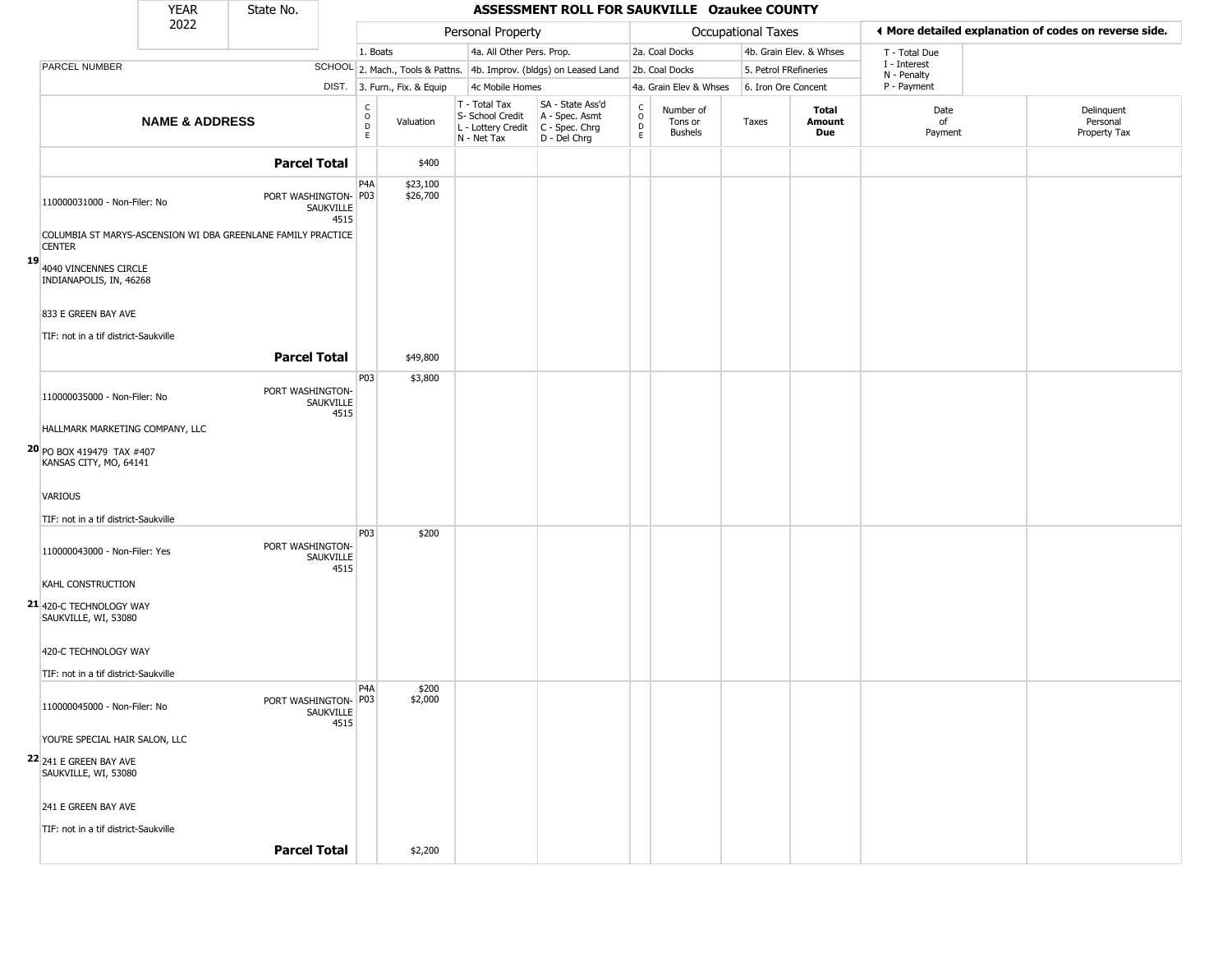|    |                                                     | <b>YEAR</b>               | State No.                                                    |                   |                                |                                  |                                                                        | ASSESSMENT ROLL FOR SAUKVILLE Ozaukee COUNTY                         |                                                          |                                        |                           |                         |                             |                                                       |
|----|-----------------------------------------------------|---------------------------|--------------------------------------------------------------|-------------------|--------------------------------|----------------------------------|------------------------------------------------------------------------|----------------------------------------------------------------------|----------------------------------------------------------|----------------------------------------|---------------------------|-------------------------|-----------------------------|-------------------------------------------------------|
|    |                                                     | 2022                      |                                                              |                   |                                |                                  | Personal Property                                                      |                                                                      |                                                          |                                        | <b>Occupational Taxes</b> |                         |                             | ♦ More detailed explanation of codes on reverse side. |
|    |                                                     |                           |                                                              |                   | 1. Boats                       |                                  | 4a. All Other Pers. Prop.                                              |                                                                      |                                                          | 2a. Coal Docks                         |                           | 4b. Grain Elev. & Whses | T - Total Due               |                                                       |
|    | PARCEL NUMBER                                       |                           |                                                              |                   |                                | SCHOOL 2. Mach., Tools & Pattns. |                                                                        | 4b. Improv. (bldgs) on Leased Land                                   |                                                          | 2b. Coal Docks                         |                           | 5. Petrol FRefineries   | I - Interest<br>N - Penalty |                                                       |
|    |                                                     |                           |                                                              |                   |                                | DIST. 3. Furn., Fix. & Equip     | 4c Mobile Homes                                                        |                                                                      |                                                          | 4a. Grain Elev & Whses                 |                           | 6. Iron Ore Concent     | P - Payment                 |                                                       |
|    |                                                     | <b>NAME &amp; ADDRESS</b> |                                                              |                   | $\rm _o^C$<br>$\mathsf D$<br>E | Valuation                        | T - Total Tax<br>S- School Credit<br>L - Lottery Credit<br>N - Net Tax | SA - State Ass'd<br>A - Spec. Asmt<br>C - Spec. Chrg<br>D - Del Chrg | $\begin{matrix} 0 \\ 0 \\ D \end{matrix}$<br>$\mathsf E$ | Number of<br>Tons or<br><b>Bushels</b> | Taxes                     | Total<br>Amount<br>Due  | Date<br>of<br>Payment       | Delinquent<br>Personal<br>Property Tax                |
|    |                                                     |                           | <b>Parcel Total</b>                                          |                   |                                | \$400                            |                                                                        |                                                                      |                                                          |                                        |                           |                         |                             |                                                       |
|    | 110000031000 - Non-Filer: No                        |                           | PORT WASHINGTON- P03                                         | SAUKVILLE<br>4515 | P <sub>4</sub> A               | \$23,100<br>\$26,700             |                                                                        |                                                                      |                                                          |                                        |                           |                         |                             |                                                       |
| 19 | <b>CENTER</b>                                       |                           | COLUMBIA ST MARYS-ASCENSION WI DBA GREENLANE FAMILY PRACTICE |                   |                                |                                  |                                                                        |                                                                      |                                                          |                                        |                           |                         |                             |                                                       |
|    | 4040 VINCENNES CIRCLE<br>INDIANAPOLIS, IN, 46268    |                           |                                                              |                   |                                |                                  |                                                                        |                                                                      |                                                          |                                        |                           |                         |                             |                                                       |
|    | 833 E GREEN BAY AVE                                 |                           |                                                              |                   |                                |                                  |                                                                        |                                                                      |                                                          |                                        |                           |                         |                             |                                                       |
|    | TIF: not in a tif district-Saukville                |                           | <b>Parcel Total</b>                                          |                   |                                |                                  |                                                                        |                                                                      |                                                          |                                        |                           |                         |                             |                                                       |
|    |                                                     |                           |                                                              |                   |                                | \$49,800                         |                                                                        |                                                                      |                                                          |                                        |                           |                         |                             |                                                       |
|    | 110000035000 - Non-Filer: No                        |                           | PORT WASHINGTON-                                             | SAUKVILLE<br>4515 | P03                            | \$3,800                          |                                                                        |                                                                      |                                                          |                                        |                           |                         |                             |                                                       |
|    | HALLMARK MARKETING COMPANY, LLC                     |                           |                                                              |                   |                                |                                  |                                                                        |                                                                      |                                                          |                                        |                           |                         |                             |                                                       |
|    | 20 PO BOX 419479 TAX #407<br>KANSAS CITY, MO, 64141 |                           |                                                              |                   |                                |                                  |                                                                        |                                                                      |                                                          |                                        |                           |                         |                             |                                                       |
|    | VARIOUS                                             |                           |                                                              |                   |                                |                                  |                                                                        |                                                                      |                                                          |                                        |                           |                         |                             |                                                       |
|    | TIF: not in a tif district-Saukville                |                           |                                                              |                   |                                |                                  |                                                                        |                                                                      |                                                          |                                        |                           |                         |                             |                                                       |
|    | 110000043000 - Non-Filer: Yes                       |                           | PORT WASHINGTON-                                             | SAUKVILLE<br>4515 | P03                            | \$200                            |                                                                        |                                                                      |                                                          |                                        |                           |                         |                             |                                                       |
|    | KAHL CONSTRUCTION                                   |                           |                                                              |                   |                                |                                  |                                                                        |                                                                      |                                                          |                                        |                           |                         |                             |                                                       |
|    | 21 420-C TECHNOLOGY WAY<br>SAUKVILLE, WI, 53080     |                           |                                                              |                   |                                |                                  |                                                                        |                                                                      |                                                          |                                        |                           |                         |                             |                                                       |
|    | 420-C TECHNOLOGY WAY                                |                           |                                                              |                   |                                |                                  |                                                                        |                                                                      |                                                          |                                        |                           |                         |                             |                                                       |
|    | TIF: not in a tif district-Saukville                |                           |                                                              |                   |                                |                                  |                                                                        |                                                                      |                                                          |                                        |                           |                         |                             |                                                       |
|    | 110000045000 - Non-Filer: No                        |                           | PORT WASHINGTON- P03                                         | SAUKVILLE         | P <sub>4</sub> A               | \$200<br>\$2,000                 |                                                                        |                                                                      |                                                          |                                        |                           |                         |                             |                                                       |
|    | YOU'RE SPECIAL HAIR SALON, LLC                      |                           |                                                              | 4515              |                                |                                  |                                                                        |                                                                      |                                                          |                                        |                           |                         |                             |                                                       |
|    | 22 241 E GREEN BAY AVE<br>SAUKVILLE, WI, 53080      |                           |                                                              |                   |                                |                                  |                                                                        |                                                                      |                                                          |                                        |                           |                         |                             |                                                       |
|    | 241 E GREEN BAY AVE                                 |                           |                                                              |                   |                                |                                  |                                                                        |                                                                      |                                                          |                                        |                           |                         |                             |                                                       |
|    | TIF: not in a tif district-Saukville                |                           |                                                              |                   |                                |                                  |                                                                        |                                                                      |                                                          |                                        |                           |                         |                             |                                                       |
|    |                                                     |                           | <b>Parcel Total</b>                                          |                   |                                | \$2,200                          |                                                                        |                                                                      |                                                          |                                        |                           |                         |                             |                                                       |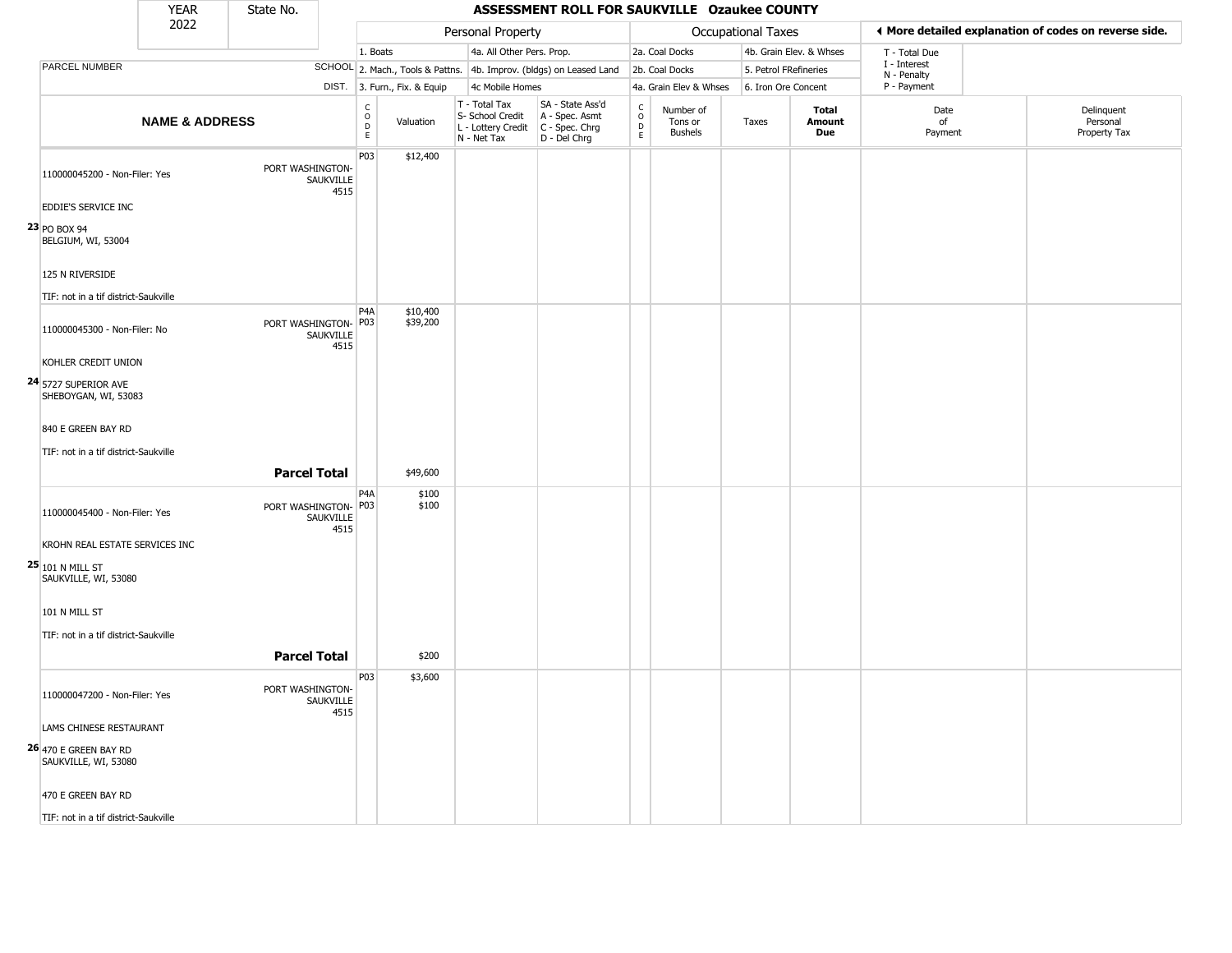|                                               | <b>YEAR</b>               | State No.            |                          |                        |                              |                                                                        | ASSESSMENT ROLL FOR SAUKVILLE Ozaukee COUNTY                         |                                  |                                        |                       |                         |                             |                                                       |
|-----------------------------------------------|---------------------------|----------------------|--------------------------|------------------------|------------------------------|------------------------------------------------------------------------|----------------------------------------------------------------------|----------------------------------|----------------------------------------|-----------------------|-------------------------|-----------------------------|-------------------------------------------------------|
|                                               | 2022                      |                      |                          |                        |                              | Personal Property                                                      |                                                                      |                                  |                                        | Occupational Taxes    |                         |                             | ♦ More detailed explanation of codes on reverse side. |
|                                               |                           |                      |                          | 1. Boats               |                              | 4a. All Other Pers. Prop.                                              |                                                                      |                                  | 2a. Coal Docks                         |                       | 4b. Grain Elev. & Whses | T - Total Due               |                                                       |
| PARCEL NUMBER                                 |                           |                      |                          |                        |                              |                                                                        | SCHOOL 2. Mach., Tools & Pattns. 4b. Improv. (bldgs) on Leased Land  |                                  | 2b. Coal Docks                         | 5. Petrol FRefineries |                         | I - Interest<br>N - Penalty |                                                       |
|                                               |                           |                      |                          |                        | DIST. 3. Furn., Fix. & Equip | 4c Mobile Homes                                                        |                                                                      |                                  | 4a. Grain Elev & Whses                 | 6. Iron Ore Concent   |                         | P - Payment                 |                                                       |
|                                               | <b>NAME &amp; ADDRESS</b> |                      |                          | C<br>$\circ$<br>D<br>E | Valuation                    | T - Total Tax<br>S- School Credit<br>L - Lottery Credit<br>N - Net Tax | SA - State Ass'd<br>A - Spec. Asmt<br>C - Spec. Chrg<br>D - Del Chrg | C<br>$\circ$<br>$\mathsf D$<br>E | Number of<br>Tons or<br><b>Bushels</b> | Taxes                 | Total<br>Amount<br>Due  | Date<br>of<br>Payment       | Delinquent<br>Personal<br>Property Tax                |
| 110000045200 - Non-Filer: Yes                 |                           | PORT WASHINGTON-     | SAUKVILLE<br>4515        | P03                    | \$12,400                     |                                                                        |                                                                      |                                  |                                        |                       |                         |                             |                                                       |
| EDDIE'S SERVICE INC                           |                           |                      |                          |                        |                              |                                                                        |                                                                      |                                  |                                        |                       |                         |                             |                                                       |
| 23 PO BOX 94<br>BELGIUM, WI, 53004            |                           |                      |                          |                        |                              |                                                                        |                                                                      |                                  |                                        |                       |                         |                             |                                                       |
| 125 N RIVERSIDE                               |                           |                      |                          |                        |                              |                                                                        |                                                                      |                                  |                                        |                       |                         |                             |                                                       |
| TIF: not in a tif district-Saukville          |                           |                      |                          |                        |                              |                                                                        |                                                                      |                                  |                                        |                       |                         |                             |                                                       |
| 110000045300 - Non-Filer: No                  |                           | PORT WASHINGTON- P03 | SAUKVILLE<br>4515        | P <sub>4</sub> A       | \$10,400<br>\$39,200         |                                                                        |                                                                      |                                  |                                        |                       |                         |                             |                                                       |
| KOHLER CREDIT UNION                           |                           |                      |                          |                        |                              |                                                                        |                                                                      |                                  |                                        |                       |                         |                             |                                                       |
| 24 5727 SUPERIOR AVE<br>SHEBOYGAN, WI, 53083  |                           |                      |                          |                        |                              |                                                                        |                                                                      |                                  |                                        |                       |                         |                             |                                                       |
| 840 E GREEN BAY RD                            |                           |                      |                          |                        |                              |                                                                        |                                                                      |                                  |                                        |                       |                         |                             |                                                       |
|                                               |                           |                      |                          |                        |                              |                                                                        |                                                                      |                                  |                                        |                       |                         |                             |                                                       |
| TIF: not in a tif district-Saukville          |                           |                      |                          |                        |                              |                                                                        |                                                                      |                                  |                                        |                       |                         |                             |                                                       |
|                                               |                           | <b>Parcel Total</b>  |                          |                        | \$49,600                     |                                                                        |                                                                      |                                  |                                        |                       |                         |                             |                                                       |
| 110000045400 - Non-Filer: Yes                 |                           | PORT WASHINGTON- P03 | SAUKVILLE<br>4515        | P4A                    | \$100<br>\$100               |                                                                        |                                                                      |                                  |                                        |                       |                         |                             |                                                       |
| KROHN REAL ESTATE SERVICES INC                |                           |                      |                          |                        |                              |                                                                        |                                                                      |                                  |                                        |                       |                         |                             |                                                       |
| $25 101$ N MILL ST<br>SAUKVILLE, WI, 53080    |                           |                      |                          |                        |                              |                                                                        |                                                                      |                                  |                                        |                       |                         |                             |                                                       |
| 101 N MILL ST                                 |                           |                      |                          |                        |                              |                                                                        |                                                                      |                                  |                                        |                       |                         |                             |                                                       |
|                                               |                           |                      |                          |                        |                              |                                                                        |                                                                      |                                  |                                        |                       |                         |                             |                                                       |
| TIF: not in a tif district-Saukville          |                           |                      |                          |                        |                              |                                                                        |                                                                      |                                  |                                        |                       |                         |                             |                                                       |
|                                               |                           | <b>Parcel Total</b>  |                          |                        | \$200                        |                                                                        |                                                                      |                                  |                                        |                       |                         |                             |                                                       |
| 110000047200 - Non-Filer: Yes                 |                           | PORT WASHINGTON-     | <b>SAUKVILLE</b><br>4515 | P03                    | \$3,600                      |                                                                        |                                                                      |                                  |                                        |                       |                         |                             |                                                       |
| LAMS CHINESE RESTAURANT                       |                           |                      |                          |                        |                              |                                                                        |                                                                      |                                  |                                        |                       |                         |                             |                                                       |
| 26 470 E GREEN BAY RD<br>SAUKVILLE, WI, 53080 |                           |                      |                          |                        |                              |                                                                        |                                                                      |                                  |                                        |                       |                         |                             |                                                       |
| 470 E GREEN BAY RD                            |                           |                      |                          |                        |                              |                                                                        |                                                                      |                                  |                                        |                       |                         |                             |                                                       |
| TIF: not in a tif district-Saukville          |                           |                      |                          |                        |                              |                                                                        |                                                                      |                                  |                                        |                       |                         |                             |                                                       |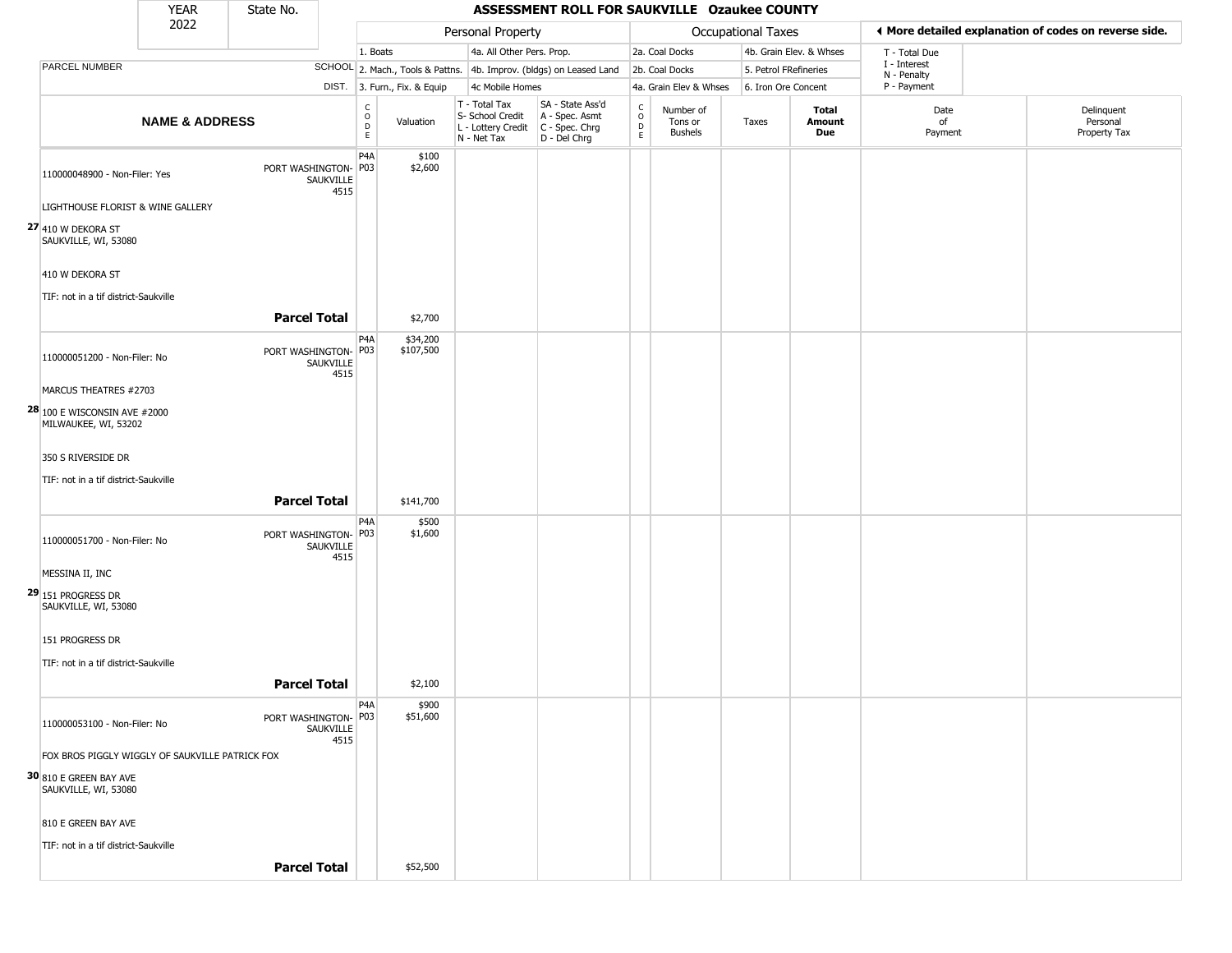|                                                             | <b>YEAR</b>               | State No.                         |                                      |                              |                                                                                         | ASSESSMENT ROLL FOR SAUKVILLE Ozaukee COUNTY                        |                                                          |                                        |                           |                         |                             |                                                       |
|-------------------------------------------------------------|---------------------------|-----------------------------------|--------------------------------------|------------------------------|-----------------------------------------------------------------------------------------|---------------------------------------------------------------------|----------------------------------------------------------|----------------------------------------|---------------------------|-------------------------|-----------------------------|-------------------------------------------------------|
|                                                             | 2022                      |                                   |                                      |                              | Personal Property                                                                       |                                                                     |                                                          |                                        | <b>Occupational Taxes</b> |                         |                             | ♦ More detailed explanation of codes on reverse side. |
|                                                             |                           |                                   |                                      | 1. Boats                     | 4a. All Other Pers. Prop.                                                               |                                                                     |                                                          | 2a. Coal Docks                         |                           | 4b. Grain Elev. & Whses | T - Total Due               |                                                       |
| <b>PARCEL NUMBER</b>                                        |                           |                                   |                                      |                              |                                                                                         | SCHOOL 2. Mach., Tools & Pattns. 4b. Improv. (bldgs) on Leased Land |                                                          | 2b. Coal Docks                         |                           | 5. Petrol FRefineries   | I - Interest<br>N - Penalty |                                                       |
|                                                             |                           |                                   |                                      | DIST. 3. Furn., Fix. & Equip | 4c Mobile Homes                                                                         |                                                                     |                                                          | 4a. Grain Elev & Whses                 |                           | 6. Iron Ore Concent     | P - Payment                 |                                                       |
|                                                             | <b>NAME &amp; ADDRESS</b> |                                   | C<br>$\mathsf O$<br>D<br>$\mathsf E$ | Valuation                    | T - Total Tax<br>S- School Credit<br>L - Lottery Credit   C - Spec. Chrg<br>N - Net Tax | SA - State Ass'd<br>A - Spec. Asmt<br>D - Del Chrg                  | $\begin{matrix} 0 \\ 0 \\ D \end{matrix}$<br>$\mathsf E$ | Number of<br>Tons or<br><b>Bushels</b> | Taxes                     | Total<br>Amount<br>Due  | Date<br>of<br>Payment       | Delinquent<br>Personal<br>Property Tax                |
| 110000048900 - Non-Filer: Yes                               |                           | PORT WASHINGTON- P03<br>SAUKVILLE | P4A<br>4515                          | \$100<br>\$2,600             |                                                                                         |                                                                     |                                                          |                                        |                           |                         |                             |                                                       |
| LIGHTHOUSE FLORIST & WINE GALLERY                           |                           |                                   |                                      |                              |                                                                                         |                                                                     |                                                          |                                        |                           |                         |                             |                                                       |
| 27 410 W DEKORA ST<br>SAUKVILLE, WI, 53080                  |                           |                                   |                                      |                              |                                                                                         |                                                                     |                                                          |                                        |                           |                         |                             |                                                       |
| 410 W DEKORA ST                                             |                           |                                   |                                      |                              |                                                                                         |                                                                     |                                                          |                                        |                           |                         |                             |                                                       |
| TIF: not in a tif district-Saukville                        |                           | <b>Parcel Total</b>               |                                      | \$2,700                      |                                                                                         |                                                                     |                                                          |                                        |                           |                         |                             |                                                       |
|                                                             |                           |                                   | P4A                                  | \$34,200                     |                                                                                         |                                                                     |                                                          |                                        |                           |                         |                             |                                                       |
| 110000051200 - Non-Filer: No                                |                           | PORT WASHINGTON-<br>SAUKVILLE     | P03<br>4515                          | \$107,500                    |                                                                                         |                                                                     |                                                          |                                        |                           |                         |                             |                                                       |
| MARCUS THEATRES #2703                                       |                           |                                   |                                      |                              |                                                                                         |                                                                     |                                                          |                                        |                           |                         |                             |                                                       |
| <b>28</b> 100 E WISCONSIN AVE #2000<br>MILWAUKEE, WI, 53202 |                           |                                   |                                      |                              |                                                                                         |                                                                     |                                                          |                                        |                           |                         |                             |                                                       |
| 350 S RIVERSIDE DR                                          |                           |                                   |                                      |                              |                                                                                         |                                                                     |                                                          |                                        |                           |                         |                             |                                                       |
| TIF: not in a tif district-Saukville                        |                           |                                   |                                      |                              |                                                                                         |                                                                     |                                                          |                                        |                           |                         |                             |                                                       |
|                                                             |                           | <b>Parcel Total</b>               |                                      | \$141,700                    |                                                                                         |                                                                     |                                                          |                                        |                           |                         |                             |                                                       |
| 110000051700 - Non-Filer: No                                |                           | PORT WASHINGTON- P03<br>SAUKVILLE | P4A<br>4515                          | \$500<br>\$1,600             |                                                                                         |                                                                     |                                                          |                                        |                           |                         |                             |                                                       |
| MESSINA II, INC                                             |                           |                                   |                                      |                              |                                                                                         |                                                                     |                                                          |                                        |                           |                         |                             |                                                       |
| 29 151 PROGRESS DR<br>SAUKVILLE, WI, 53080                  |                           |                                   |                                      |                              |                                                                                         |                                                                     |                                                          |                                        |                           |                         |                             |                                                       |
| 151 PROGRESS DR                                             |                           |                                   |                                      |                              |                                                                                         |                                                                     |                                                          |                                        |                           |                         |                             |                                                       |
| TIF: not in a tif district-Saukville                        |                           |                                   |                                      |                              |                                                                                         |                                                                     |                                                          |                                        |                           |                         |                             |                                                       |
|                                                             |                           | <b>Parcel Total</b>               |                                      | \$2,100                      |                                                                                         |                                                                     |                                                          |                                        |                           |                         |                             |                                                       |
| 110000053100 - Non-Filer: No                                |                           | PORT WASHINGTON- P03<br>SAUKVILLE | P4A<br>4515                          | \$900<br>\$51,600            |                                                                                         |                                                                     |                                                          |                                        |                           |                         |                             |                                                       |
| FOX BROS PIGGLY WIGGLY OF SAUKVILLE PATRICK FOX             |                           |                                   |                                      |                              |                                                                                         |                                                                     |                                                          |                                        |                           |                         |                             |                                                       |
| 30 810 E GREEN BAY AVE<br>SAUKVILLE, WI, 53080              |                           |                                   |                                      |                              |                                                                                         |                                                                     |                                                          |                                        |                           |                         |                             |                                                       |
| 810 E GREEN BAY AVE                                         |                           |                                   |                                      |                              |                                                                                         |                                                                     |                                                          |                                        |                           |                         |                             |                                                       |
| TIF: not in a tif district-Saukville                        |                           |                                   |                                      |                              |                                                                                         |                                                                     |                                                          |                                        |                           |                         |                             |                                                       |
|                                                             |                           | <b>Parcel Total</b>               |                                      | \$52,500                     |                                                                                         |                                                                     |                                                          |                                        |                           |                         |                             |                                                       |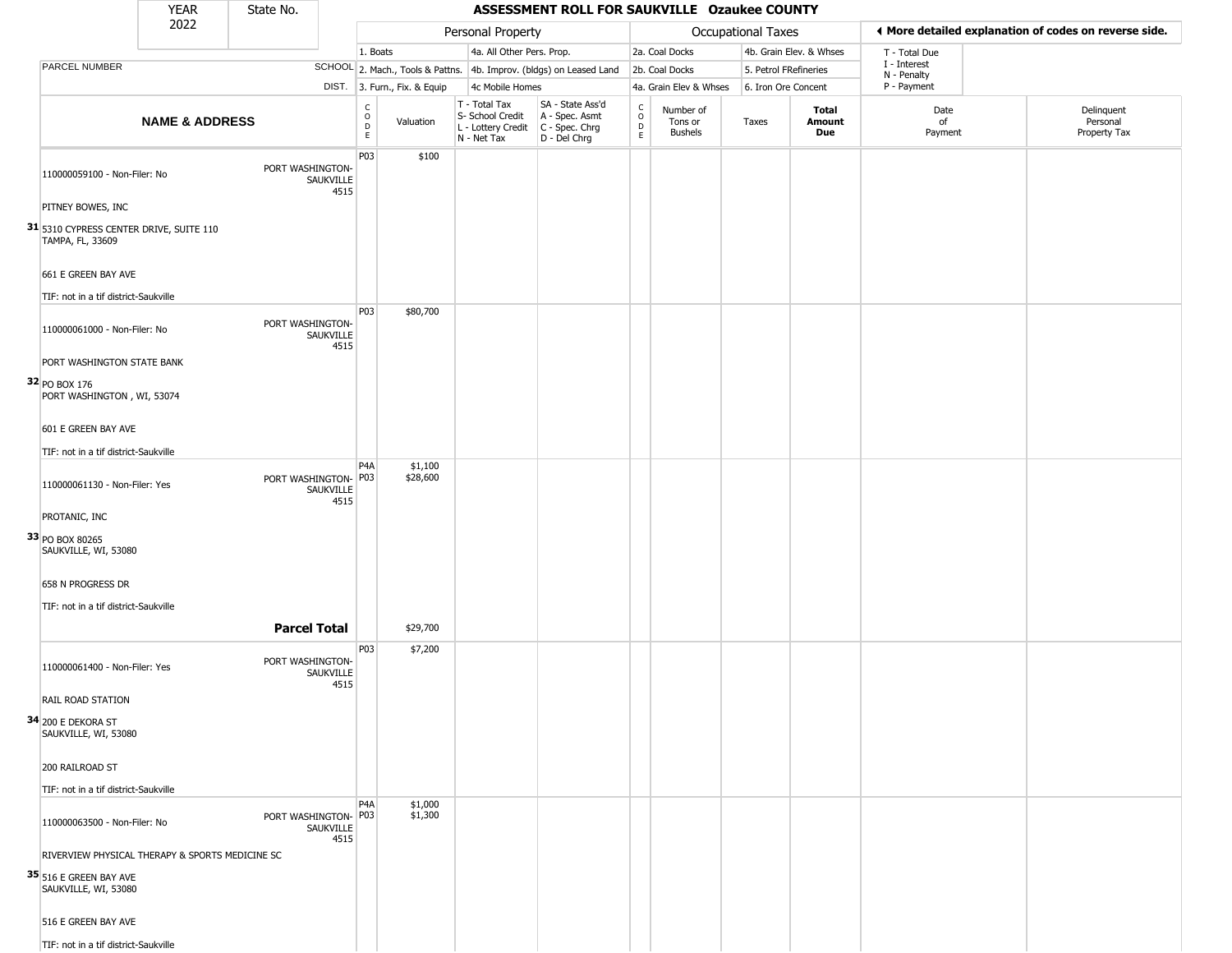|                                                             | <b>YEAR</b>               | State No.            |                   |                                                          |                              |                                                                                         | ASSESSMENT ROLL FOR SAUKVILLE Ozaukee COUNTY                        |                                                          |                                        |                       |                         |                             |                                                       |
|-------------------------------------------------------------|---------------------------|----------------------|-------------------|----------------------------------------------------------|------------------------------|-----------------------------------------------------------------------------------------|---------------------------------------------------------------------|----------------------------------------------------------|----------------------------------------|-----------------------|-------------------------|-----------------------------|-------------------------------------------------------|
|                                                             | 2022                      |                      |                   |                                                          |                              | Personal Property                                                                       |                                                                     |                                                          |                                        | Occupational Taxes    |                         |                             | ♦ More detailed explanation of codes on reverse side. |
|                                                             |                           |                      |                   | 1. Boats                                                 |                              | 4a. All Other Pers. Prop.                                                               |                                                                     |                                                          | 2a. Coal Docks                         |                       | 4b. Grain Elev. & Whses | T - Total Due               |                                                       |
| PARCEL NUMBER                                               |                           |                      |                   |                                                          |                              |                                                                                         | SCHOOL 2. Mach., Tools & Pattns. 4b. Improv. (bldgs) on Leased Land |                                                          | 2b. Coal Docks                         | 5. Petrol FRefineries |                         | I - Interest<br>N - Penalty |                                                       |
|                                                             |                           |                      |                   |                                                          | DIST. 3. Furn., Fix. & Equip | 4c Mobile Homes                                                                         |                                                                     |                                                          | 4a. Grain Elev & Whses                 | 6. Iron Ore Concent   |                         | P - Payment                 |                                                       |
|                                                             | <b>NAME &amp; ADDRESS</b> |                      |                   | $\begin{matrix} 0 \\ 0 \\ D \end{matrix}$<br>$\mathsf E$ | Valuation                    | T - Total Tax<br>S- School Credit<br>L - Lottery Credit   C - Spec. Chrg<br>N - Net Tax | SA - State Ass'd<br>A - Spec. Asmt<br>D - Del Chrg                  | $\begin{matrix} 0 \\ 0 \\ 0 \end{matrix}$<br>$\mathsf E$ | Number of<br>Tons or<br><b>Bushels</b> | Taxes                 | Total<br>Amount<br>Due  | Date<br>of<br>Payment       | Delinquent<br>Personal<br>Property Tax                |
| 110000059100 - Non-Filer: No                                |                           | PORT WASHINGTON-     | SAUKVILLE<br>4515 | P03                                                      | \$100                        |                                                                                         |                                                                     |                                                          |                                        |                       |                         |                             |                                                       |
| PITNEY BOWES, INC                                           |                           |                      |                   |                                                          |                              |                                                                                         |                                                                     |                                                          |                                        |                       |                         |                             |                                                       |
| 31 5310 CYPRESS CENTER DRIVE, SUITE 110<br>TAMPA, FL, 33609 |                           |                      |                   |                                                          |                              |                                                                                         |                                                                     |                                                          |                                        |                       |                         |                             |                                                       |
| 661 E GREEN BAY AVE                                         |                           |                      |                   |                                                          |                              |                                                                                         |                                                                     |                                                          |                                        |                       |                         |                             |                                                       |
| TIF: not in a tif district-Saukville                        |                           |                      |                   | <b>P03</b>                                               | \$80,700                     |                                                                                         |                                                                     |                                                          |                                        |                       |                         |                             |                                                       |
| 110000061000 - Non-Filer: No                                |                           | PORT WASHINGTON-     | SAUKVILLE<br>4515 |                                                          |                              |                                                                                         |                                                                     |                                                          |                                        |                       |                         |                             |                                                       |
| PORT WASHINGTON STATE BANK                                  |                           |                      |                   |                                                          |                              |                                                                                         |                                                                     |                                                          |                                        |                       |                         |                             |                                                       |
| 32 PO BOX 176<br>PORT WASHINGTON, WI, 53074                 |                           |                      |                   |                                                          |                              |                                                                                         |                                                                     |                                                          |                                        |                       |                         |                             |                                                       |
| 601 E GREEN BAY AVE                                         |                           |                      |                   |                                                          |                              |                                                                                         |                                                                     |                                                          |                                        |                       |                         |                             |                                                       |
| TIF: not in a tif district-Saukville                        |                           |                      |                   |                                                          |                              |                                                                                         |                                                                     |                                                          |                                        |                       |                         |                             |                                                       |
|                                                             |                           |                      |                   | P <sub>4</sub> A                                         | \$1,100                      |                                                                                         |                                                                     |                                                          |                                        |                       |                         |                             |                                                       |
| 110000061130 - Non-Filer: Yes                               |                           | PORT WASHINGTON- P03 | SAUKVILLE<br>4515 |                                                          | \$28,600                     |                                                                                         |                                                                     |                                                          |                                        |                       |                         |                             |                                                       |
| PROTANIC, INC                                               |                           |                      |                   |                                                          |                              |                                                                                         |                                                                     |                                                          |                                        |                       |                         |                             |                                                       |
| 33 PO BOX 80265<br>SAUKVILLE, WI, 53080                     |                           |                      |                   |                                                          |                              |                                                                                         |                                                                     |                                                          |                                        |                       |                         |                             |                                                       |
| 658 N PROGRESS DR                                           |                           |                      |                   |                                                          |                              |                                                                                         |                                                                     |                                                          |                                        |                       |                         |                             |                                                       |
| TIF: not in a tif district-Saukville                        |                           |                      |                   |                                                          |                              |                                                                                         |                                                                     |                                                          |                                        |                       |                         |                             |                                                       |
|                                                             |                           | <b>Parcel Total</b>  |                   |                                                          | \$29,700                     |                                                                                         |                                                                     |                                                          |                                        |                       |                         |                             |                                                       |
| 110000061400 - Non-Filer: Yes                               |                           | PORT WASHINGTON-     | SAUKVILLE<br>4515 | P03                                                      | \$7,200                      |                                                                                         |                                                                     |                                                          |                                        |                       |                         |                             |                                                       |
| RAIL ROAD STATION                                           |                           |                      |                   |                                                          |                              |                                                                                         |                                                                     |                                                          |                                        |                       |                         |                             |                                                       |
| 34 200 E DEKORA ST<br>SAUKVILLE, WI, 53080                  |                           |                      |                   |                                                          |                              |                                                                                         |                                                                     |                                                          |                                        |                       |                         |                             |                                                       |
| 200 RAILROAD ST                                             |                           |                      |                   |                                                          |                              |                                                                                         |                                                                     |                                                          |                                        |                       |                         |                             |                                                       |
| TIF: not in a tif district-Saukville                        |                           |                      |                   |                                                          |                              |                                                                                         |                                                                     |                                                          |                                        |                       |                         |                             |                                                       |
| 110000063500 - Non-Filer: No                                |                           | PORT WASHINGTON- P03 | SAUKVILLE<br>4515 | P <sub>4</sub> A                                         | \$1,000<br>\$1,300           |                                                                                         |                                                                     |                                                          |                                        |                       |                         |                             |                                                       |
| RIVERVIEW PHYSICAL THERAPY & SPORTS MEDICINE SC             |                           |                      |                   |                                                          |                              |                                                                                         |                                                                     |                                                          |                                        |                       |                         |                             |                                                       |
| 35 516 E GREEN BAY AVE<br>SAUKVILLE, WI, 53080              |                           |                      |                   |                                                          |                              |                                                                                         |                                                                     |                                                          |                                        |                       |                         |                             |                                                       |
| 516 E GREEN BAY AVE                                         |                           |                      |                   |                                                          |                              |                                                                                         |                                                                     |                                                          |                                        |                       |                         |                             |                                                       |
| TIF: not in a tif district-Saukville                        |                           |                      |                   |                                                          |                              |                                                                                         |                                                                     |                                                          |                                        |                       |                         |                             |                                                       |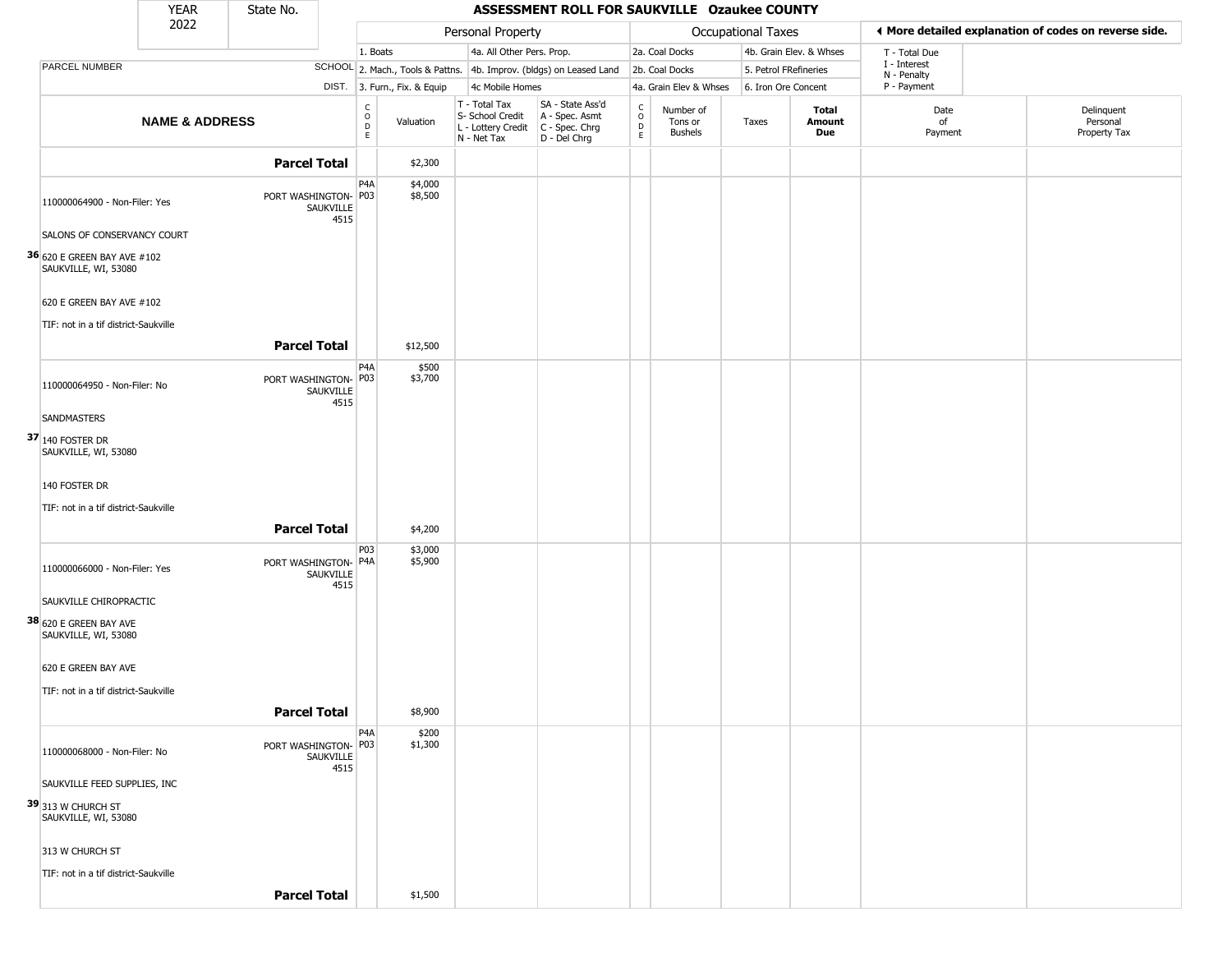|                                                            | <b>YEAR</b>               | State No.                         |                                   |                                  |                                                                        | ASSESSMENT ROLL FOR SAUKVILLE Ozaukee COUNTY                           |                                                   |                                        |                       |                         |                                                       |                                        |
|------------------------------------------------------------|---------------------------|-----------------------------------|-----------------------------------|----------------------------------|------------------------------------------------------------------------|------------------------------------------------------------------------|---------------------------------------------------|----------------------------------------|-----------------------|-------------------------|-------------------------------------------------------|----------------------------------------|
|                                                            | 2022                      |                                   |                                   |                                  | Personal Property                                                      |                                                                        |                                                   |                                        | Occupational Taxes    |                         | ◀ More detailed explanation of codes on reverse side. |                                        |
|                                                            |                           |                                   |                                   | 1. Boats                         | 4a. All Other Pers. Prop.                                              |                                                                        |                                                   | 2a. Coal Docks                         |                       | 4b. Grain Elev. & Whses | T - Total Due                                         |                                        |
| PARCEL NUMBER                                              |                           |                                   |                                   | SCHOOL 2. Mach., Tools & Pattns. |                                                                        | 4b. Improv. (bldgs) on Leased Land                                     |                                                   | 2b. Coal Docks                         | 5. Petrol FRefineries |                         | I - Interest<br>N - Penalty                           |                                        |
|                                                            |                           |                                   |                                   | DIST. 3. Furn., Fix. & Equip     | 4c Mobile Homes                                                        |                                                                        |                                                   | 4a. Grain Elev & Whses                 | 6. Iron Ore Concent   |                         | P - Payment                                           |                                        |
|                                                            | <b>NAME &amp; ADDRESS</b> |                                   | $\frac{C}{O}$<br>$\mathsf D$<br>E | Valuation                        | T - Total Tax<br>S- School Credit<br>L - Lottery Credit<br>N - Net Tax | SA - State Ass'd<br>A - Spec. Asmt<br>$C - Spec. Chrg$<br>D - Del Chrg | $\begin{array}{c}\nC \\ O \\ D \\ E\n\end{array}$ | Number of<br>Tons or<br><b>Bushels</b> | Taxes                 | Total<br>Amount<br>Due  | Date<br>of<br>Payment                                 | Delinquent<br>Personal<br>Property Tax |
|                                                            |                           | <b>Parcel Total</b>               |                                   | \$2,300                          |                                                                        |                                                                        |                                                   |                                        |                       |                         |                                                       |                                        |
| 110000064900 - Non-Filer: Yes                              |                           | PORT WASHINGTON- P03<br>SAUKVILLE | P4A<br>4515                       | \$4,000<br>\$8,500               |                                                                        |                                                                        |                                                   |                                        |                       |                         |                                                       |                                        |
| SALONS OF CONSERVANCY COURT                                |                           |                                   |                                   |                                  |                                                                        |                                                                        |                                                   |                                        |                       |                         |                                                       |                                        |
| <b>36</b> 620 E GREEN BAY AVE #102<br>SAUKVILLE, WI, 53080 |                           |                                   |                                   |                                  |                                                                        |                                                                        |                                                   |                                        |                       |                         |                                                       |                                        |
| 620 E GREEN BAY AVE #102                                   |                           |                                   |                                   |                                  |                                                                        |                                                                        |                                                   |                                        |                       |                         |                                                       |                                        |
| TIF: not in a tif district-Saukville                       |                           |                                   |                                   |                                  |                                                                        |                                                                        |                                                   |                                        |                       |                         |                                                       |                                        |
|                                                            |                           | <b>Parcel Total</b>               |                                   | \$12,500                         |                                                                        |                                                                        |                                                   |                                        |                       |                         |                                                       |                                        |
| 110000064950 - Non-Filer: No                               |                           | PORT WASHINGTON-<br>SAUKVILLE     | P4A<br>P03<br>4515                | \$500<br>\$3,700                 |                                                                        |                                                                        |                                                   |                                        |                       |                         |                                                       |                                        |
| SANDMASTERS                                                |                           |                                   |                                   |                                  |                                                                        |                                                                        |                                                   |                                        |                       |                         |                                                       |                                        |
| $37 $ 140 Foster Dr<br>SAUKVILLE, WI, 53080                |                           |                                   |                                   |                                  |                                                                        |                                                                        |                                                   |                                        |                       |                         |                                                       |                                        |
| 140 FOSTER DR                                              |                           |                                   |                                   |                                  |                                                                        |                                                                        |                                                   |                                        |                       |                         |                                                       |                                        |
| TIF: not in a tif district-Saukville                       |                           |                                   |                                   |                                  |                                                                        |                                                                        |                                                   |                                        |                       |                         |                                                       |                                        |
|                                                            |                           | <b>Parcel Total</b>               |                                   | \$4,200                          |                                                                        |                                                                        |                                                   |                                        |                       |                         |                                                       |                                        |
| 110000066000 - Non-Filer: Yes                              |                           | PORT WASHINGTON- P4A<br>SAUKVILLE | P03<br>4515                       | \$3,000<br>\$5,900               |                                                                        |                                                                        |                                                   |                                        |                       |                         |                                                       |                                        |
| SAUKVILLE CHIROPRACTIC                                     |                           |                                   |                                   |                                  |                                                                        |                                                                        |                                                   |                                        |                       |                         |                                                       |                                        |
| 38 620 E GREEN BAY AVE<br>SAUKVILLE, WI, 53080             |                           |                                   |                                   |                                  |                                                                        |                                                                        |                                                   |                                        |                       |                         |                                                       |                                        |
| 620 E GREEN BAY AVE                                        |                           |                                   |                                   |                                  |                                                                        |                                                                        |                                                   |                                        |                       |                         |                                                       |                                        |
| TIF: not in a tif district-Saukville                       |                           |                                   |                                   |                                  |                                                                        |                                                                        |                                                   |                                        |                       |                         |                                                       |                                        |
|                                                            |                           | <b>Parcel Total</b>               |                                   | \$8,900                          |                                                                        |                                                                        |                                                   |                                        |                       |                         |                                                       |                                        |
| 110000068000 - Non-Filer: No                               |                           | PORT WASHINGTON- P03<br>SAUKVILLE | P4A<br>4515                       | \$200<br>\$1,300                 |                                                                        |                                                                        |                                                   |                                        |                       |                         |                                                       |                                        |
| SAUKVILLE FEED SUPPLIES, INC                               |                           |                                   |                                   |                                  |                                                                        |                                                                        |                                                   |                                        |                       |                         |                                                       |                                        |
| 39 313 W CHURCH ST<br>SAUKVILLE, WI, 53080                 |                           |                                   |                                   |                                  |                                                                        |                                                                        |                                                   |                                        |                       |                         |                                                       |                                        |
| 313 W CHURCH ST                                            |                           |                                   |                                   |                                  |                                                                        |                                                                        |                                                   |                                        |                       |                         |                                                       |                                        |
| TIF: not in a tif district-Saukville                       |                           |                                   |                                   |                                  |                                                                        |                                                                        |                                                   |                                        |                       |                         |                                                       |                                        |
|                                                            |                           | <b>Parcel Total</b>               |                                   | \$1,500                          |                                                                        |                                                                        |                                                   |                                        |                       |                         |                                                       |                                        |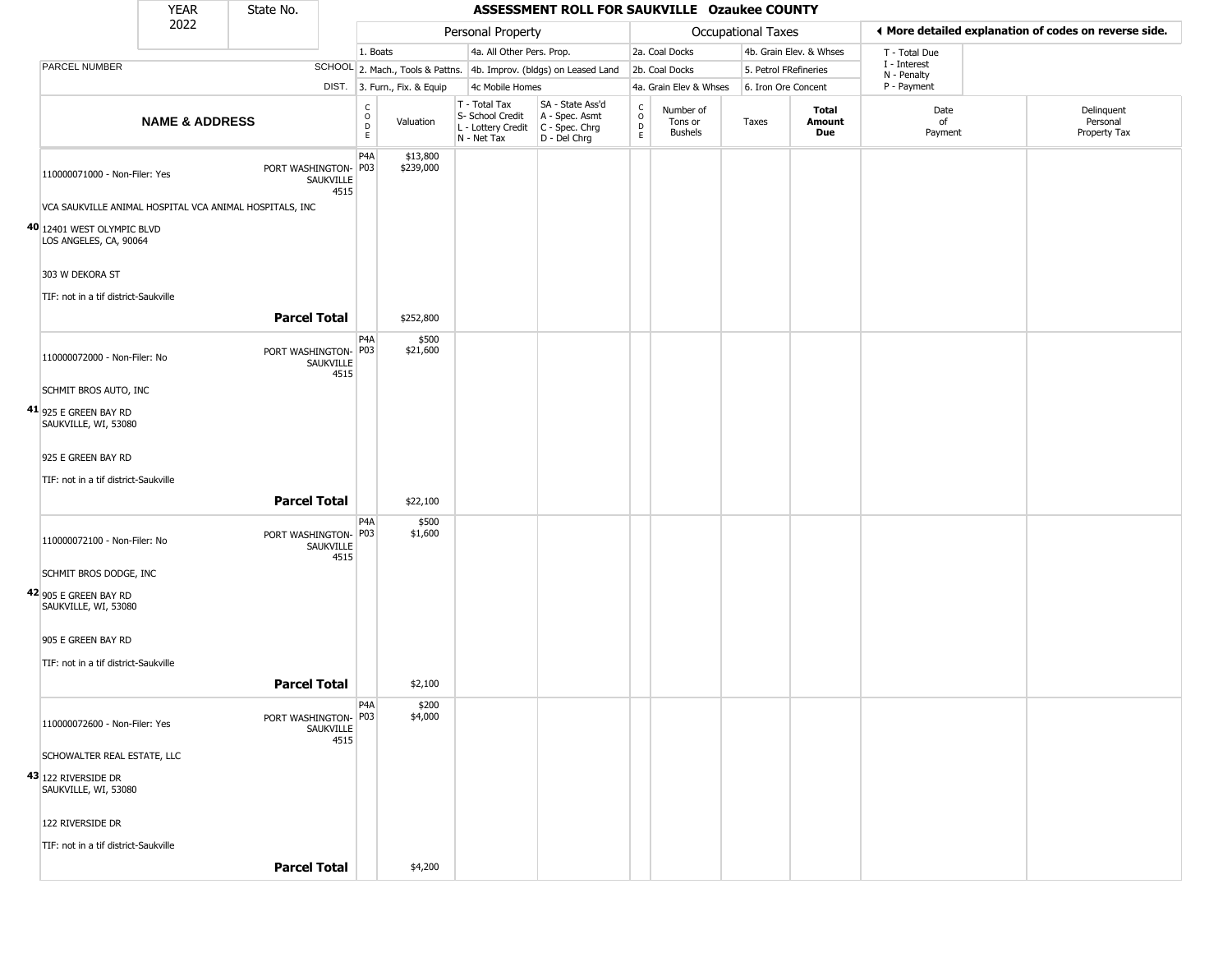|                                                         | <b>YEAR</b>               | State No.            |                   |                                        |                              |                                                                        | ASSESSMENT ROLL FOR SAUKVILLE Ozaukee COUNTY                         |                                                 |                                        |                       |                         |                             |                                                       |
|---------------------------------------------------------|---------------------------|----------------------|-------------------|----------------------------------------|------------------------------|------------------------------------------------------------------------|----------------------------------------------------------------------|-------------------------------------------------|----------------------------------------|-----------------------|-------------------------|-----------------------------|-------------------------------------------------------|
|                                                         | 2022                      |                      |                   |                                        |                              | Personal Property                                                      |                                                                      |                                                 |                                        | Occupational Taxes    |                         |                             | ♦ More detailed explanation of codes on reverse side. |
|                                                         |                           |                      |                   | 1. Boats                               |                              | 4a. All Other Pers. Prop.                                              |                                                                      |                                                 | 2a. Coal Docks                         |                       | 4b. Grain Elev. & Whses | T - Total Due               |                                                       |
| PARCEL NUMBER                                           |                           |                      |                   |                                        |                              |                                                                        | SCHOOL 2. Mach., Tools & Pattns. 4b. Improv. (bldgs) on Leased Land  |                                                 | 2b. Coal Docks                         | 5. Petrol FRefineries |                         | I - Interest<br>N - Penalty |                                                       |
|                                                         |                           |                      |                   |                                        | DIST. 3. Furn., Fix. & Equip | 4c Mobile Homes                                                        |                                                                      |                                                 | 4a. Grain Elev & Whses                 | 6. Iron Ore Concent   |                         | P - Payment                 |                                                       |
|                                                         | <b>NAME &amp; ADDRESS</b> |                      |                   | $\mathsf C$<br>$_{\rm D}^{\rm O}$<br>E | Valuation                    | T - Total Tax<br>S- School Credit<br>L - Lottery Credit<br>N - Net Tax | SA - State Ass'd<br>A - Spec. Asmt<br>C - Spec. Chrg<br>D - Del Chrg | $\begin{array}{c} C \\ O \\ D \\ E \end{array}$ | Number of<br>Tons or<br><b>Bushels</b> | Taxes                 | Total<br>Amount<br>Due  | Date<br>of<br>Payment       | Delinquent<br>Personal<br>Property Tax                |
| 110000071000 - Non-Filer: Yes                           |                           | PORT WASHINGTON- P03 | SAUKVILLE<br>4515 | P4A                                    | \$13,800<br>\$239,000        |                                                                        |                                                                      |                                                 |                                        |                       |                         |                             |                                                       |
| VCA SAUKVILLE ANIMAL HOSPITAL VCA ANIMAL HOSPITALS, INC |                           |                      |                   |                                        |                              |                                                                        |                                                                      |                                                 |                                        |                       |                         |                             |                                                       |
| 40 12401 WEST OLYMPIC BLVD<br>LOS ANGELES, CA, 90064    |                           |                      |                   |                                        |                              |                                                                        |                                                                      |                                                 |                                        |                       |                         |                             |                                                       |
| 303 W DEKORA ST                                         |                           |                      |                   |                                        |                              |                                                                        |                                                                      |                                                 |                                        |                       |                         |                             |                                                       |
| TIF: not in a tif district-Saukville                    |                           |                      |                   |                                        |                              |                                                                        |                                                                      |                                                 |                                        |                       |                         |                             |                                                       |
|                                                         |                           | <b>Parcel Total</b>  |                   |                                        | \$252,800                    |                                                                        |                                                                      |                                                 |                                        |                       |                         |                             |                                                       |
| 110000072000 - Non-Filer: No                            |                           | PORT WASHINGTON- P03 | SAUKVILLE<br>4515 | P4A                                    | \$500<br>\$21,600            |                                                                        |                                                                      |                                                 |                                        |                       |                         |                             |                                                       |
| SCHMIT BROS AUTO, INC                                   |                           |                      |                   |                                        |                              |                                                                        |                                                                      |                                                 |                                        |                       |                         |                             |                                                       |
| 41 925 E GREEN BAY RD<br>SAUKVILLE, WI, 53080           |                           |                      |                   |                                        |                              |                                                                        |                                                                      |                                                 |                                        |                       |                         |                             |                                                       |
| 925 E GREEN BAY RD                                      |                           |                      |                   |                                        |                              |                                                                        |                                                                      |                                                 |                                        |                       |                         |                             |                                                       |
| TIF: not in a tif district-Saukville                    |                           |                      |                   |                                        |                              |                                                                        |                                                                      |                                                 |                                        |                       |                         |                             |                                                       |
|                                                         |                           | <b>Parcel Total</b>  |                   |                                        | \$22,100                     |                                                                        |                                                                      |                                                 |                                        |                       |                         |                             |                                                       |
| 110000072100 - Non-Filer: No                            |                           | PORT WASHINGTON- P03 | SAUKVILLE<br>4515 | P4A                                    | \$500<br>\$1,600             |                                                                        |                                                                      |                                                 |                                        |                       |                         |                             |                                                       |
| SCHMIT BROS DODGE, INC                                  |                           |                      |                   |                                        |                              |                                                                        |                                                                      |                                                 |                                        |                       |                         |                             |                                                       |
| 42 905 E GREEN BAY RD<br>SAUKVILLE, WI, 53080           |                           |                      |                   |                                        |                              |                                                                        |                                                                      |                                                 |                                        |                       |                         |                             |                                                       |
| 905 E GREEN BAY RD                                      |                           |                      |                   |                                        |                              |                                                                        |                                                                      |                                                 |                                        |                       |                         |                             |                                                       |
| TIF: not in a tif district-Saukville                    |                           |                      |                   |                                        |                              |                                                                        |                                                                      |                                                 |                                        |                       |                         |                             |                                                       |
|                                                         |                           | <b>Parcel Total</b>  |                   |                                        | \$2,100                      |                                                                        |                                                                      |                                                 |                                        |                       |                         |                             |                                                       |
| 110000072600 - Non-Filer: Yes                           |                           | PORT WASHINGTON- P03 | SAUKVILLE<br>4515 | P <sub>4</sub> A                       | \$200<br>\$4,000             |                                                                        |                                                                      |                                                 |                                        |                       |                         |                             |                                                       |
| SCHOWALTER REAL ESTATE, LLC                             |                           |                      |                   |                                        |                              |                                                                        |                                                                      |                                                 |                                        |                       |                         |                             |                                                       |
| 43 122 RIVERSIDE DR<br>SAUKVILLE, WI, 53080             |                           |                      |                   |                                        |                              |                                                                        |                                                                      |                                                 |                                        |                       |                         |                             |                                                       |
| 122 RIVERSIDE DR                                        |                           |                      |                   |                                        |                              |                                                                        |                                                                      |                                                 |                                        |                       |                         |                             |                                                       |
| TIF: not in a tif district-Saukville                    |                           |                      |                   |                                        |                              |                                                                        |                                                                      |                                                 |                                        |                       |                         |                             |                                                       |
|                                                         |                           | <b>Parcel Total</b>  |                   |                                        | \$4,200                      |                                                                        |                                                                      |                                                 |                                        |                       |                         |                             |                                                       |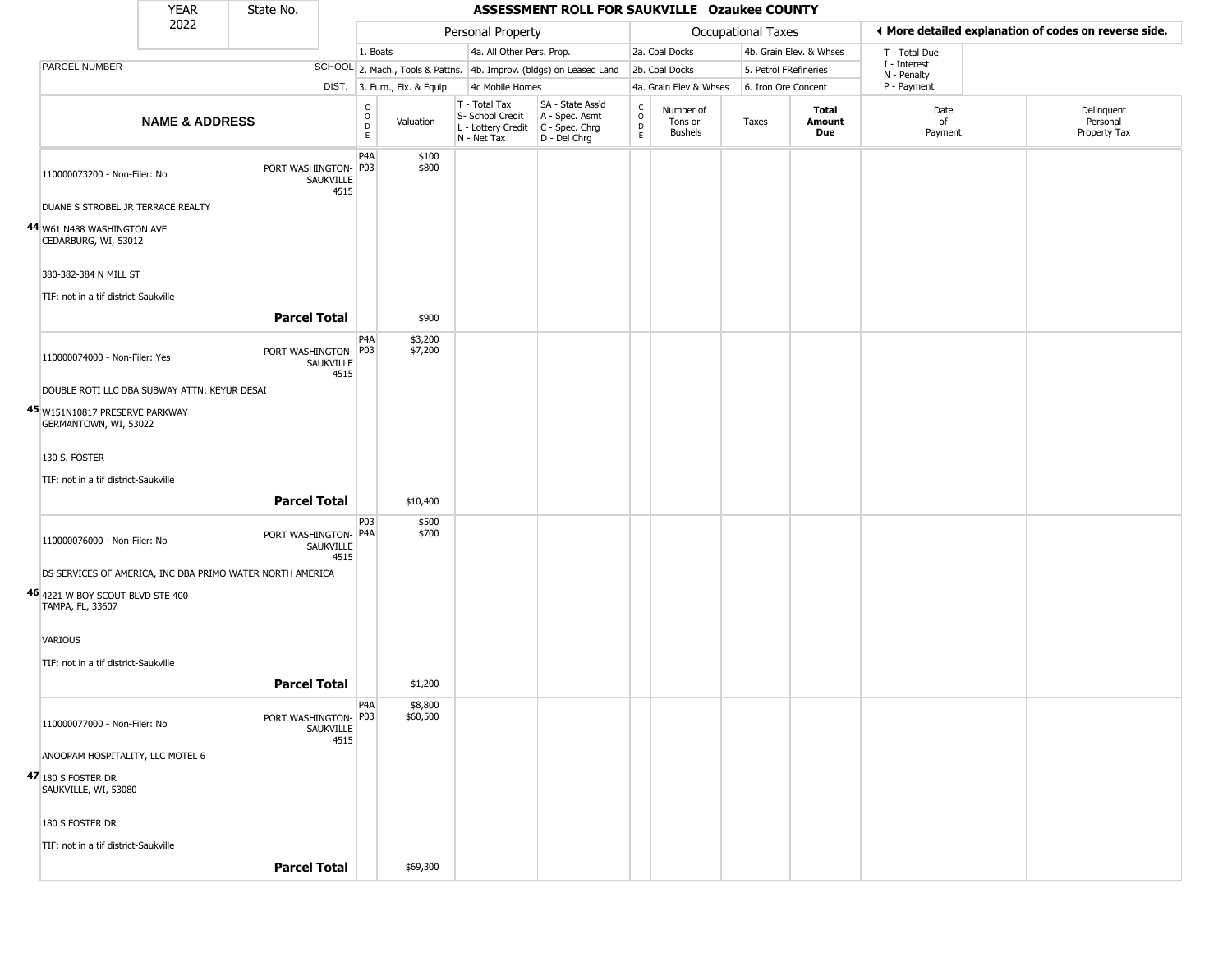|                                                         | <b>YEAR</b>                                  | State No.                                                 |                                              |                              |                                                  | ASSESSMENT ROLL FOR SAUKVILLE Ozaukee COUNTY                                              |                                                 |                                        |                    |                         |                             |                                                       |
|---------------------------------------------------------|----------------------------------------------|-----------------------------------------------------------|----------------------------------------------|------------------------------|--------------------------------------------------|-------------------------------------------------------------------------------------------|-------------------------------------------------|----------------------------------------|--------------------|-------------------------|-----------------------------|-------------------------------------------------------|
|                                                         | 2022                                         |                                                           |                                              |                              | Personal Property                                |                                                                                           |                                                 |                                        | Occupational Taxes |                         |                             | ♦ More detailed explanation of codes on reverse side. |
|                                                         |                                              |                                                           |                                              | 1. Boats                     | 4a. All Other Pers. Prop.                        |                                                                                           |                                                 | 2a. Coal Docks                         |                    | 4b. Grain Elev. & Whses | T - Total Due               |                                                       |
| PARCEL NUMBER                                           |                                              |                                                           |                                              |                              |                                                  | SCHOOL 2. Mach., Tools & Pattns. 4b. Improv. (bldgs) on Leased Land                       |                                                 | 2b. Coal Docks                         |                    | 5. Petrol FRefineries   | I - Interest<br>N - Penalty |                                                       |
|                                                         |                                              |                                                           |                                              | DIST. 3. Furn., Fix. & Equip | 4c Mobile Homes                                  |                                                                                           |                                                 | 4a. Grain Elev & Whses                 |                    | 6. Iron Ore Concent     | P - Payment                 |                                                       |
|                                                         | <b>NAME &amp; ADDRESS</b>                    |                                                           | $\begin{array}{c}\nC \\ O \\ D\n\end{array}$ | Valuation                    | T - Total Tax<br>S- School Credit<br>N - Net Tax | SA - State Ass'd<br>A - Spec. Asmt<br>L - Lottery Credit   C - Spec. Chrg<br>D - Del Chrg | $\begin{array}{c} C \\ O \\ D \\ E \end{array}$ | Number of<br>Tons or<br><b>Bushels</b> | Taxes              | Total<br>Amount<br>Due  | Date<br>of<br>Payment       | Delinquent<br>Personal<br>Property Tax                |
| 110000073200 - Non-Filer: No                            |                                              | PORT WASHINGTON- P03<br>SAUKVILLE                         | P <sub>4</sub> A<br>4515                     | \$100<br>\$800               |                                                  |                                                                                           |                                                 |                                        |                    |                         |                             |                                                       |
|                                                         | DUANE S STROBEL JR TERRACE REALTY            |                                                           |                                              |                              |                                                  |                                                                                           |                                                 |                                        |                    |                         |                             |                                                       |
| 44 W61 N488 WASHINGTON AVE<br>CEDARBURG, WI, 53012      |                                              |                                                           |                                              |                              |                                                  |                                                                                           |                                                 |                                        |                    |                         |                             |                                                       |
| 380-382-384 N MILL ST                                   |                                              |                                                           |                                              |                              |                                                  |                                                                                           |                                                 |                                        |                    |                         |                             |                                                       |
| TIF: not in a tif district-Saukville                    |                                              |                                                           |                                              |                              |                                                  |                                                                                           |                                                 |                                        |                    |                         |                             |                                                       |
|                                                         |                                              | <b>Parcel Total</b>                                       |                                              | \$900                        |                                                  |                                                                                           |                                                 |                                        |                    |                         |                             |                                                       |
| 110000074000 - Non-Filer: Yes                           |                                              | PORT WASHINGTON- P03<br>SAUKVILLE                         | P <sub>4</sub> A<br>4515                     | \$3,200<br>\$7,200           |                                                  |                                                                                           |                                                 |                                        |                    |                         |                             |                                                       |
|                                                         | DOUBLE ROTI LLC DBA SUBWAY ATTN: KEYUR DESAI |                                                           |                                              |                              |                                                  |                                                                                           |                                                 |                                        |                    |                         |                             |                                                       |
| 45 W151N10817 PRESERVE PARKWAY<br>GERMANTOWN, WI, 53022 |                                              |                                                           |                                              |                              |                                                  |                                                                                           |                                                 |                                        |                    |                         |                             |                                                       |
| 130 S. FOSTER                                           |                                              |                                                           |                                              |                              |                                                  |                                                                                           |                                                 |                                        |                    |                         |                             |                                                       |
| TIF: not in a tif district-Saukville                    |                                              |                                                           |                                              |                              |                                                  |                                                                                           |                                                 |                                        |                    |                         |                             |                                                       |
|                                                         |                                              | <b>Parcel Total</b>                                       |                                              | \$10,400                     |                                                  |                                                                                           |                                                 |                                        |                    |                         |                             |                                                       |
| 110000076000 - Non-Filer: No                            |                                              | PORT WASHINGTON- P4A<br>SAUKVILLE                         | P03<br>4515                                  | \$500<br>\$700               |                                                  |                                                                                           |                                                 |                                        |                    |                         |                             |                                                       |
|                                                         |                                              | DS SERVICES OF AMERICA, INC DBA PRIMO WATER NORTH AMERICA |                                              |                              |                                                  |                                                                                           |                                                 |                                        |                    |                         |                             |                                                       |
| 46 4221 W BOY SCOUT BLVD STE 400<br>TAMPA, FL, 33607    |                                              |                                                           |                                              |                              |                                                  |                                                                                           |                                                 |                                        |                    |                         |                             |                                                       |
| VARIOUS                                                 |                                              |                                                           |                                              |                              |                                                  |                                                                                           |                                                 |                                        |                    |                         |                             |                                                       |
| TIF: not in a tif district-Saukville                    |                                              |                                                           |                                              |                              |                                                  |                                                                                           |                                                 |                                        |                    |                         |                             |                                                       |
|                                                         |                                              | <b>Parcel Total</b>                                       |                                              | \$1,200                      |                                                  |                                                                                           |                                                 |                                        |                    |                         |                             |                                                       |
| 110000077000 - Non-Filer: No                            |                                              | PORT WASHINGTON- P03<br>SAUKVILLE                         | P <sub>4</sub> A<br>4515                     | \$8,800<br>\$60,500          |                                                  |                                                                                           |                                                 |                                        |                    |                         |                             |                                                       |
| ANOOPAM HOSPITALITY, LLC MOTEL 6                        |                                              |                                                           |                                              |                              |                                                  |                                                                                           |                                                 |                                        |                    |                         |                             |                                                       |
| $47 $ 180 s foster DR<br>SAUKVILLE, WI, 53080           |                                              |                                                           |                                              |                              |                                                  |                                                                                           |                                                 |                                        |                    |                         |                             |                                                       |
| 180 S FOSTER DR                                         |                                              |                                                           |                                              |                              |                                                  |                                                                                           |                                                 |                                        |                    |                         |                             |                                                       |
| TIF: not in a tif district-Saukville                    |                                              |                                                           |                                              |                              |                                                  |                                                                                           |                                                 |                                        |                    |                         |                             |                                                       |
|                                                         |                                              | <b>Parcel Total</b>                                       |                                              | \$69,300                     |                                                  |                                                                                           |                                                 |                                        |                    |                         |                             |                                                       |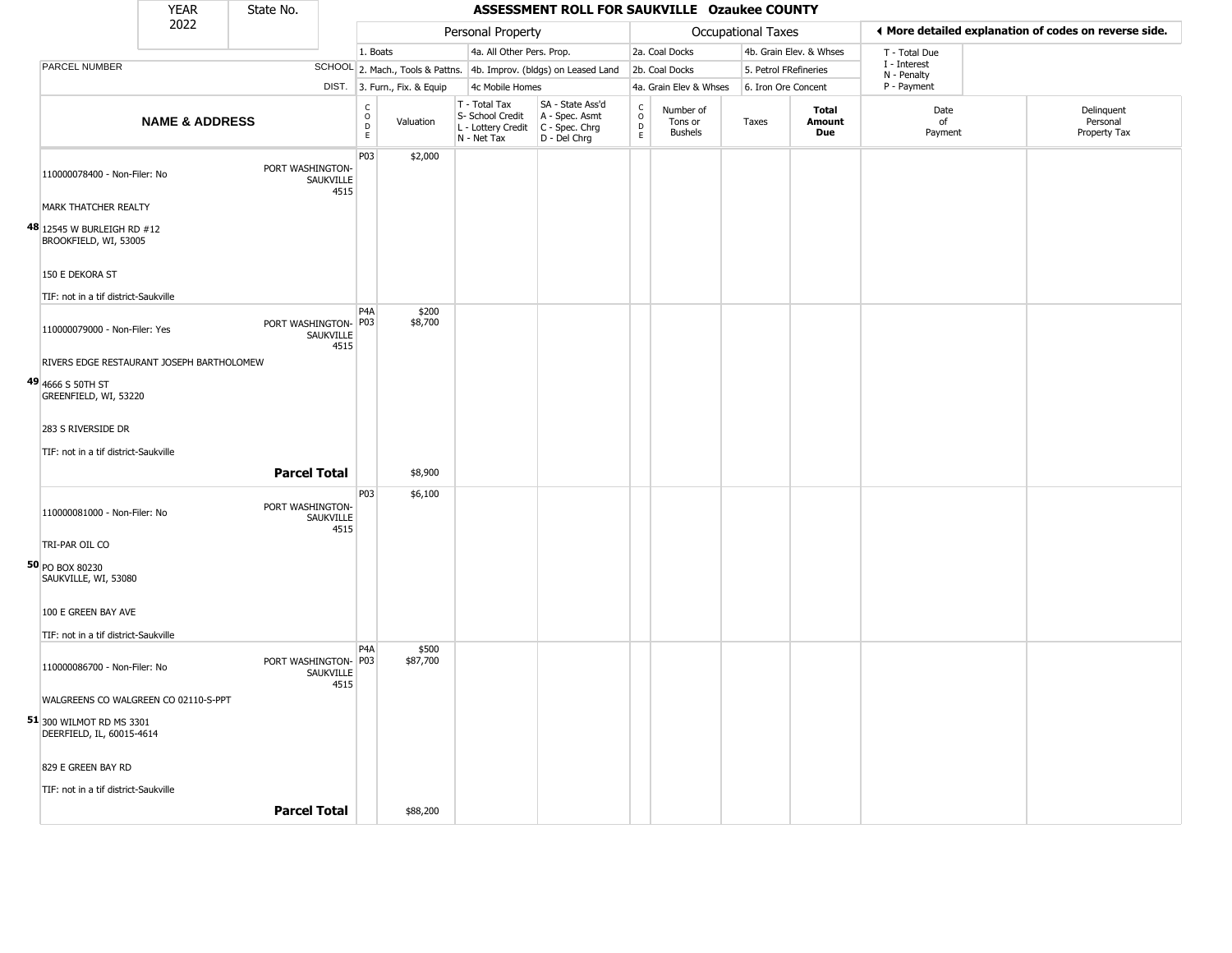|                                                       | <b>YEAR</b>               | State No.            |                   |                                                 |                              |                                                                        | ASSESSMENT ROLL FOR SAUKVILLE Ozaukee COUNTY                         |                                                 |                                        |                    |                         |                             |                                                       |
|-------------------------------------------------------|---------------------------|----------------------|-------------------|-------------------------------------------------|------------------------------|------------------------------------------------------------------------|----------------------------------------------------------------------|-------------------------------------------------|----------------------------------------|--------------------|-------------------------|-----------------------------|-------------------------------------------------------|
|                                                       | 2022                      |                      |                   |                                                 |                              | Personal Property                                                      |                                                                      |                                                 |                                        | Occupational Taxes |                         |                             | ♦ More detailed explanation of codes on reverse side. |
|                                                       |                           |                      |                   | 1. Boats                                        |                              | 4a. All Other Pers. Prop.                                              |                                                                      |                                                 | 2a. Coal Docks                         |                    | 4b. Grain Elev. & Whses | T - Total Due               |                                                       |
| PARCEL NUMBER                                         |                           |                      |                   |                                                 |                              |                                                                        | SCHOOL 2. Mach., Tools & Pattns. 4b. Improv. (bldgs) on Leased Land  |                                                 | 2b. Coal Docks                         |                    | 5. Petrol FRefineries   | I - Interest<br>N - Penalty |                                                       |
|                                                       |                           |                      |                   |                                                 | DIST. 3. Furn., Fix. & Equip | 4c Mobile Homes                                                        |                                                                      |                                                 | 4a. Grain Elev & Whses                 |                    | 6. Iron Ore Concent     | P - Payment                 |                                                       |
|                                                       | <b>NAME &amp; ADDRESS</b> |                      |                   | $\begin{array}{c} C \\ O \\ D \\ E \end{array}$ | Valuation                    | T - Total Tax<br>S- School Credit<br>L - Lottery Credit<br>N - Net Tax | SA - State Ass'd<br>A - Spec. Asmt<br>C - Spec. Chrg<br>D - Del Chrg | $\begin{array}{c} C \\ O \\ D \\ E \end{array}$ | Number of<br>Tons or<br><b>Bushels</b> | Taxes              | Total<br>Amount<br>Due  | Date<br>of<br>Payment       | Delinquent<br>Personal<br>Property Tax                |
| 110000078400 - Non-Filer: No                          |                           | PORT WASHINGTON-     | SAUKVILLE<br>4515 | P03                                             | \$2,000                      |                                                                        |                                                                      |                                                 |                                        |                    |                         |                             |                                                       |
| <b>MARK THATCHER REALTY</b>                           |                           |                      |                   |                                                 |                              |                                                                        |                                                                      |                                                 |                                        |                    |                         |                             |                                                       |
| 48 12545 W BURLEIGH RD #12<br>BROOKFIELD, WI, 53005   |                           |                      |                   |                                                 |                              |                                                                        |                                                                      |                                                 |                                        |                    |                         |                             |                                                       |
| 150 E DEKORA ST                                       |                           |                      |                   |                                                 |                              |                                                                        |                                                                      |                                                 |                                        |                    |                         |                             |                                                       |
| TIF: not in a tif district-Saukville                  |                           |                      |                   |                                                 |                              |                                                                        |                                                                      |                                                 |                                        |                    |                         |                             |                                                       |
| 110000079000 - Non-Filer: Yes                         |                           | PORT WASHINGTON- P03 | SAUKVILLE<br>4515 | P <sub>4</sub> A                                | \$200<br>\$8,700             |                                                                        |                                                                      |                                                 |                                        |                    |                         |                             |                                                       |
| RIVERS EDGE RESTAURANT JOSEPH BARTHOLOMEW             |                           |                      |                   |                                                 |                              |                                                                        |                                                                      |                                                 |                                        |                    |                         |                             |                                                       |
| 49 4666 S 50TH ST<br>GREENFIELD, WI, 53220            |                           |                      |                   |                                                 |                              |                                                                        |                                                                      |                                                 |                                        |                    |                         |                             |                                                       |
| 283 S RIVERSIDE DR                                    |                           |                      |                   |                                                 |                              |                                                                        |                                                                      |                                                 |                                        |                    |                         |                             |                                                       |
| TIF: not in a tif district-Saukville                  |                           |                      |                   |                                                 |                              |                                                                        |                                                                      |                                                 |                                        |                    |                         |                             |                                                       |
|                                                       |                           | <b>Parcel Total</b>  |                   |                                                 | \$8,900                      |                                                                        |                                                                      |                                                 |                                        |                    |                         |                             |                                                       |
| 110000081000 - Non-Filer: No                          |                           | PORT WASHINGTON-     | SAUKVILLE<br>4515 | P03                                             | \$6,100                      |                                                                        |                                                                      |                                                 |                                        |                    |                         |                             |                                                       |
| TRI-PAR OIL CO                                        |                           |                      |                   |                                                 |                              |                                                                        |                                                                      |                                                 |                                        |                    |                         |                             |                                                       |
| 50 PO BOX 80230<br>SAUKVILLE, WI, 53080               |                           |                      |                   |                                                 |                              |                                                                        |                                                                      |                                                 |                                        |                    |                         |                             |                                                       |
| 100 E GREEN BAY AVE                                   |                           |                      |                   |                                                 |                              |                                                                        |                                                                      |                                                 |                                        |                    |                         |                             |                                                       |
| TIF: not in a tif district-Saukville                  |                           |                      |                   |                                                 |                              |                                                                        |                                                                      |                                                 |                                        |                    |                         |                             |                                                       |
| 110000086700 - Non-Filer: No                          |                           | PORT WASHINGTON- P03 | SAUKVILLE<br>4515 | P <sub>4</sub> A                                | \$500<br>\$87,700            |                                                                        |                                                                      |                                                 |                                        |                    |                         |                             |                                                       |
| WALGREENS CO WALGREEN CO 02110-S-PPT                  |                           |                      |                   |                                                 |                              |                                                                        |                                                                      |                                                 |                                        |                    |                         |                             |                                                       |
| 51 300 WILMOT RD MS 3301<br>DEERFIELD, IL, 60015-4614 |                           |                      |                   |                                                 |                              |                                                                        |                                                                      |                                                 |                                        |                    |                         |                             |                                                       |
| 829 E GREEN BAY RD                                    |                           |                      |                   |                                                 |                              |                                                                        |                                                                      |                                                 |                                        |                    |                         |                             |                                                       |
| TIF: not in a tif district-Saukville                  |                           |                      |                   |                                                 |                              |                                                                        |                                                                      |                                                 |                                        |                    |                         |                             |                                                       |
|                                                       |                           | <b>Parcel Total</b>  |                   |                                                 | \$88,200                     |                                                                        |                                                                      |                                                 |                                        |                    |                         |                             |                                                       |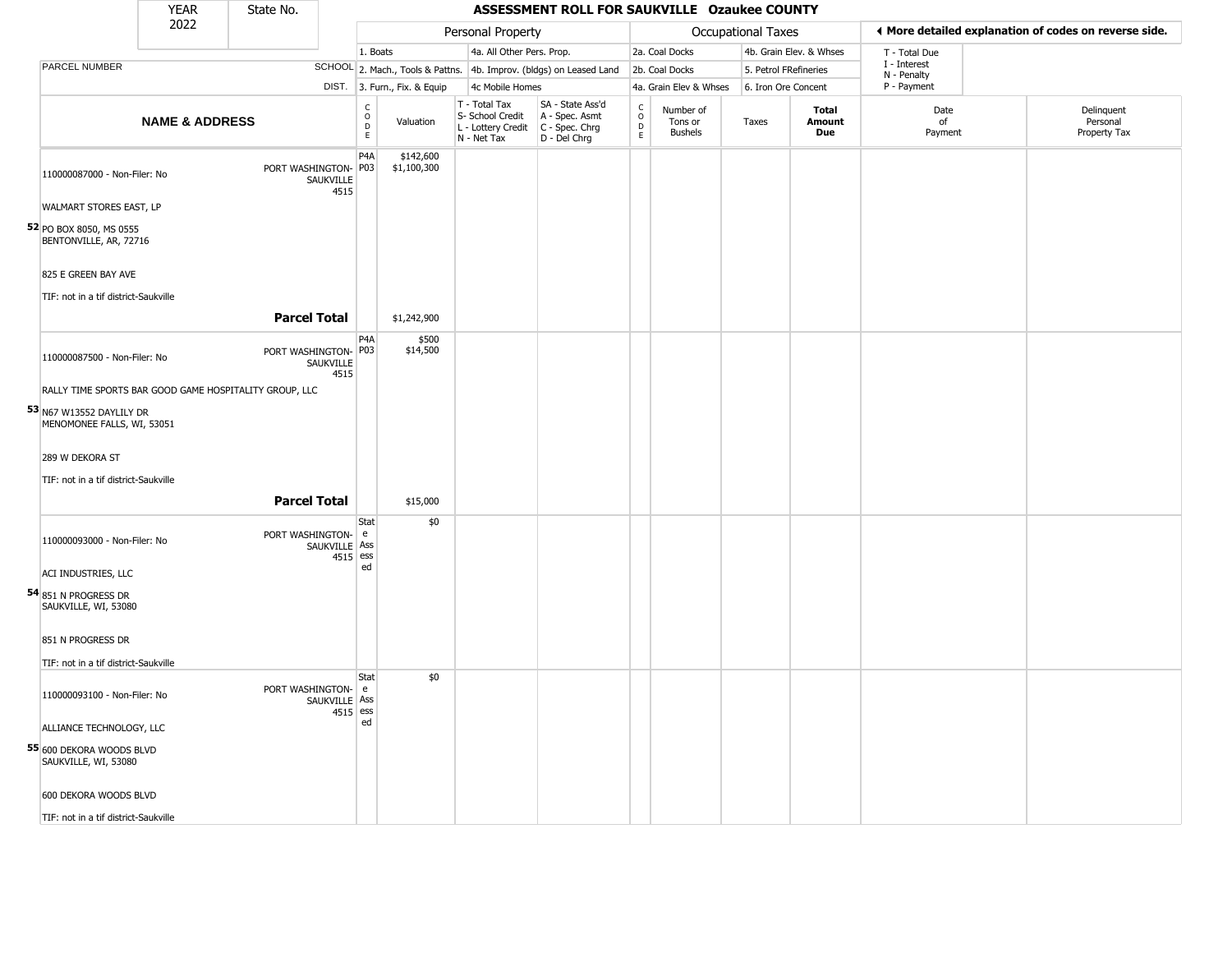|                                                        | <b>YEAR</b>               | State No.                                              |                             |                                                |                              |                                                                        | ASSESSMENT ROLL FOR SAUKVILLE Ozaukee COUNTY                         |                                   |                                        |                    |                       |                         |                             |                                                       |
|--------------------------------------------------------|---------------------------|--------------------------------------------------------|-----------------------------|------------------------------------------------|------------------------------|------------------------------------------------------------------------|----------------------------------------------------------------------|-----------------------------------|----------------------------------------|--------------------|-----------------------|-------------------------|-----------------------------|-------------------------------------------------------|
|                                                        | 2022                      |                                                        |                             |                                                |                              | Personal Property                                                      |                                                                      |                                   |                                        | Occupational Taxes |                       |                         |                             | I More detailed explanation of codes on reverse side. |
|                                                        |                           |                                                        |                             | 1. Boats                                       |                              | 4a. All Other Pers. Prop.                                              |                                                                      |                                   | 2a. Coal Docks                         |                    |                       | 4b. Grain Elev. & Whses | T - Total Due               |                                                       |
| <b>PARCEL NUMBER</b>                                   |                           |                                                        |                             |                                                |                              |                                                                        | SCHOOL 2. Mach., Tools & Pattns. 4b. Improv. (bldgs) on Leased Land  |                                   | 2b. Coal Docks                         |                    | 5. Petrol FRefineries |                         | I - Interest<br>N - Penalty |                                                       |
|                                                        |                           |                                                        |                             |                                                | DIST. 3. Furn., Fix. & Equip | 4c Mobile Homes                                                        |                                                                      |                                   | 4a. Grain Elev & Whses                 |                    | 6. Iron Ore Concent   |                         | P - Payment                 |                                                       |
|                                                        | <b>NAME &amp; ADDRESS</b> |                                                        |                             | $\begin{matrix} 0 \\ 0 \\ D \end{matrix}$<br>E | Valuation                    | T - Total Tax<br>S- School Credit<br>L - Lottery Credit<br>N - Net Tax | SA - State Ass'd<br>A - Spec. Asmt<br>C - Spec. Chrg<br>D - Del Chrg | $\frac{c}{0}$<br>$\mathsf D$<br>E | Number of<br>Tons or<br><b>Bushels</b> | Taxes              |                       | Total<br>Amount<br>Due  | Date<br>of<br>Payment       | Delinquent<br>Personal<br>Property Tax                |
| 110000087000 - Non-Filer: No                           |                           | PORT WASHINGTON-                                       | SAUKVILLE<br>4515           | P <sub>4</sub> A<br>P03                        | \$142,600<br>\$1,100,300     |                                                                        |                                                                      |                                   |                                        |                    |                       |                         |                             |                                                       |
| WALMART STORES EAST, LP                                |                           |                                                        |                             |                                                |                              |                                                                        |                                                                      |                                   |                                        |                    |                       |                         |                             |                                                       |
| 52 PO BOX 8050, MS 0555<br>BENTONVILLE, AR, 72716      |                           |                                                        |                             |                                                |                              |                                                                        |                                                                      |                                   |                                        |                    |                       |                         |                             |                                                       |
| 825 E GREEN BAY AVE                                    |                           |                                                        |                             |                                                |                              |                                                                        |                                                                      |                                   |                                        |                    |                       |                         |                             |                                                       |
|                                                        |                           |                                                        |                             |                                                |                              |                                                                        |                                                                      |                                   |                                        |                    |                       |                         |                             |                                                       |
| TIF: not in a tif district-Saukville                   |                           |                                                        |                             |                                                |                              |                                                                        |                                                                      |                                   |                                        |                    |                       |                         |                             |                                                       |
|                                                        |                           | <b>Parcel Total</b>                                    |                             |                                                | \$1,242,900                  |                                                                        |                                                                      |                                   |                                        |                    |                       |                         |                             |                                                       |
| 110000087500 - Non-Filer: No                           |                           | PORT WASHINGTON-                                       | SAUKVILLE<br>4515           | P <sub>4</sub> A<br>P03                        | \$500<br>\$14,500            |                                                                        |                                                                      |                                   |                                        |                    |                       |                         |                             |                                                       |
|                                                        |                           | RALLY TIME SPORTS BAR GOOD GAME HOSPITALITY GROUP, LLC |                             |                                                |                              |                                                                        |                                                                      |                                   |                                        |                    |                       |                         |                             |                                                       |
| 53 N67 W13552 DAYLILY DR<br>MENOMONEE FALLS, WI, 53051 |                           |                                                        |                             |                                                |                              |                                                                        |                                                                      |                                   |                                        |                    |                       |                         |                             |                                                       |
| 289 W DEKORA ST                                        |                           |                                                        |                             |                                                |                              |                                                                        |                                                                      |                                   |                                        |                    |                       |                         |                             |                                                       |
|                                                        |                           |                                                        |                             |                                                |                              |                                                                        |                                                                      |                                   |                                        |                    |                       |                         |                             |                                                       |
| TIF: not in a tif district-Saukville                   |                           |                                                        |                             |                                                |                              |                                                                        |                                                                      |                                   |                                        |                    |                       |                         |                             |                                                       |
|                                                        |                           | <b>Parcel Total</b>                                    |                             |                                                | \$15,000                     |                                                                        |                                                                      |                                   |                                        |                    |                       |                         |                             |                                                       |
| 110000093000 - Non-Filer: No                           |                           | PORT WASHINGTON-                                       | SAUKVILLE Ass<br>$4515$ ess | Stat<br>e                                      | \$0                          |                                                                        |                                                                      |                                   |                                        |                    |                       |                         |                             |                                                       |
| ACI INDUSTRIES, LLC                                    |                           |                                                        |                             | ed                                             |                              |                                                                        |                                                                      |                                   |                                        |                    |                       |                         |                             |                                                       |
| 54 851 N Progress Dr<br>SAUKVILLE, WI, 53080           |                           |                                                        |                             |                                                |                              |                                                                        |                                                                      |                                   |                                        |                    |                       |                         |                             |                                                       |
| 851 N PROGRESS DR                                      |                           |                                                        |                             |                                                |                              |                                                                        |                                                                      |                                   |                                        |                    |                       |                         |                             |                                                       |
| TIF: not in a tif district-Saukville                   |                           |                                                        |                             |                                                |                              |                                                                        |                                                                      |                                   |                                        |                    |                       |                         |                             |                                                       |
|                                                        |                           |                                                        |                             | Stat                                           | \$0                          |                                                                        |                                                                      |                                   |                                        |                    |                       |                         |                             |                                                       |
| 110000093100 - Non-Filer: No                           |                           | PORT WASHINGTON-                                       | SAUKVILLE Ass<br>$4515$ ess | e                                              |                              |                                                                        |                                                                      |                                   |                                        |                    |                       |                         |                             |                                                       |
| ALLIANCE TECHNOLOGY, LLC                               |                           |                                                        |                             | ed                                             |                              |                                                                        |                                                                      |                                   |                                        |                    |                       |                         |                             |                                                       |
| 55 600 DEKORA WOODS BLVD<br>SAUKVILLE, WI, 53080       |                           |                                                        |                             |                                                |                              |                                                                        |                                                                      |                                   |                                        |                    |                       |                         |                             |                                                       |
| 600 DEKORA WOODS BLVD                                  |                           |                                                        |                             |                                                |                              |                                                                        |                                                                      |                                   |                                        |                    |                       |                         |                             |                                                       |
| TIF: not in a tif district-Saukville                   |                           |                                                        |                             |                                                |                              |                                                                        |                                                                      |                                   |                                        |                    |                       |                         |                             |                                                       |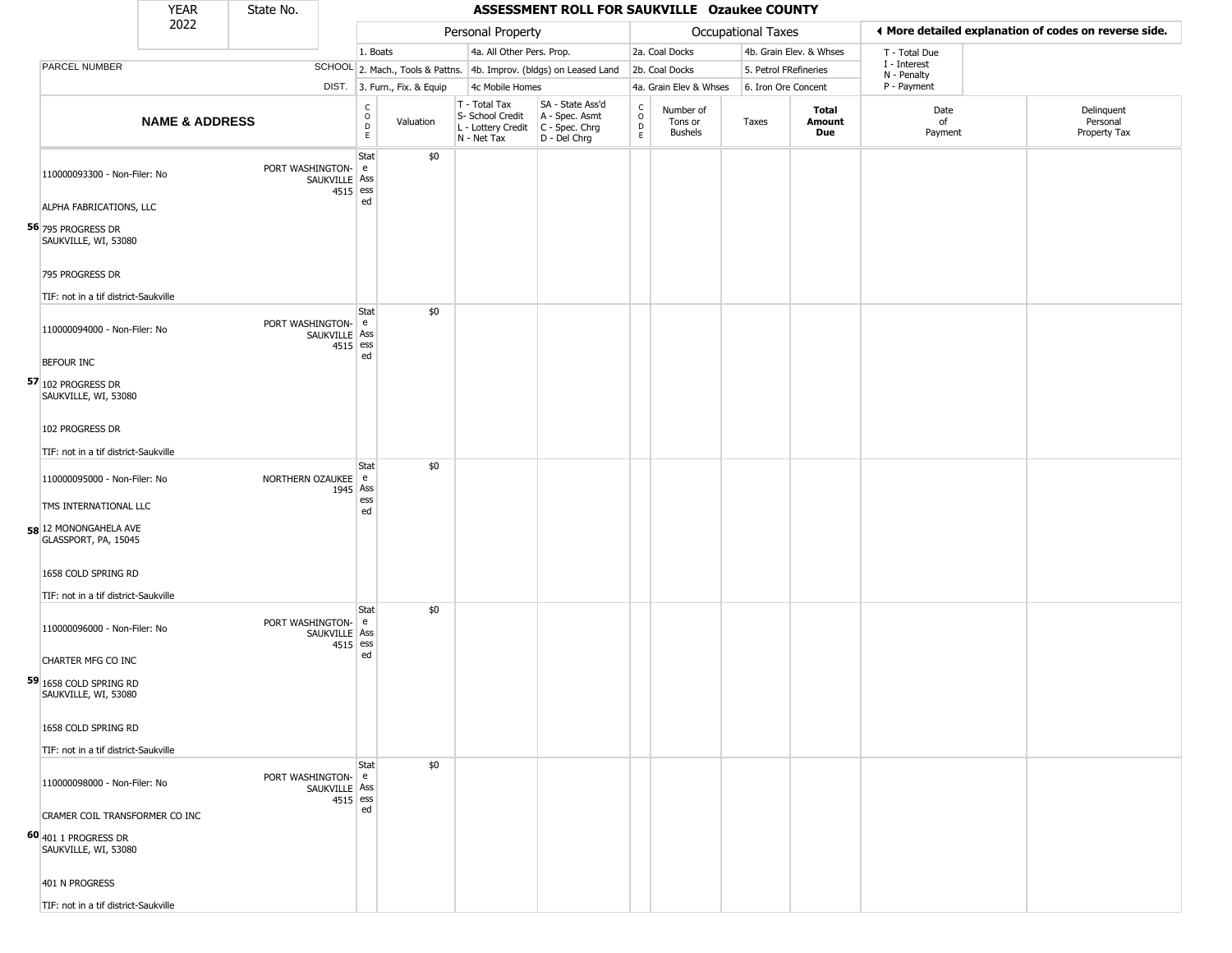|                                                                                                       | <b>YEAR</b>               | State No.                           |                                    |                              |                                                                        | ASSESSMENT ROLL FOR SAUKVILLE Ozaukee COUNTY                         |                                     |                                        |                       |                         |                             |                                                       |
|-------------------------------------------------------------------------------------------------------|---------------------------|-------------------------------------|------------------------------------|------------------------------|------------------------------------------------------------------------|----------------------------------------------------------------------|-------------------------------------|----------------------------------------|-----------------------|-------------------------|-----------------------------|-------------------------------------------------------|
|                                                                                                       | 2022                      |                                     |                                    |                              | Personal Property                                                      |                                                                      |                                     |                                        | Occupational Taxes    |                         |                             | ♦ More detailed explanation of codes on reverse side. |
|                                                                                                       |                           |                                     | 1. Boats                           |                              | 4a. All Other Pers. Prop.                                              |                                                                      |                                     | 2a. Coal Docks                         |                       | 4b. Grain Elev. & Whses | T - Total Due               |                                                       |
| <b>PARCEL NUMBER</b>                                                                                  |                           |                                     |                                    |                              |                                                                        | SCHOOL 2. Mach., Tools & Pattns. 4b. Improv. (bldgs) on Leased Land  |                                     | 2b. Coal Docks                         | 5. Petrol FRefineries |                         | I - Interest<br>N - Penalty |                                                       |
|                                                                                                       |                           |                                     |                                    | DIST. 3. Furn., Fix. & Equip | 4c Mobile Homes                                                        |                                                                      |                                     | 4a. Grain Elev & Whses                 | 6. Iron Ore Concent   |                         | P - Payment                 |                                                       |
|                                                                                                       | <b>NAME &amp; ADDRESS</b> |                                     | c<br>$\mathsf O$<br>D<br>E         | Valuation                    | T - Total Tax<br>S- School Credit<br>L - Lottery Credit<br>N - Net Tax | SA - State Ass'd<br>A - Spec. Asmt<br>C - Spec. Chrg<br>D - Del Chrg | $\int_{0}^{c}$<br>$\mathsf{D}$<br>E | Number of<br>Tons or<br><b>Bushels</b> | Taxes                 | Total<br>Amount<br>Due  | Date<br>οf<br>Payment       | Delinquent<br>Personal<br>Property Tax                |
| 110000093300 - Non-Filer: No<br>ALPHA FABRICATIONS, LLC<br>56 795 PROGRESS DR<br>SAUKVILLE, WI, 53080 |                           | PORT WASHINGTON-<br>SAUKVILLE Ass   | Stat<br>e<br>4515 ess<br>ed        | \$0                          |                                                                        |                                                                      |                                     |                                        |                       |                         |                             |                                                       |
| 795 PROGRESS DR<br>TIF: not in a tif district-Saukville                                               |                           |                                     |                                    |                              |                                                                        |                                                                      |                                     |                                        |                       |                         |                             |                                                       |
| 110000094000 - Non-Filer: No<br><b>BEFOUR INC</b><br>57 102 PROGRESS DR<br>SAUKVILLE, WI, 53080       |                           | PORT WASHINGTON-<br>SAUKVILLE Ass   | Stat<br>e<br>4515 ess<br>ed        | \$0                          |                                                                        |                                                                      |                                     |                                        |                       |                         |                             |                                                       |
| 102 PROGRESS DR<br>TIF: not in a tif district-Saukville                                               |                           |                                     |                                    |                              |                                                                        |                                                                      |                                     |                                        |                       |                         |                             |                                                       |
| 110000095000 - Non-Filer: No<br>TMS INTERNATIONAL LLC                                                 |                           | NORTHERN OZAUKEE                    | Stat<br>e<br>1945 Ass<br>ess<br>ed | \$0                          |                                                                        |                                                                      |                                     |                                        |                       |                         |                             |                                                       |
| 58 12 MONONGAHELA AVE<br>GLASSPORT, PA, 15045<br>1658 COLD SPRING RD                                  |                           |                                     |                                    |                              |                                                                        |                                                                      |                                     |                                        |                       |                         |                             |                                                       |
| TIF: not in a tif district-Saukville                                                                  |                           |                                     |                                    |                              |                                                                        |                                                                      |                                     |                                        |                       |                         |                             |                                                       |
| 110000096000 - Non-Filer: No<br>CHARTER MFG CO INC                                                    |                           | PORT WASHINGTON-<br>SAUKVILLE   Ass | <b>Stat</b><br>e<br>4515 ess<br>ed | \$0                          |                                                                        |                                                                      |                                     |                                        |                       |                         |                             |                                                       |
| 59 1658 COLD SPRING RD<br>SAUKVILLE, WI, 53080                                                        |                           |                                     |                                    |                              |                                                                        |                                                                      |                                     |                                        |                       |                         |                             |                                                       |
| 1658 COLD SPRING RD<br>TIF: not in a tif district-Saukville                                           |                           |                                     |                                    |                              |                                                                        |                                                                      |                                     |                                        |                       |                         |                             |                                                       |
| 110000098000 - Non-Filer: No                                                                          |                           | PORT WASHINGTON- e<br>SAUKVILLE Ass | Stat<br>4515 ess<br>ed             | \$0                          |                                                                        |                                                                      |                                     |                                        |                       |                         |                             |                                                       |
| CRAMER COIL TRANSFORMER CO INC<br>60 401 1 PROGRESS DR<br>SAUKVILLE, WI, 53080                        |                           |                                     |                                    |                              |                                                                        |                                                                      |                                     |                                        |                       |                         |                             |                                                       |
| 401 N PROGRESS<br>TIF: not in a tif district-Saukville                                                |                           |                                     |                                    |                              |                                                                        |                                                                      |                                     |                                        |                       |                         |                             |                                                       |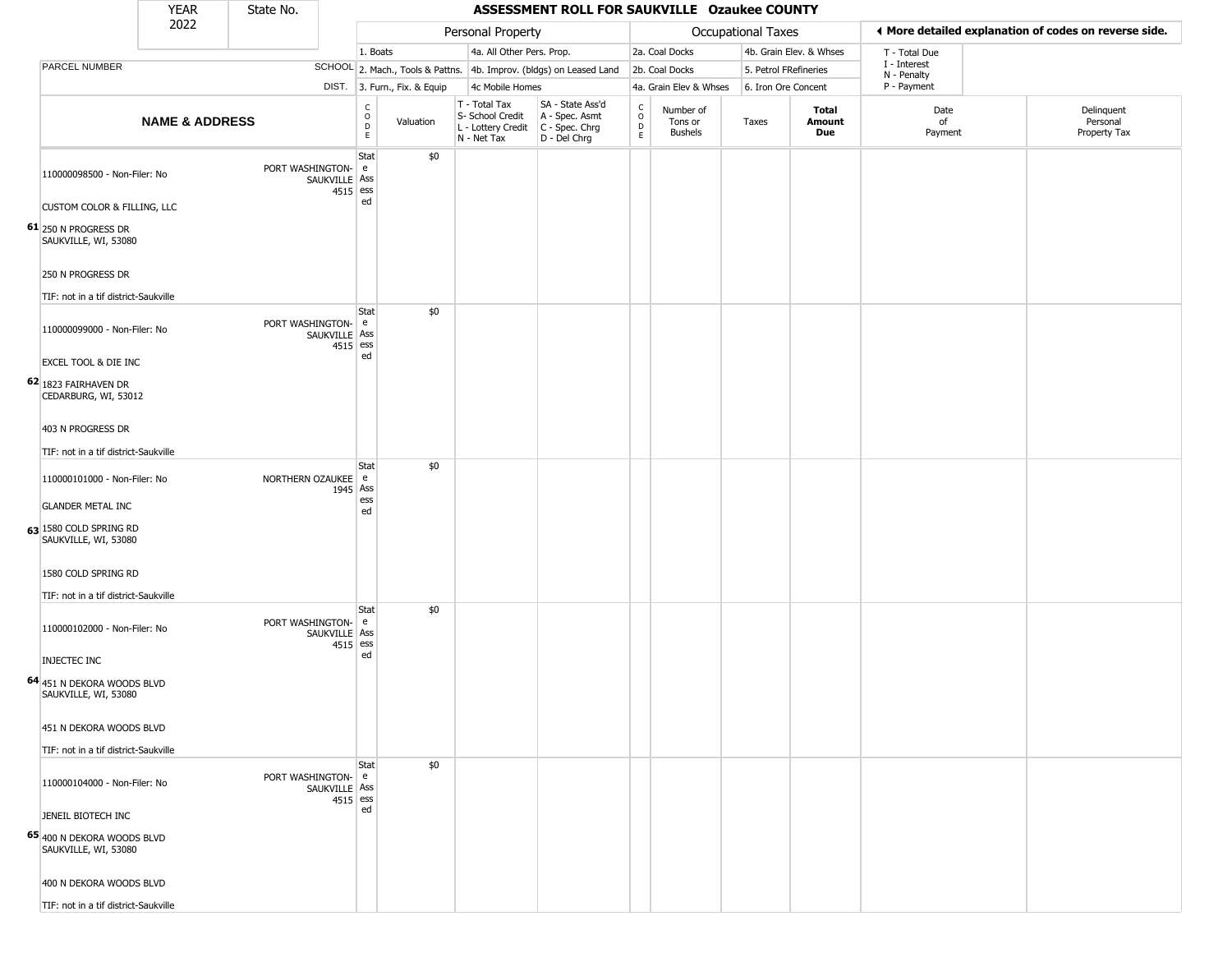|                                                                                                             | <b>YEAR</b>               | State No.                           |                                             |                              |                                                  | ASSESSMENT ROLL FOR SAUKVILLE Ozaukee COUNTY                                              |                                    |                                        |                       |                         |                             |                                                       |
|-------------------------------------------------------------------------------------------------------------|---------------------------|-------------------------------------|---------------------------------------------|------------------------------|--------------------------------------------------|-------------------------------------------------------------------------------------------|------------------------------------|----------------------------------------|-----------------------|-------------------------|-----------------------------|-------------------------------------------------------|
|                                                                                                             | 2022                      |                                     |                                             |                              | Personal Property                                |                                                                                           |                                    |                                        | Occupational Taxes    |                         |                             | ♦ More detailed explanation of codes on reverse side. |
|                                                                                                             |                           |                                     | 1. Boats                                    |                              |                                                  | 4a. All Other Pers. Prop.                                                                 |                                    | 2a. Coal Docks                         |                       | 4b. Grain Elev. & Whses | T - Total Due               |                                                       |
| PARCEL NUMBER                                                                                               |                           |                                     |                                             |                              |                                                  | SCHOOL 2. Mach., Tools & Pattns. 4b. Improv. (bldgs) on Leased Land                       |                                    | 2b. Coal Docks                         | 5. Petrol FRefineries |                         | I - Interest<br>N - Penalty |                                                       |
|                                                                                                             |                           |                                     |                                             | DIST. 3. Furn., Fix. & Equip | 4c Mobile Homes                                  |                                                                                           |                                    | 4a. Grain Elev & Whses                 | 6. Iron Ore Concent   |                         | P - Payment                 |                                                       |
|                                                                                                             | <b>NAME &amp; ADDRESS</b> |                                     | $\frac{C}{O}$<br>$\mathsf D$<br>$\mathsf E$ | Valuation                    | T - Total Tax<br>S- School Credit<br>N - Net Tax | SA - State Ass'd<br>A - Spec. Asmt<br>L - Lottery Credit   C - Spec. Chrg<br>D - Del Chrg | $\int_{0}^{c}$<br>$\mathsf D$<br>E | Number of<br>Tons or<br><b>Bushels</b> | Taxes                 | Total<br>Amount<br>Due  | Date<br>of<br>Payment       | Delinquent<br>Personal<br>Property Tax                |
| 110000098500 - Non-Filer: No<br>CUSTOM COLOR & FILLING, LLC<br>61 250 N PROGRESS DR<br>SAUKVILLE, WI, 53080 |                           | PORT WASHINGTON-<br>SAUKVILLE Ass   | Stat<br>e<br>4515 ess<br>ed                 | \$0                          |                                                  |                                                                                           |                                    |                                        |                       |                         |                             |                                                       |
| 250 N PROGRESS DR<br>TIF: not in a tif district-Saukville                                                   |                           |                                     |                                             |                              |                                                  |                                                                                           |                                    |                                        |                       |                         |                             |                                                       |
| 110000099000 - Non-Filer: No<br>EXCEL TOOL & DIE INC                                                        |                           | PORT WASHINGTON-<br>SAUKVILLE   Ass | Stat<br>e<br>4515 ess<br>ed                 | \$0                          |                                                  |                                                                                           |                                    |                                        |                       |                         |                             |                                                       |
| 62 1823 FAIRHAVEN DR<br>CEDARBURG, WI, 53012<br>403 N PROGRESS DR                                           |                           |                                     |                                             |                              |                                                  |                                                                                           |                                    |                                        |                       |                         |                             |                                                       |
|                                                                                                             |                           |                                     |                                             |                              |                                                  |                                                                                           |                                    |                                        |                       |                         |                             |                                                       |
| TIF: not in a tif district-Saukville                                                                        |                           |                                     | Stat                                        | \$0                          |                                                  |                                                                                           |                                    |                                        |                       |                         |                             |                                                       |
| 110000101000 - Non-Filer: No                                                                                |                           | NORTHERN OZAUKEE                    | e<br>1945 Ass<br>ess                        |                              |                                                  |                                                                                           |                                    |                                        |                       |                         |                             |                                                       |
| <b>GLANDER METAL INC</b>                                                                                    |                           |                                     | ed                                          |                              |                                                  |                                                                                           |                                    |                                        |                       |                         |                             |                                                       |
| 63 1580 COLD SPRING RD<br>SAUKVILLE, WI, 53080                                                              |                           |                                     |                                             |                              |                                                  |                                                                                           |                                    |                                        |                       |                         |                             |                                                       |
| 1580 COLD SPRING RD                                                                                         |                           |                                     |                                             |                              |                                                  |                                                                                           |                                    |                                        |                       |                         |                             |                                                       |
| TIF: not in a tif district-Saukville                                                                        |                           |                                     | Stat                                        | \$0                          |                                                  |                                                                                           |                                    |                                        |                       |                         |                             |                                                       |
| 110000102000 - Non-Filer: No                                                                                |                           | PORT WASHINGTON-<br>SAUKVILLE   Ass | e<br>4515 ess                               |                              |                                                  |                                                                                           |                                    |                                        |                       |                         |                             |                                                       |
| INJECTEC INC                                                                                                |                           |                                     | ed                                          |                              |                                                  |                                                                                           |                                    |                                        |                       |                         |                             |                                                       |
| 64 451 N DEKORA WOODS BLVD<br>SAUKVILLE, WI, 53080                                                          |                           |                                     |                                             |                              |                                                  |                                                                                           |                                    |                                        |                       |                         |                             |                                                       |
| 451 N DEKORA WOODS BLVD                                                                                     |                           |                                     |                                             |                              |                                                  |                                                                                           |                                    |                                        |                       |                         |                             |                                                       |
| TIF: not in a tif district-Saukville                                                                        |                           |                                     |                                             |                              |                                                  |                                                                                           |                                    |                                        |                       |                         |                             |                                                       |
| 110000104000 - Non-Filer: No                                                                                |                           | PORT WASHINGTON-<br>SAUKVILLE Ass   | Stat<br>e<br>4515 ess                       | \$0                          |                                                  |                                                                                           |                                    |                                        |                       |                         |                             |                                                       |
| JENEIL BIOTECH INC                                                                                          |                           |                                     | ed                                          |                              |                                                  |                                                                                           |                                    |                                        |                       |                         |                             |                                                       |
| 65 400 N DEKORA WOODS BLVD<br>SAUKVILLE, WI, 53080                                                          |                           |                                     |                                             |                              |                                                  |                                                                                           |                                    |                                        |                       |                         |                             |                                                       |
| 400 N DEKORA WOODS BLVD                                                                                     |                           |                                     |                                             |                              |                                                  |                                                                                           |                                    |                                        |                       |                         |                             |                                                       |
| TIF: not in a tif district-Saukville                                                                        |                           |                                     |                                             |                              |                                                  |                                                                                           |                                    |                                        |                       |                         |                             |                                                       |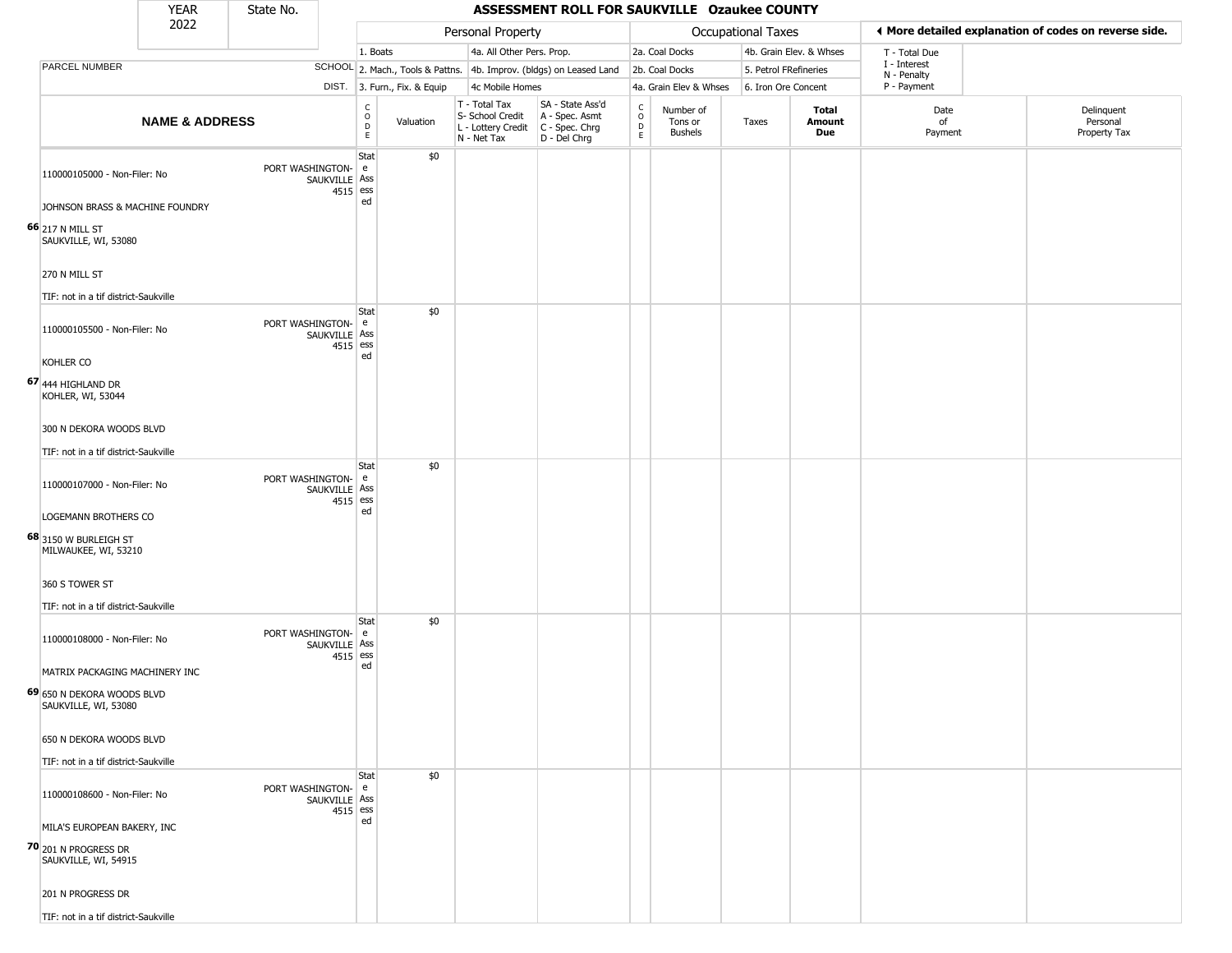|                                                                                                             | <b>YEAR</b>               | State No.          |                               |                                                 |                                  |                                                                        | ASSESSMENT ROLL FOR SAUKVILLE Ozaukee COUNTY                         |                                                 |                                        |                       |                         |                                                       |                                        |
|-------------------------------------------------------------------------------------------------------------|---------------------------|--------------------|-------------------------------|-------------------------------------------------|----------------------------------|------------------------------------------------------------------------|----------------------------------------------------------------------|-------------------------------------------------|----------------------------------------|-----------------------|-------------------------|-------------------------------------------------------|----------------------------------------|
|                                                                                                             | 2022                      |                    |                               |                                                 |                                  | Personal Property                                                      |                                                                      |                                                 |                                        | Occupational Taxes    |                         | ◀ More detailed explanation of codes on reverse side. |                                        |
|                                                                                                             |                           |                    |                               | 1. Boats                                        |                                  | 4a. All Other Pers. Prop.                                              |                                                                      |                                                 | 2a. Coal Docks                         |                       | 4b. Grain Elev. & Whses | T - Total Due                                         |                                        |
| PARCEL NUMBER                                                                                               |                           |                    |                               |                                                 | SCHOOL 2. Mach., Tools & Pattns. |                                                                        | 4b. Improv. (bldgs) on Leased Land                                   |                                                 | 2b. Coal Docks                         | 5. Petrol FRefineries |                         | I - Interest<br>N - Penalty                           |                                        |
|                                                                                                             |                           |                    |                               |                                                 | DIST. 3. Furn., Fix. & Equip     | 4c Mobile Homes                                                        |                                                                      |                                                 | 4a. Grain Elev & Whses                 | 6. Iron Ore Concent   |                         | P - Payment                                           |                                        |
|                                                                                                             | <b>NAME &amp; ADDRESS</b> |                    |                               | $\begin{array}{c} C \\ O \\ D \\ E \end{array}$ | Valuation                        | T - Total Tax<br>S- School Credit<br>L - Lottery Credit<br>N - Net Tax | SA - State Ass'd<br>A - Spec. Asmt<br>C - Spec. Chrg<br>D - Del Chrg | $\begin{array}{c} C \\ O \\ D \\ E \end{array}$ | Number of<br>Tons or<br><b>Bushels</b> | Taxes                 | Total<br>Amount<br>Due  | Date<br>of<br>Payment                                 | Delinquent<br>Personal<br>Property Tax |
| 110000105000 - Non-Filer: No<br>JOHNSON BRASS & MACHINE FOUNDRY<br>66 217 N MILL ST<br>SAUKVILLE, WI, 53080 |                           | PORT WASHINGTON-   | SAUKVILLE   Ass<br>$4515$ ess | Stat<br>e<br>ed                                 | \$0                              |                                                                        |                                                                      |                                                 |                                        |                       |                         |                                                       |                                        |
| 270 N MILL ST<br>TIF: not in a tif district-Saukville                                                       |                           |                    |                               |                                                 |                                  |                                                                        |                                                                      |                                                 |                                        |                       |                         |                                                       |                                        |
| 110000105500 - Non-Filer: No<br>KOHLER CO<br>67 444 HIGHLAND DR                                             |                           | PORT WASHINGTON-   | SAUKVILLE Ass<br>$4515$ ess   | Stat<br>e<br>ed                                 | \$0                              |                                                                        |                                                                      |                                                 |                                        |                       |                         |                                                       |                                        |
| KOHLER, WI, 53044<br>300 N DEKORA WOODS BLVD                                                                |                           |                    |                               |                                                 |                                  |                                                                        |                                                                      |                                                 |                                        |                       |                         |                                                       |                                        |
| TIF: not in a tif district-Saukville                                                                        |                           |                    |                               |                                                 |                                  |                                                                        |                                                                      |                                                 |                                        |                       |                         |                                                       |                                        |
| 110000107000 - Non-Filer: No<br>LOGEMANN BROTHERS CO<br>68 3150 W BURLEIGH ST<br>MILWAUKEE, WI, 53210       |                           | PORT WASHINGTON-   | SAUKVILLE Ass<br>$4515$ ess   | Stat<br>e<br>ed                                 | \$0                              |                                                                        |                                                                      |                                                 |                                        |                       |                         |                                                       |                                        |
| 360 S TOWER ST<br>TIF: not in a tif district-Saukville                                                      |                           |                    |                               |                                                 |                                  |                                                                        |                                                                      |                                                 |                                        |                       |                         |                                                       |                                        |
| 110000108000 - Non-Filer: No<br>MATRIX PACKAGING MACHINERY INC                                              |                           | PORT WASHINGTON- e | SAUKVILLE Ass<br>$4515$ ess   | <b>Stat</b><br>ed                               | \$0                              |                                                                        |                                                                      |                                                 |                                        |                       |                         |                                                       |                                        |
| 69 650 N DEKORA WOODS BLVD<br>SAUKVILLE, WI, 53080                                                          |                           |                    |                               |                                                 |                                  |                                                                        |                                                                      |                                                 |                                        |                       |                         |                                                       |                                        |
| 650 N DEKORA WOODS BLVD                                                                                     |                           |                    |                               |                                                 |                                  |                                                                        |                                                                      |                                                 |                                        |                       |                         |                                                       |                                        |
| TIF: not in a tif district-Saukville                                                                        |                           |                    |                               |                                                 |                                  |                                                                        |                                                                      |                                                 |                                        |                       |                         |                                                       |                                        |
| 110000108600 - Non-Filer: No                                                                                |                           | PORT WASHINGTON- e | SAUKVILLE Ass<br>4515 ess     | Stat<br>ed                                      | \$0                              |                                                                        |                                                                      |                                                 |                                        |                       |                         |                                                       |                                        |
| MILA'S EUROPEAN BAKERY, INC<br>70 201 N PROGRESS DR<br>SAUKVILLE, WI, 54915                                 |                           |                    |                               |                                                 |                                  |                                                                        |                                                                      |                                                 |                                        |                       |                         |                                                       |                                        |
| 201 N PROGRESS DR                                                                                           |                           |                    |                               |                                                 |                                  |                                                                        |                                                                      |                                                 |                                        |                       |                         |                                                       |                                        |
| TIF: not in a tif district-Saukville                                                                        |                           |                    |                               |                                                 |                                  |                                                                        |                                                                      |                                                 |                                        |                       |                         |                                                       |                                        |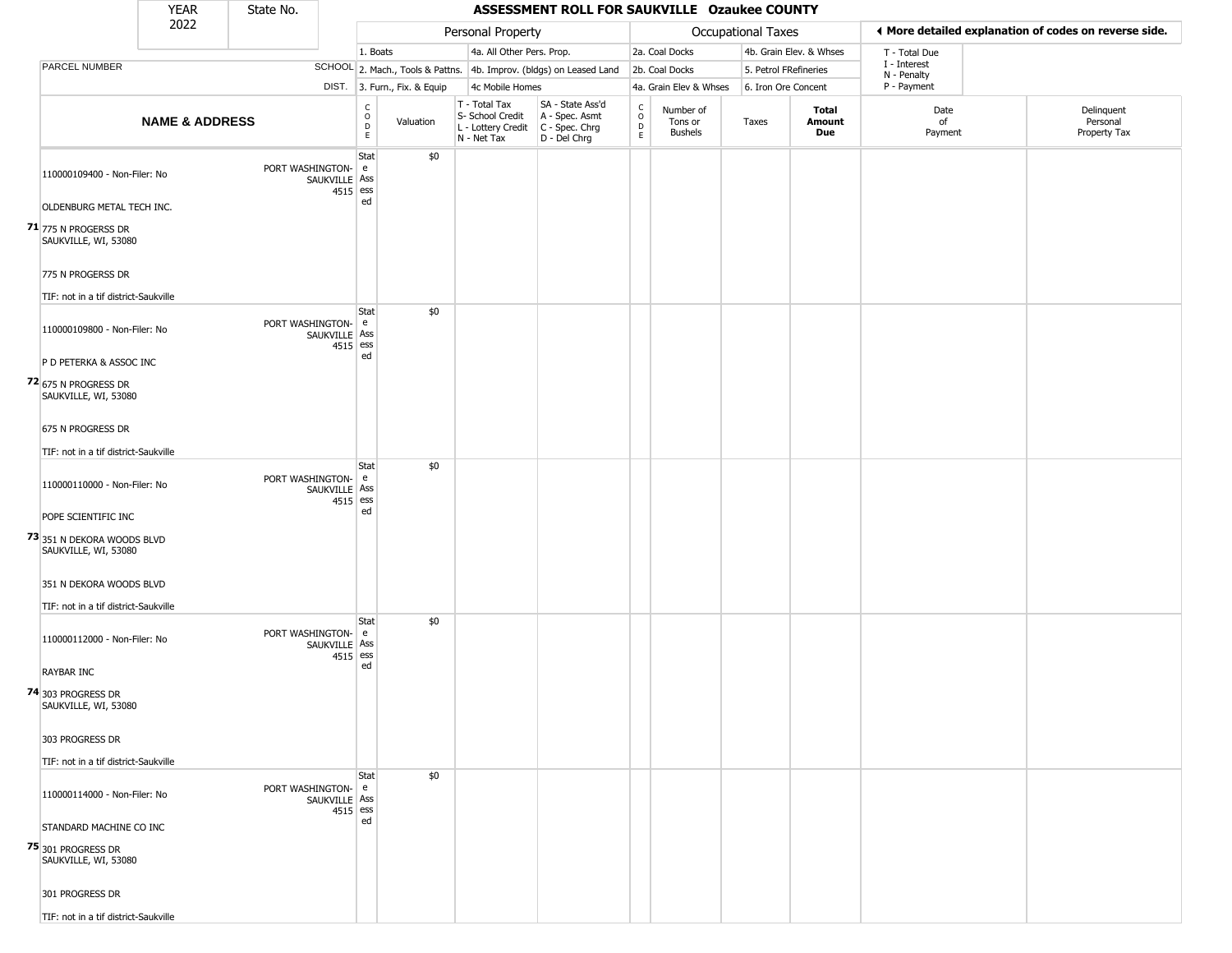|                                                                                                           | <b>YEAR</b>               | State No.          |                           |                                                 |                              |                                                                                         | ASSESSMENT ROLL FOR SAUKVILLE Ozaukee COUNTY                        |                                                          |                                        |                       |                         |                             |                                                       |
|-----------------------------------------------------------------------------------------------------------|---------------------------|--------------------|---------------------------|-------------------------------------------------|------------------------------|-----------------------------------------------------------------------------------------|---------------------------------------------------------------------|----------------------------------------------------------|----------------------------------------|-----------------------|-------------------------|-----------------------------|-------------------------------------------------------|
|                                                                                                           | 2022                      |                    |                           |                                                 |                              | Personal Property                                                                       |                                                                     |                                                          |                                        | Occupational Taxes    |                         |                             | ◀ More detailed explanation of codes on reverse side. |
|                                                                                                           |                           |                    |                           | 1. Boats                                        |                              | 4a. All Other Pers. Prop.                                                               |                                                                     |                                                          | 2a. Coal Docks                         |                       | 4b. Grain Elev. & Whses | T - Total Due               |                                                       |
| PARCEL NUMBER                                                                                             |                           |                    |                           |                                                 |                              |                                                                                         | SCHOOL 2. Mach., Tools & Pattns. 4b. Improv. (bldgs) on Leased Land |                                                          | 2b. Coal Docks                         | 5. Petrol FRefineries |                         | I - Interest<br>N - Penalty |                                                       |
|                                                                                                           |                           |                    |                           |                                                 | DIST. 3. Furn., Fix. & Equip | 4c Mobile Homes                                                                         |                                                                     |                                                          | 4a. Grain Elev & Whses                 | 6. Iron Ore Concent   |                         | P - Payment                 |                                                       |
|                                                                                                           | <b>NAME &amp; ADDRESS</b> |                    |                           | $\begin{array}{c} C \\ O \\ D \\ E \end{array}$ | Valuation                    | T - Total Tax<br>S- School Credit<br>L - Lottery Credit   C - Spec. Chrg<br>N - Net Tax | SA - State Ass'd<br>A - Spec. Asmt<br>D - Del Chrg                  | $\begin{smallmatrix} C \\ O \\ D \end{smallmatrix}$<br>E | Number of<br>Tons or<br><b>Bushels</b> | Taxes                 | Total<br>Amount<br>Due  | Date<br>of<br>Payment       | Delinquent<br>Personal<br>Property Tax                |
| 110000109400 - Non-Filer: No<br>OLDENBURG METAL TECH INC.<br>71 775 N PROGERSS DR<br>SAUKVILLE, WI, 53080 |                           | PORT WASHINGTON-   | SAUKVILLE Ass<br>4515 ess | Stat<br>e<br>ed                                 | \$0                          |                                                                                         |                                                                     |                                                          |                                        |                       |                         |                             |                                                       |
| 775 N PROGERSS DR<br>TIF: not in a tif district-Saukville                                                 |                           |                    |                           |                                                 |                              |                                                                                         |                                                                     |                                                          |                                        |                       |                         |                             |                                                       |
| 110000109800 - Non-Filer: No<br>P D PETERKA & ASSOC INC<br>72 675 N PROGRESS DR                           |                           | PORT WASHINGTON-   | SAUKVILLE Ass<br>4515 ess | Stat<br>e<br>ed                                 | \$0                          |                                                                                         |                                                                     |                                                          |                                        |                       |                         |                             |                                                       |
| SAUKVILLE, WI, 53080<br>675 N PROGRESS DR<br>TIF: not in a tif district-Saukville                         |                           |                    |                           |                                                 |                              |                                                                                         |                                                                     |                                                          |                                        |                       |                         |                             |                                                       |
| 110000110000 - Non-Filer: No<br>POPE SCIENTIFIC INC<br>73 351 N DEKORA WOODS BLVD<br>SAUKVILLE, WI, 53080 |                           | PORT WASHINGTON-   | SAUKVILLE Ass<br>4515 ess | Stat<br>e<br>ed                                 | \$0                          |                                                                                         |                                                                     |                                                          |                                        |                       |                         |                             |                                                       |
| 351 N DEKORA WOODS BLVD<br>TIF: not in a tif district-Saukville                                           |                           |                    |                           |                                                 |                              |                                                                                         |                                                                     |                                                          |                                        |                       |                         |                             |                                                       |
| 110000112000 - Non-Filer: No<br><b>RAYBAR INC</b><br>74 303 PROGRESS DR<br>SAUKVILLE, WI, 53080           |                           | PORT WASHINGTON- e | SAUKVILLE Ass<br>4515 ess | Stat<br>ed                                      | \$0                          |                                                                                         |                                                                     |                                                          |                                        |                       |                         |                             |                                                       |
| 303 PROGRESS DR<br>TIF: not in a tif district-Saukville                                                   |                           |                    |                           |                                                 |                              |                                                                                         |                                                                     |                                                          |                                        |                       |                         |                             |                                                       |
| 110000114000 - Non-Filer: No<br>STANDARD MACHINE CO INC<br>75 301 PROGRESS DR                             |                           | PORT WASHINGTON- e | SAUKVILLE Ass<br>4515 ess | Stat<br>ed                                      | \$0                          |                                                                                         |                                                                     |                                                          |                                        |                       |                         |                             |                                                       |
| SAUKVILLE, WI, 53080<br>301 PROGRESS DR<br>TIF: not in a tif district-Saukville                           |                           |                    |                           |                                                 |                              |                                                                                         |                                                                     |                                                          |                                        |                       |                         |                             |                                                       |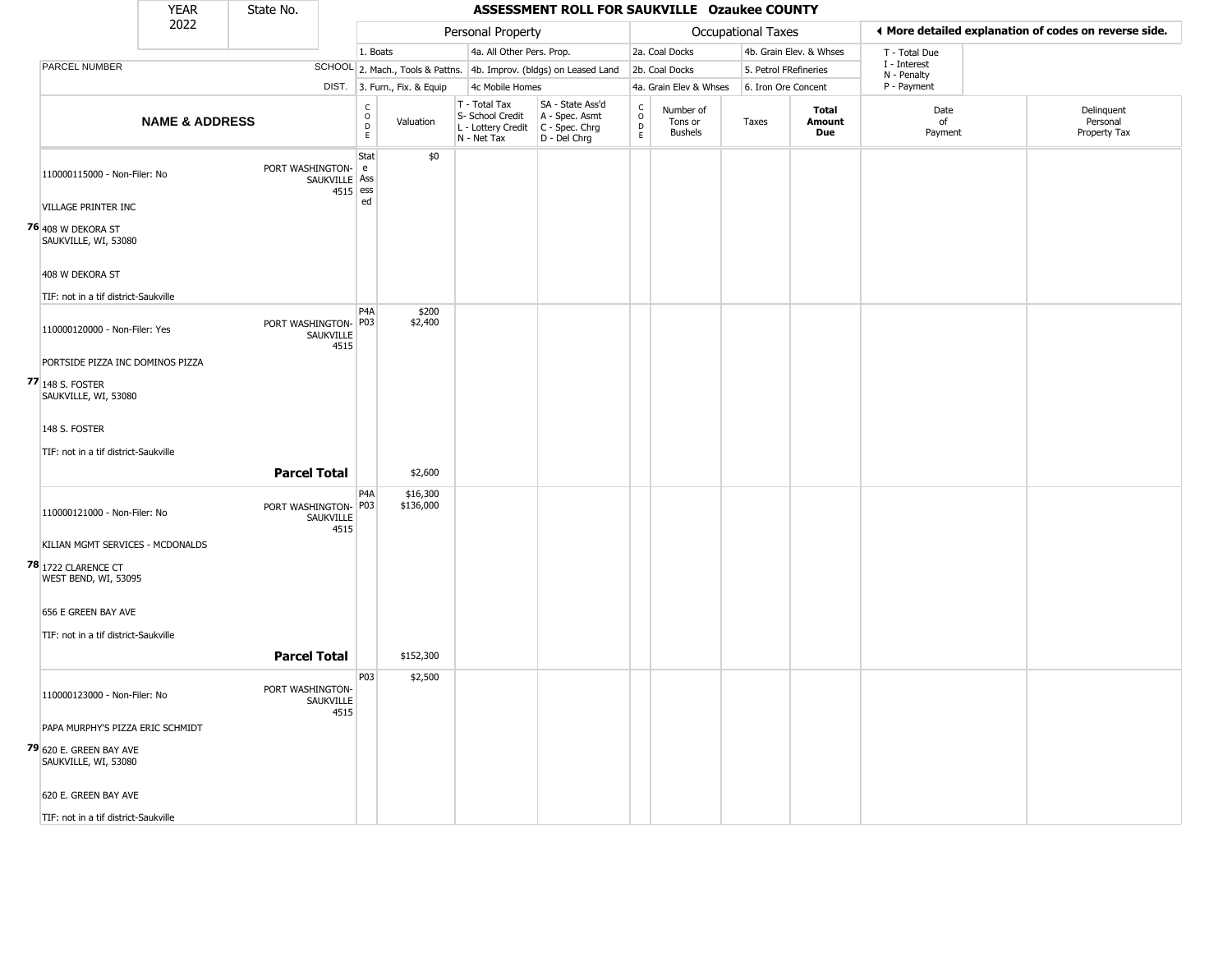|                                                     | <b>YEAR</b>               | State No.            |                             |                                                                    |                              |                                                                                         | ASSESSMENT ROLL FOR SAUKVILLE Ozaukee COUNTY                        |                                   |                                        |                    |                         |                             |                                                       |
|-----------------------------------------------------|---------------------------|----------------------|-----------------------------|--------------------------------------------------------------------|------------------------------|-----------------------------------------------------------------------------------------|---------------------------------------------------------------------|-----------------------------------|----------------------------------------|--------------------|-------------------------|-----------------------------|-------------------------------------------------------|
|                                                     | 2022                      |                      |                             |                                                                    |                              | Personal Property                                                                       |                                                                     |                                   |                                        | Occupational Taxes |                         |                             | ♦ More detailed explanation of codes on reverse side. |
|                                                     |                           |                      |                             | 1. Boats                                                           |                              | 4a. All Other Pers. Prop.                                                               |                                                                     |                                   | 2a. Coal Docks                         |                    | 4b. Grain Elev. & Whses | T - Total Due               |                                                       |
| PARCEL NUMBER                                       |                           |                      |                             |                                                                    |                              |                                                                                         | SCHOOL 2. Mach., Tools & Pattns. 4b. Improv. (bldgs) on Leased Land |                                   | 2b. Coal Docks                         |                    | 5. Petrol FRefineries   | I - Interest<br>N - Penalty |                                                       |
|                                                     |                           |                      |                             |                                                                    | DIST. 3. Furn., Fix. & Equip | 4c Mobile Homes                                                                         |                                                                     |                                   | 4a. Grain Elev & Whses                 |                    | 6. Iron Ore Concent     | P - Payment                 |                                                       |
|                                                     | <b>NAME &amp; ADDRESS</b> |                      |                             | $\begin{smallmatrix} C \\ O \\ D \end{smallmatrix}$<br>$\mathsf E$ | Valuation                    | T - Total Tax<br>S- School Credit<br>L - Lottery Credit   C - Spec. Chrg<br>N - Net Tax | SA - State Ass'd<br>A - Spec. Asmt<br>D - Del Chrg                  | $\frac{c}{0}$<br>$\mathsf D$<br>E | Number of<br>Tons or<br><b>Bushels</b> | Taxes              | Total<br>Amount<br>Due  | Date<br>of<br>Payment       | Delinquent<br>Personal<br>Property Tax                |
| 110000115000 - Non-Filer: No<br>VILLAGE PRINTER INC |                           | PORT WASHINGTON-     | SAUKVILLE Ass<br>$4515$ ess | Stat<br>e<br>ed                                                    | \$0                          |                                                                                         |                                                                     |                                   |                                        |                    |                         |                             |                                                       |
|                                                     |                           |                      |                             |                                                                    |                              |                                                                                         |                                                                     |                                   |                                        |                    |                         |                             |                                                       |
| <b>76</b> 408 W DEKORA ST<br>SAUKVILLE, WI, 53080   |                           |                      |                             |                                                                    |                              |                                                                                         |                                                                     |                                   |                                        |                    |                         |                             |                                                       |
| 408 W DEKORA ST                                     |                           |                      |                             |                                                                    |                              |                                                                                         |                                                                     |                                   |                                        |                    |                         |                             |                                                       |
| TIF: not in a tif district-Saukville                |                           |                      |                             |                                                                    |                              |                                                                                         |                                                                     |                                   |                                        |                    |                         |                             |                                                       |
| 110000120000 - Non-Filer: Yes                       |                           | PORT WASHINGTON- P03 | SAUKVILLE<br>4515           | P <sub>4</sub> A                                                   | \$200<br>\$2,400             |                                                                                         |                                                                     |                                   |                                        |                    |                         |                             |                                                       |
| PORTSIDE PIZZA INC DOMINOS PIZZA                    |                           |                      |                             |                                                                    |                              |                                                                                         |                                                                     |                                   |                                        |                    |                         |                             |                                                       |
| 77 148 S. FOSTER<br>SAUKVILLE, WI, 53080            |                           |                      |                             |                                                                    |                              |                                                                                         |                                                                     |                                   |                                        |                    |                         |                             |                                                       |
| 148 S. FOSTER                                       |                           |                      |                             |                                                                    |                              |                                                                                         |                                                                     |                                   |                                        |                    |                         |                             |                                                       |
| TIF: not in a tif district-Saukville                |                           | <b>Parcel Total</b>  |                             |                                                                    | \$2,600                      |                                                                                         |                                                                     |                                   |                                        |                    |                         |                             |                                                       |
| 110000121000 - Non-Filer: No                        |                           | PORT WASHINGTON-     | SAUKVILLE<br>4515           | P4A<br>P03                                                         | \$16,300<br>\$136,000        |                                                                                         |                                                                     |                                   |                                        |                    |                         |                             |                                                       |
| KILIAN MGMT SERVICES - MCDONALDS                    |                           |                      |                             |                                                                    |                              |                                                                                         |                                                                     |                                   |                                        |                    |                         |                             |                                                       |
| 78 1722 CLARENCE CT<br>WEST BEND, WI, 53095         |                           |                      |                             |                                                                    |                              |                                                                                         |                                                                     |                                   |                                        |                    |                         |                             |                                                       |
| 656 E GREEN BAY AVE                                 |                           |                      |                             |                                                                    |                              |                                                                                         |                                                                     |                                   |                                        |                    |                         |                             |                                                       |
| TIF: not in a tif district-Saukville                |                           |                      |                             |                                                                    |                              |                                                                                         |                                                                     |                                   |                                        |                    |                         |                             |                                                       |
|                                                     |                           | <b>Parcel Total</b>  |                             |                                                                    | \$152,300                    |                                                                                         |                                                                     |                                   |                                        |                    |                         |                             |                                                       |
|                                                     |                           |                      |                             | <b>P03</b>                                                         | \$2,500                      |                                                                                         |                                                                     |                                   |                                        |                    |                         |                             |                                                       |
| 110000123000 - Non-Filer: No                        |                           | PORT WASHINGTON-     | SAUKVILLE<br>4515           |                                                                    |                              |                                                                                         |                                                                     |                                   |                                        |                    |                         |                             |                                                       |
| PAPA MURPHY'S PIZZA ERIC SCHMIDT                    |                           |                      |                             |                                                                    |                              |                                                                                         |                                                                     |                                   |                                        |                    |                         |                             |                                                       |
| 79 620 E. GREEN BAY AVE<br>SAUKVILLE, WI, 53080     |                           |                      |                             |                                                                    |                              |                                                                                         |                                                                     |                                   |                                        |                    |                         |                             |                                                       |
| 620 E. GREEN BAY AVE                                |                           |                      |                             |                                                                    |                              |                                                                                         |                                                                     |                                   |                                        |                    |                         |                             |                                                       |
| TIF: not in a tif district-Saukville                |                           |                      |                             |                                                                    |                              |                                                                                         |                                                                     |                                   |                                        |                    |                         |                             |                                                       |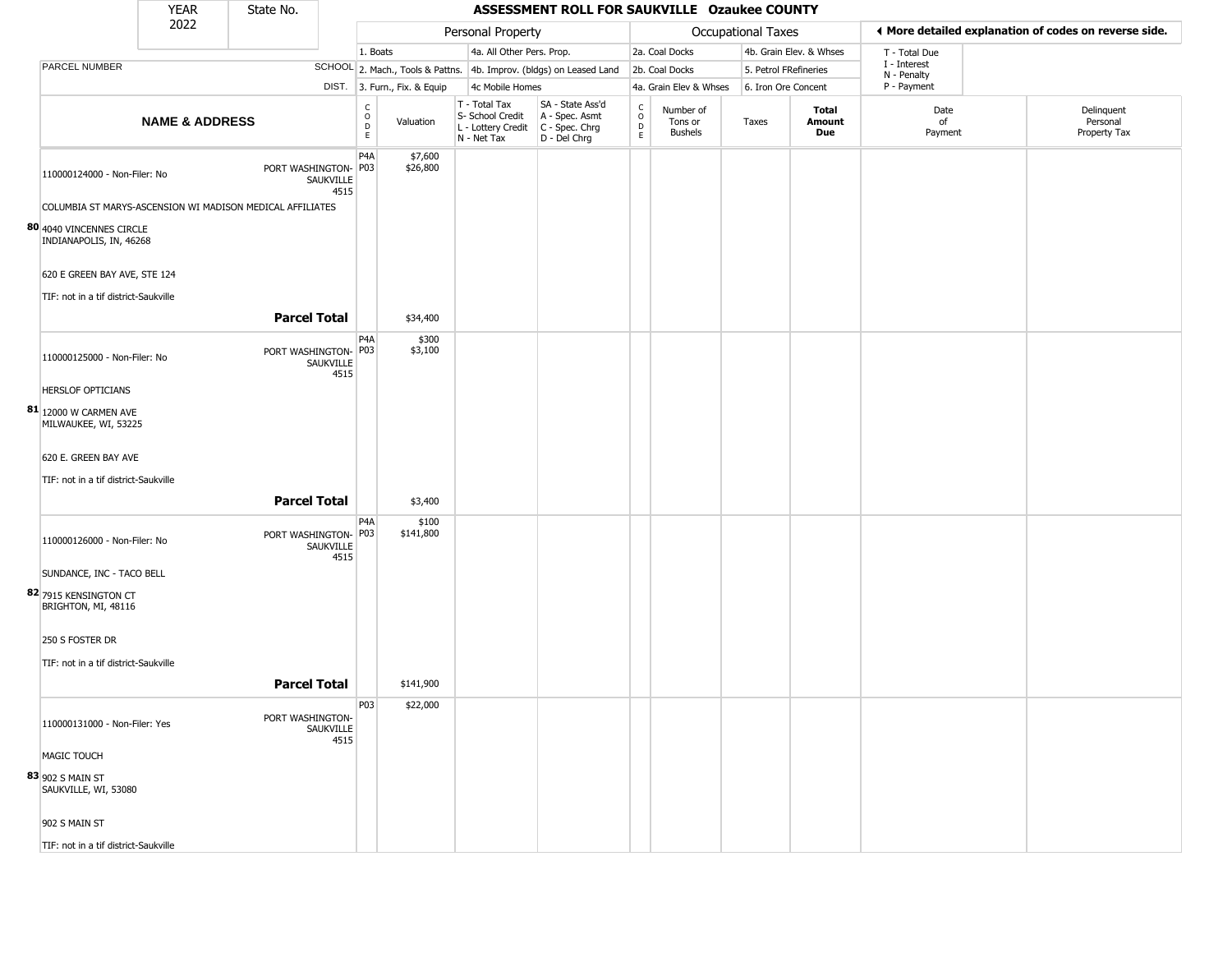|                                                     | <b>YEAR</b>               | State No.                                                 |                   |                                                          |                              |                                                  | ASSESSMENT ROLL FOR SAUKVILLE Ozaukee COUNTY                                              |                        |                                        |                    |                         |                             |                                                       |
|-----------------------------------------------------|---------------------------|-----------------------------------------------------------|-------------------|----------------------------------------------------------|------------------------------|--------------------------------------------------|-------------------------------------------------------------------------------------------|------------------------|----------------------------------------|--------------------|-------------------------|-----------------------------|-------------------------------------------------------|
|                                                     | 2022                      |                                                           |                   |                                                          |                              | Personal Property                                |                                                                                           |                        |                                        | Occupational Taxes |                         |                             | ♦ More detailed explanation of codes on reverse side. |
|                                                     |                           |                                                           |                   | 1. Boats                                                 |                              | 4a. All Other Pers. Prop.                        |                                                                                           |                        | 2a. Coal Docks                         |                    | 4b. Grain Elev. & Whses | T - Total Due               |                                                       |
| PARCEL NUMBER                                       |                           |                                                           |                   |                                                          |                              |                                                  | SCHOOL 2. Mach., Tools & Pattns. 4b. Improv. (bldgs) on Leased Land                       |                        | 2b. Coal Docks                         |                    | 5. Petrol FRefineries   | I - Interest<br>N - Penalty |                                                       |
|                                                     |                           |                                                           |                   |                                                          | DIST. 3. Furn., Fix. & Equip | 4c Mobile Homes                                  |                                                                                           |                        | 4a. Grain Elev & Whses                 |                    | 6. Iron Ore Concent     | P - Payment                 |                                                       |
|                                                     | <b>NAME &amp; ADDRESS</b> |                                                           |                   | $\begin{matrix} 0 \\ 0 \\ D \end{matrix}$<br>$\mathsf E$ | Valuation                    | T - Total Tax<br>S- School Credit<br>N - Net Tax | SA - State Ass'd<br>A - Spec. Asmt<br>L - Lottery Credit   C - Spec. Chrg<br>D - Del Chrg | C<br>$\circ$<br>D<br>E | Number of<br>Tons or<br><b>Bushels</b> | Taxes              | Total<br>Amount<br>Due  | Date<br>of<br>Payment       | Delinquent<br>Personal<br>Property Tax                |
| 110000124000 - Non-Filer: No                        |                           | PORT WASHINGTON- P03                                      | SAUKVILLE<br>4515 | P <sub>4</sub> A                                         | \$7,600<br>\$26,800          |                                                  |                                                                                           |                        |                                        |                    |                         |                             |                                                       |
|                                                     |                           | COLUMBIA ST MARYS-ASCENSION WI MADISON MEDICAL AFFILIATES |                   |                                                          |                              |                                                  |                                                                                           |                        |                                        |                    |                         |                             |                                                       |
| 80 4040 VINCENNES CIRCLE<br>INDIANAPOLIS, IN, 46268 |                           |                                                           |                   |                                                          |                              |                                                  |                                                                                           |                        |                                        |                    |                         |                             |                                                       |
| 620 E GREEN BAY AVE, STE 124                        |                           |                                                           |                   |                                                          |                              |                                                  |                                                                                           |                        |                                        |                    |                         |                             |                                                       |
| TIF: not in a tif district-Saukville                |                           |                                                           |                   |                                                          |                              |                                                  |                                                                                           |                        |                                        |                    |                         |                             |                                                       |
|                                                     |                           | <b>Parcel Total</b>                                       |                   |                                                          | \$34,400                     |                                                  |                                                                                           |                        |                                        |                    |                         |                             |                                                       |
| 110000125000 - Non-Filer: No                        |                           | PORT WASHINGTON- P03                                      | SAUKVILLE<br>4515 | P <sub>4</sub> A                                         | \$300<br>\$3,100             |                                                  |                                                                                           |                        |                                        |                    |                         |                             |                                                       |
| HERSLOF OPTICIANS                                   |                           |                                                           |                   |                                                          |                              |                                                  |                                                                                           |                        |                                        |                    |                         |                             |                                                       |
| 81 12000 W CARMEN AVE<br>MILWAUKEE, WI, 53225       |                           |                                                           |                   |                                                          |                              |                                                  |                                                                                           |                        |                                        |                    |                         |                             |                                                       |
| 620 E. GREEN BAY AVE                                |                           |                                                           |                   |                                                          |                              |                                                  |                                                                                           |                        |                                        |                    |                         |                             |                                                       |
| TIF: not in a tif district-Saukville                |                           |                                                           |                   |                                                          |                              |                                                  |                                                                                           |                        |                                        |                    |                         |                             |                                                       |
|                                                     |                           | <b>Parcel Total</b>                                       |                   |                                                          | \$3,400                      |                                                  |                                                                                           |                        |                                        |                    |                         |                             |                                                       |
| 110000126000 - Non-Filer: No                        |                           | PORT WASHINGTON- P03                                      | SAUKVILLE<br>4515 | P4A                                                      | \$100<br>\$141,800           |                                                  |                                                                                           |                        |                                        |                    |                         |                             |                                                       |
| SUNDANCE, INC - TACO BELL                           |                           |                                                           |                   |                                                          |                              |                                                  |                                                                                           |                        |                                        |                    |                         |                             |                                                       |
| 82 7915 KENSINGTON CT<br>BRIGHTON, MI, 48116        |                           |                                                           |                   |                                                          |                              |                                                  |                                                                                           |                        |                                        |                    |                         |                             |                                                       |
| 250 S FOSTER DR                                     |                           |                                                           |                   |                                                          |                              |                                                  |                                                                                           |                        |                                        |                    |                         |                             |                                                       |
| TIF: not in a tif district-Saukville                |                           |                                                           |                   |                                                          |                              |                                                  |                                                                                           |                        |                                        |                    |                         |                             |                                                       |
|                                                     |                           |                                                           |                   |                                                          |                              |                                                  |                                                                                           |                        |                                        |                    |                         |                             |                                                       |
|                                                     |                           | <b>Parcel Total</b>                                       |                   |                                                          | \$141,900                    |                                                  |                                                                                           |                        |                                        |                    |                         |                             |                                                       |
| 110000131000 - Non-Filer: Yes                       |                           | PORT WASHINGTON-                                          | SAUKVILLE<br>4515 | <b>P03</b>                                               | \$22,000                     |                                                  |                                                                                           |                        |                                        |                    |                         |                             |                                                       |
| MAGIC TOUCH                                         |                           |                                                           |                   |                                                          |                              |                                                  |                                                                                           |                        |                                        |                    |                         |                             |                                                       |
| 83 902 S MAIN ST<br>SAUKVILLE, WI, 53080            |                           |                                                           |                   |                                                          |                              |                                                  |                                                                                           |                        |                                        |                    |                         |                             |                                                       |
| 902 S MAIN ST                                       |                           |                                                           |                   |                                                          |                              |                                                  |                                                                                           |                        |                                        |                    |                         |                             |                                                       |
| TIF: not in a tif district-Saukville                |                           |                                                           |                   |                                                          |                              |                                                  |                                                                                           |                        |                                        |                    |                         |                             |                                                       |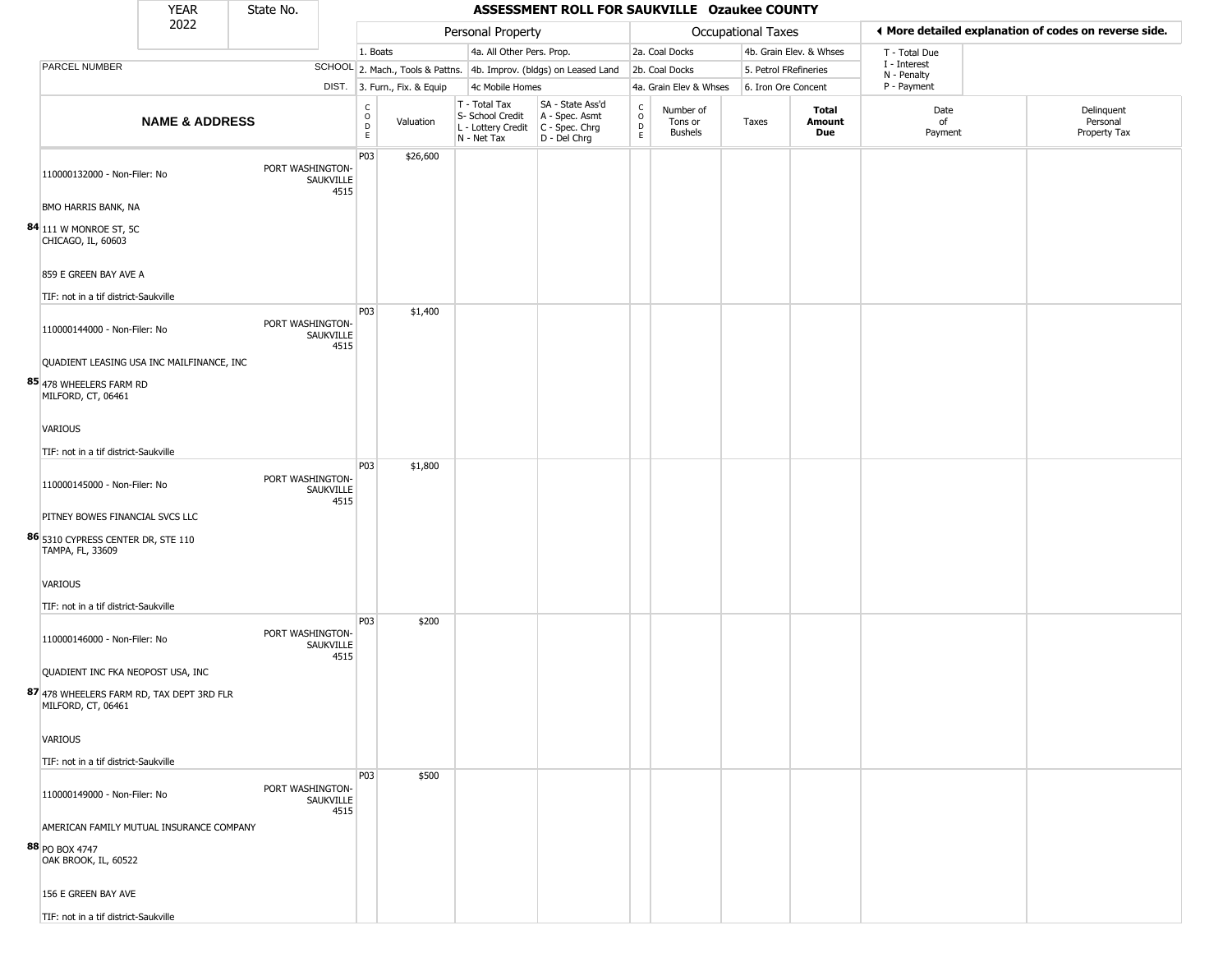|                                                                     | <b>YEAR</b>                               | State No.        |                   |                                                 |                                  |                                                                        | ASSESSMENT ROLL FOR SAUKVILLE Ozaukee COUNTY                           |                                                          |                                        |                       |                         |                             |                                                       |
|---------------------------------------------------------------------|-------------------------------------------|------------------|-------------------|-------------------------------------------------|----------------------------------|------------------------------------------------------------------------|------------------------------------------------------------------------|----------------------------------------------------------|----------------------------------------|-----------------------|-------------------------|-----------------------------|-------------------------------------------------------|
|                                                                     | 2022                                      |                  |                   |                                                 |                                  | Personal Property                                                      |                                                                        |                                                          |                                        | Occupational Taxes    |                         |                             | I More detailed explanation of codes on reverse side. |
|                                                                     |                                           |                  |                   | 1. Boats                                        |                                  | 4a. All Other Pers. Prop.                                              |                                                                        |                                                          | 2a. Coal Docks                         |                       | 4b. Grain Elev. & Whses | T - Total Due               |                                                       |
| PARCEL NUMBER                                                       |                                           |                  |                   |                                                 | SCHOOL 2. Mach., Tools & Pattns. |                                                                        | 4b. Improv. (bldgs) on Leased Land                                     |                                                          | 2b. Coal Docks                         | 5. Petrol FRefineries |                         | I - Interest<br>N - Penalty |                                                       |
|                                                                     |                                           |                  |                   |                                                 | DIST. 3. Furn., Fix. & Equip     | 4c Mobile Homes                                                        |                                                                        |                                                          | 4a. Grain Elev & Whses                 | 6. Iron Ore Concent   |                         | P - Payment                 |                                                       |
|                                                                     | <b>NAME &amp; ADDRESS</b>                 |                  |                   | $\begin{array}{c} C \\ O \\ D \\ E \end{array}$ | Valuation                        | T - Total Tax<br>S- School Credit<br>L - Lottery Credit<br>N - Net Tax | SA - State Ass'd<br>A - Spec. Asmt<br>C - Spec. Chrg<br>$D - Del Chrg$ | $\begin{matrix} 0 \\ 0 \\ D \end{matrix}$<br>$\mathsf E$ | Number of<br>Tons or<br><b>Bushels</b> | Taxes                 | Total<br>Amount<br>Due  | Date<br>of<br>Payment       | Delinquent<br>Personal<br>Property Tax                |
| 110000132000 - Non-Filer: No                                        |                                           | PORT WASHINGTON- | SAUKVILLE<br>4515 | P03                                             | \$26,600                         |                                                                        |                                                                        |                                                          |                                        |                       |                         |                             |                                                       |
| BMO HARRIS BANK, NA<br>84 111 W MONROE ST, 5C<br>CHICAGO, IL, 60603 |                                           |                  |                   |                                                 |                                  |                                                                        |                                                                        |                                                          |                                        |                       |                         |                             |                                                       |
| 859 E GREEN BAY AVE A                                               |                                           |                  |                   |                                                 |                                  |                                                                        |                                                                        |                                                          |                                        |                       |                         |                             |                                                       |
| TIF: not in a tif district-Saukville                                |                                           |                  |                   |                                                 |                                  |                                                                        |                                                                        |                                                          |                                        |                       |                         |                             |                                                       |
| 110000144000 - Non-Filer: No                                        |                                           | PORT WASHINGTON- | SAUKVILLE<br>4515 | <b>P03</b>                                      | \$1,400                          |                                                                        |                                                                        |                                                          |                                        |                       |                         |                             |                                                       |
| 85 478 WHEELERS FARM RD<br>MILFORD, CT, 06461                       | QUADIENT LEASING USA INC MAILFINANCE, INC |                  |                   |                                                 |                                  |                                                                        |                                                                        |                                                          |                                        |                       |                         |                             |                                                       |
| <b>VARIOUS</b>                                                      |                                           |                  |                   |                                                 |                                  |                                                                        |                                                                        |                                                          |                                        |                       |                         |                             |                                                       |
| TIF: not in a tif district-Saukville                                |                                           |                  |                   |                                                 |                                  |                                                                        |                                                                        |                                                          |                                        |                       |                         |                             |                                                       |
| 110000145000 - Non-Filer: No                                        |                                           | PORT WASHINGTON- | SAUKVILLE<br>4515 | <b>P03</b>                                      | \$1,800                          |                                                                        |                                                                        |                                                          |                                        |                       |                         |                             |                                                       |
| PITNEY BOWES FINANCIAL SVCS LLC                                     |                                           |                  |                   |                                                 |                                  |                                                                        |                                                                        |                                                          |                                        |                       |                         |                             |                                                       |
| 86 5310 CYPRESS CENTER DR, STE 110<br>TAMPA, FL, 33609              |                                           |                  |                   |                                                 |                                  |                                                                        |                                                                        |                                                          |                                        |                       |                         |                             |                                                       |
| VARIOUS                                                             |                                           |                  |                   |                                                 |                                  |                                                                        |                                                                        |                                                          |                                        |                       |                         |                             |                                                       |
| TIF: not in a tif district-Saukville                                |                                           |                  |                   |                                                 |                                  |                                                                        |                                                                        |                                                          |                                        |                       |                         |                             |                                                       |
| 110000146000 - Non-Filer: No                                        |                                           | PORT WASHINGTON- | SAUKVILLE<br>4515 | <b>P03</b>                                      | \$200                            |                                                                        |                                                                        |                                                          |                                        |                       |                         |                             |                                                       |
| QUADIENT INC FKA NEOPOST USA, INC                                   | 87 478 WHEELERS FARM RD, TAX DEPT 3RD FLR |                  |                   |                                                 |                                  |                                                                        |                                                                        |                                                          |                                        |                       |                         |                             |                                                       |
| MILFORD, CT, 06461<br>VARIOUS                                       |                                           |                  |                   |                                                 |                                  |                                                                        |                                                                        |                                                          |                                        |                       |                         |                             |                                                       |
| TIF: not in a tif district-Saukville                                |                                           |                  |                   |                                                 |                                  |                                                                        |                                                                        |                                                          |                                        |                       |                         |                             |                                                       |
|                                                                     |                                           |                  |                   | <b>P03</b>                                      | \$500                            |                                                                        |                                                                        |                                                          |                                        |                       |                         |                             |                                                       |
| 110000149000 - Non-Filer: No                                        |                                           | PORT WASHINGTON- | SAUKVILLE<br>4515 |                                                 |                                  |                                                                        |                                                                        |                                                          |                                        |                       |                         |                             |                                                       |
|                                                                     | AMERICAN FAMILY MUTUAL INSURANCE COMPANY  |                  |                   |                                                 |                                  |                                                                        |                                                                        |                                                          |                                        |                       |                         |                             |                                                       |
| 88 PO BOX 4747<br>OAK BROOK, IL, 60522                              |                                           |                  |                   |                                                 |                                  |                                                                        |                                                                        |                                                          |                                        |                       |                         |                             |                                                       |
| 156 E GREEN BAY AVE                                                 |                                           |                  |                   |                                                 |                                  |                                                                        |                                                                        |                                                          |                                        |                       |                         |                             |                                                       |
| TIF: not in a tif district-Saukville                                |                                           |                  |                   |                                                 |                                  |                                                                        |                                                                        |                                                          |                                        |                       |                         |                             |                                                       |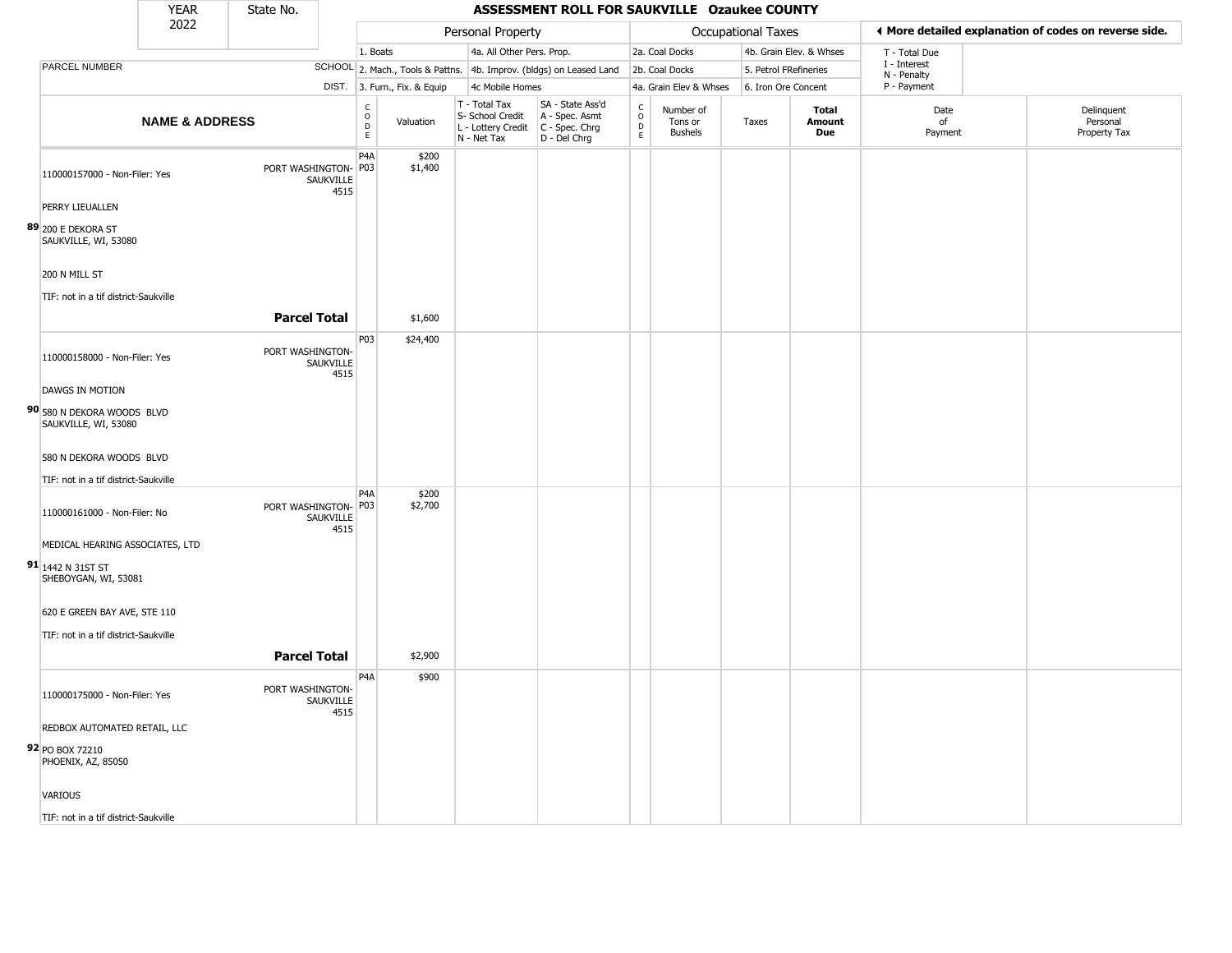|                                                                              | <b>YEAR</b>               | State No.            |                   |                                  |                              |                                                                        | ASSESSMENT ROLL FOR SAUKVILLE Ozaukee COUNTY                         |                      |                                        |                     |                         |                             |                                                       |
|------------------------------------------------------------------------------|---------------------------|----------------------|-------------------|----------------------------------|------------------------------|------------------------------------------------------------------------|----------------------------------------------------------------------|----------------------|----------------------------------------|---------------------|-------------------------|-----------------------------|-------------------------------------------------------|
|                                                                              | 2022                      |                      |                   |                                  |                              | Personal Property                                                      |                                                                      |                      |                                        | Occupational Taxes  |                         |                             | ◀ More detailed explanation of codes on reverse side. |
|                                                                              |                           |                      |                   | 1. Boats                         |                              | 4a. All Other Pers. Prop.                                              |                                                                      |                      | 2a. Coal Docks                         |                     | 4b. Grain Elev. & Whses | T - Total Due               |                                                       |
| PARCEL NUMBER                                                                |                           |                      |                   |                                  |                              |                                                                        | SCHOOL 2. Mach., Tools & Pattns. 4b. Improv. (bldgs) on Leased Land  |                      | 2b. Coal Docks                         |                     | 5. Petrol FRefineries   | I - Interest<br>N - Penalty |                                                       |
|                                                                              |                           |                      |                   |                                  | DIST. 3. Furn., Fix. & Equip | 4c Mobile Homes                                                        |                                                                      |                      | 4a. Grain Elev & Whses                 | 6. Iron Ore Concent |                         | P - Payment                 |                                                       |
|                                                                              | <b>NAME &amp; ADDRESS</b> |                      |                   | C<br>$\circ$<br>D<br>$\mathsf E$ | Valuation                    | T - Total Tax<br>S- School Credit<br>L - Lottery Credit<br>N - Net Tax | SA - State Ass'd<br>A - Spec. Asmt<br>C - Spec. Chrg<br>D - Del Chrg | $\rm _o^C$<br>D<br>E | Number of<br>Tons or<br><b>Bushels</b> | Taxes               | Total<br>Amount<br>Due  | Date<br>of<br>Payment       | Delinquent<br>Personal<br>Property Tax                |
| 110000157000 - Non-Filer: Yes                                                |                           | PORT WASHINGTON- P03 | SAUKVILLE<br>4515 | P <sub>4</sub> A                 | \$200<br>\$1,400             |                                                                        |                                                                      |                      |                                        |                     |                         |                             |                                                       |
| PERRY LIEUALLEN                                                              |                           |                      |                   |                                  |                              |                                                                        |                                                                      |                      |                                        |                     |                         |                             |                                                       |
| 89 200 E DEKORA ST<br>SAUKVILLE, WI, 53080                                   |                           |                      |                   |                                  |                              |                                                                        |                                                                      |                      |                                        |                     |                         |                             |                                                       |
| 200 N MILL ST                                                                |                           |                      |                   |                                  |                              |                                                                        |                                                                      |                      |                                        |                     |                         |                             |                                                       |
| TIF: not in a tif district-Saukville                                         |                           |                      |                   |                                  |                              |                                                                        |                                                                      |                      |                                        |                     |                         |                             |                                                       |
|                                                                              |                           | <b>Parcel Total</b>  |                   |                                  | \$1,600                      |                                                                        |                                                                      |                      |                                        |                     |                         |                             |                                                       |
| 110000158000 - Non-Filer: Yes                                                |                           | PORT WASHINGTON-     | SAUKVILLE<br>4515 | P03                              | \$24,400                     |                                                                        |                                                                      |                      |                                        |                     |                         |                             |                                                       |
| DAWGS IN MOTION                                                              |                           |                      |                   |                                  |                              |                                                                        |                                                                      |                      |                                        |                     |                         |                             |                                                       |
| 90 580 N DEKORA WOODS BLVD<br>SAUKVILLE, WI, 53080                           |                           |                      |                   |                                  |                              |                                                                        |                                                                      |                      |                                        |                     |                         |                             |                                                       |
| 580 N DEKORA WOODS BLVD                                                      |                           |                      |                   |                                  |                              |                                                                        |                                                                      |                      |                                        |                     |                         |                             |                                                       |
| TIF: not in a tif district-Saukville                                         |                           |                      |                   |                                  |                              |                                                                        |                                                                      |                      |                                        |                     |                         |                             |                                                       |
| 110000161000 - Non-Filer: No                                                 |                           | PORT WASHINGTON- P03 | SAUKVILLE<br>4515 | P4A                              | \$200<br>\$2,700             |                                                                        |                                                                      |                      |                                        |                     |                         |                             |                                                       |
| MEDICAL HEARING ASSOCIATES, LTD<br>91 1442 N 31ST ST<br>SHEBOYGAN, WI, 53081 |                           |                      |                   |                                  |                              |                                                                        |                                                                      |                      |                                        |                     |                         |                             |                                                       |
| 620 E GREEN BAY AVE, STE 110                                                 |                           |                      |                   |                                  |                              |                                                                        |                                                                      |                      |                                        |                     |                         |                             |                                                       |
| TIF: not in a tif district-Saukville                                         |                           |                      |                   |                                  |                              |                                                                        |                                                                      |                      |                                        |                     |                         |                             |                                                       |
|                                                                              |                           | <b>Parcel Total</b>  |                   |                                  | \$2,900                      |                                                                        |                                                                      |                      |                                        |                     |                         |                             |                                                       |
|                                                                              |                           |                      |                   | P <sub>4</sub> A                 | \$900                        |                                                                        |                                                                      |                      |                                        |                     |                         |                             |                                                       |
| 110000175000 - Non-Filer: Yes                                                |                           | PORT WASHINGTON-     | SAUKVILLE<br>4515 |                                  |                              |                                                                        |                                                                      |                      |                                        |                     |                         |                             |                                                       |
| REDBOX AUTOMATED RETAIL, LLC                                                 |                           |                      |                   |                                  |                              |                                                                        |                                                                      |                      |                                        |                     |                         |                             |                                                       |
| 92 PO BOX 72210<br>PHOENIX, AZ, 85050                                        |                           |                      |                   |                                  |                              |                                                                        |                                                                      |                      |                                        |                     |                         |                             |                                                       |
| VARIOUS                                                                      |                           |                      |                   |                                  |                              |                                                                        |                                                                      |                      |                                        |                     |                         |                             |                                                       |
| TIF: not in a tif district-Saukville                                         |                           |                      |                   |                                  |                              |                                                                        |                                                                      |                      |                                        |                     |                         |                             |                                                       |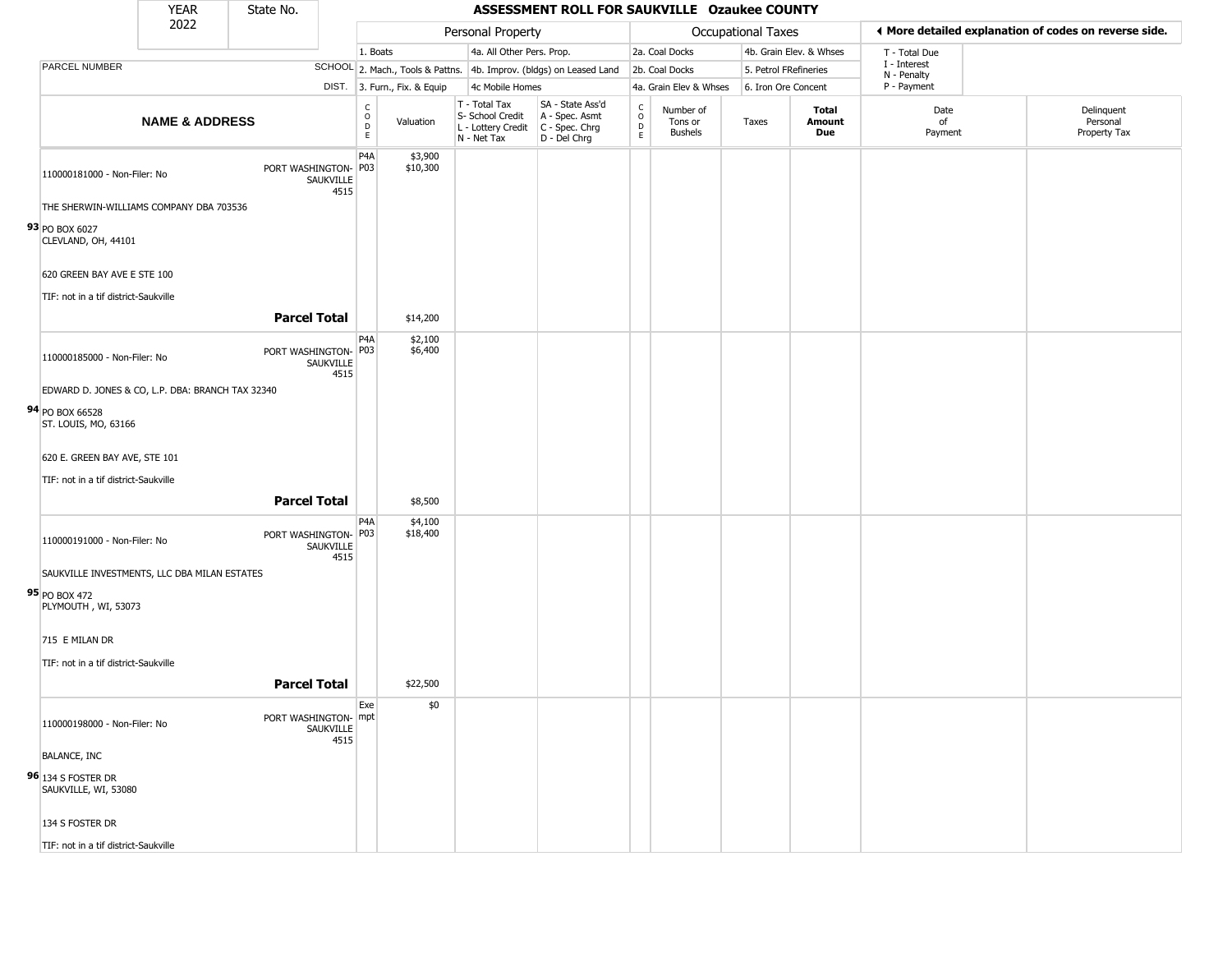|                                            | <b>YEAR</b>                                      | State No.            |                   |                                  |                              |                                                                        | ASSESSMENT ROLL FOR SAUKVILLE Ozaukee COUNTY                           |                                              |                                        |                    |                         |                             |                                                       |
|--------------------------------------------|--------------------------------------------------|----------------------|-------------------|----------------------------------|------------------------------|------------------------------------------------------------------------|------------------------------------------------------------------------|----------------------------------------------|----------------------------------------|--------------------|-------------------------|-----------------------------|-------------------------------------------------------|
|                                            | 2022                                             |                      |                   |                                  |                              | Personal Property                                                      |                                                                        |                                              |                                        | Occupational Taxes |                         |                             | ♦ More detailed explanation of codes on reverse side. |
|                                            |                                                  |                      |                   | 1. Boats                         |                              | 4a. All Other Pers. Prop.                                              |                                                                        |                                              | 2a. Coal Docks                         |                    | 4b. Grain Elev. & Whses | T - Total Due               |                                                       |
| PARCEL NUMBER                              |                                                  |                      |                   |                                  |                              |                                                                        | SCHOOL 2. Mach., Tools & Pattns. 4b. Improv. (bldgs) on Leased Land    |                                              | 2b. Coal Docks                         |                    | 5. Petrol FRefineries   | I - Interest<br>N - Penalty |                                                       |
|                                            |                                                  |                      |                   |                                  | DIST. 3. Furn., Fix. & Equip | 4c Mobile Homes                                                        |                                                                        |                                              | 4a. Grain Elev & Whses                 |                    | 6. Iron Ore Concent     | P - Payment                 |                                                       |
|                                            | <b>NAME &amp; ADDRESS</b>                        |                      |                   | C<br>$\circ$<br>D<br>$\mathsf E$ | Valuation                    | T - Total Tax<br>S- School Credit<br>L - Lottery Credit<br>N - Net Tax | SA - State Ass'd<br>A - Spec. Asmt<br>$C - Spec. Chrg$<br>D - Del Chrg | $\frac{c}{0}$<br>$\mathsf{D}$<br>$\mathsf E$ | Number of<br>Tons or<br><b>Bushels</b> | Taxes              | Total<br>Amount<br>Due  | Date<br>of<br>Payment       | Delinquent<br>Personal<br>Property Tax                |
| 110000181000 - Non-Filer: No               |                                                  | PORT WASHINGTON- P03 | SAUKVILLE<br>4515 | P <sub>4</sub> A                 | \$3,900<br>\$10,300          |                                                                        |                                                                        |                                              |                                        |                    |                         |                             |                                                       |
|                                            | THE SHERWIN-WILLIAMS COMPANY DBA 703536          |                      |                   |                                  |                              |                                                                        |                                                                        |                                              |                                        |                    |                         |                             |                                                       |
| 93 PO BOX 6027<br>CLEVLAND, OH, 44101      |                                                  |                      |                   |                                  |                              |                                                                        |                                                                        |                                              |                                        |                    |                         |                             |                                                       |
| 620 GREEN BAY AVE E STE 100                |                                                  |                      |                   |                                  |                              |                                                                        |                                                                        |                                              |                                        |                    |                         |                             |                                                       |
| TIF: not in a tif district-Saukville       |                                                  |                      |                   |                                  |                              |                                                                        |                                                                        |                                              |                                        |                    |                         |                             |                                                       |
|                                            |                                                  | <b>Parcel Total</b>  |                   |                                  | \$14,200                     |                                                                        |                                                                        |                                              |                                        |                    |                         |                             |                                                       |
| 110000185000 - Non-Filer: No               |                                                  | PORT WASHINGTON- P03 | SAUKVILLE<br>4515 | P <sub>4</sub> A                 | \$2,100<br>\$6,400           |                                                                        |                                                                        |                                              |                                        |                    |                         |                             |                                                       |
|                                            | EDWARD D. JONES & CO, L.P. DBA: BRANCH TAX 32340 |                      |                   |                                  |                              |                                                                        |                                                                        |                                              |                                        |                    |                         |                             |                                                       |
| 94 PO BOX 66528<br>ST. LOUIS, MO, 63166    |                                                  |                      |                   |                                  |                              |                                                                        |                                                                        |                                              |                                        |                    |                         |                             |                                                       |
| 620 E. GREEN BAY AVE, STE 101              |                                                  |                      |                   |                                  |                              |                                                                        |                                                                        |                                              |                                        |                    |                         |                             |                                                       |
| TIF: not in a tif district-Saukville       |                                                  |                      |                   |                                  |                              |                                                                        |                                                                        |                                              |                                        |                    |                         |                             |                                                       |
|                                            |                                                  | <b>Parcel Total</b>  |                   |                                  | \$8,500                      |                                                                        |                                                                        |                                              |                                        |                    |                         |                             |                                                       |
| 110000191000 - Non-Filer: No               |                                                  | PORT WASHINGTON- P03 | SAUKVILLE<br>4515 | P4A                              | \$4,100<br>\$18,400          |                                                                        |                                                                        |                                              |                                        |                    |                         |                             |                                                       |
|                                            | SAUKVILLE INVESTMENTS, LLC DBA MILAN ESTATES     |                      |                   |                                  |                              |                                                                        |                                                                        |                                              |                                        |                    |                         |                             |                                                       |
| 95 PO BOX 472<br>PLYMOUTH, WI, 53073       |                                                  |                      |                   |                                  |                              |                                                                        |                                                                        |                                              |                                        |                    |                         |                             |                                                       |
| 715 E MILAN DR                             |                                                  |                      |                   |                                  |                              |                                                                        |                                                                        |                                              |                                        |                    |                         |                             |                                                       |
| TIF: not in a tif district-Saukville       |                                                  |                      |                   |                                  |                              |                                                                        |                                                                        |                                              |                                        |                    |                         |                             |                                                       |
|                                            |                                                  | <b>Parcel Total</b>  |                   |                                  | \$22,500                     |                                                                        |                                                                        |                                              |                                        |                    |                         |                             |                                                       |
| 110000198000 - Non-Filer: No               |                                                  | PORT WASHINGTON- mpt | SAUKVILLE<br>4515 | Exe                              | \$0                          |                                                                        |                                                                        |                                              |                                        |                    |                         |                             |                                                       |
| <b>BALANCE, INC</b>                        |                                                  |                      |                   |                                  |                              |                                                                        |                                                                        |                                              |                                        |                    |                         |                             |                                                       |
| 96 134 S FOSTER DR<br>SAUKVILLE, WI, 53080 |                                                  |                      |                   |                                  |                              |                                                                        |                                                                        |                                              |                                        |                    |                         |                             |                                                       |
| 134 S FOSTER DR                            |                                                  |                      |                   |                                  |                              |                                                                        |                                                                        |                                              |                                        |                    |                         |                             |                                                       |
| TIF: not in a tif district-Saukville       |                                                  |                      |                   |                                  |                              |                                                                        |                                                                        |                                              |                                        |                    |                         |                             |                                                       |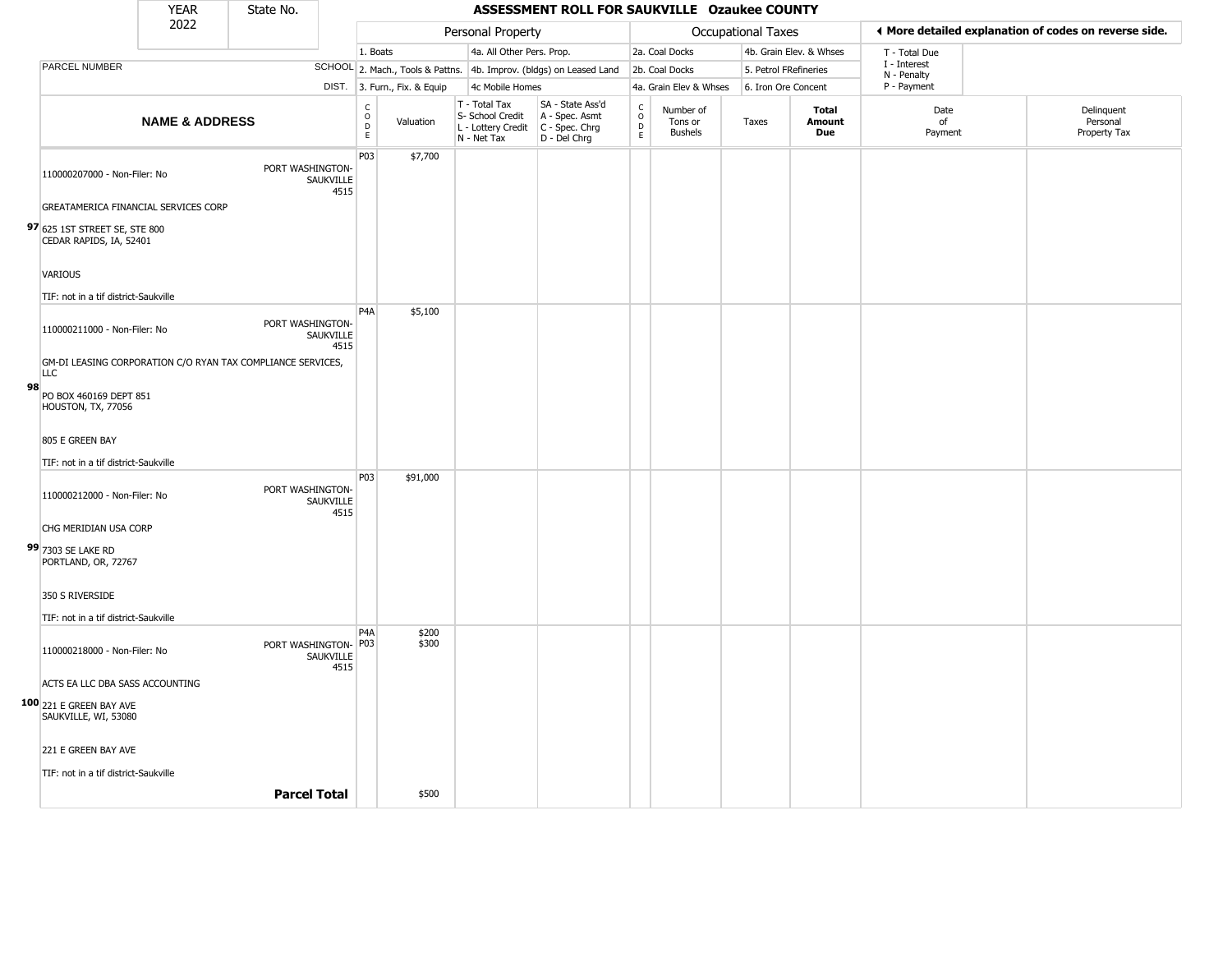|    |                                                                           | <b>YEAR</b>               | State No.            |                   |                                                |                              |                                                                        | ASSESSMENT ROLL FOR SAUKVILLE Ozaukee COUNTY                         |                                                  |                                        |                           |                               |                             |                                                       |
|----|---------------------------------------------------------------------------|---------------------------|----------------------|-------------------|------------------------------------------------|------------------------------|------------------------------------------------------------------------|----------------------------------------------------------------------|--------------------------------------------------|----------------------------------------|---------------------------|-------------------------------|-----------------------------|-------------------------------------------------------|
|    |                                                                           | 2022                      |                      |                   |                                                |                              | Personal Property                                                      |                                                                      |                                                  |                                        | <b>Occupational Taxes</b> |                               |                             | ♦ More detailed explanation of codes on reverse side. |
|    |                                                                           |                           |                      |                   | 1. Boats                                       |                              | 4a. All Other Pers. Prop.                                              |                                                                      |                                                  | 2a. Coal Docks                         |                           | 4b. Grain Elev. & Whses       | T - Total Due               |                                                       |
|    | PARCEL NUMBER                                                             |                           |                      |                   |                                                |                              |                                                                        | SCHOOL 2. Mach., Tools & Pattns. 4b. Improv. (bldgs) on Leased Land  |                                                  | 2b. Coal Docks                         | 5. Petrol FRefineries     |                               | I - Interest<br>N - Penalty |                                                       |
|    |                                                                           |                           |                      |                   |                                                | DIST. 3. Furn., Fix. & Equip | 4c Mobile Homes                                                        |                                                                      |                                                  | 4a. Grain Elev & Whses                 | 6. Iron Ore Concent       |                               | P - Payment                 |                                                       |
|    |                                                                           | <b>NAME &amp; ADDRESS</b> |                      |                   | $\begin{matrix} 0 \\ 0 \\ D \end{matrix}$<br>E | Valuation                    | T - Total Tax<br>S- School Credit<br>L - Lottery Credit<br>N - Net Tax | SA - State Ass'd<br>A - Spec. Asmt<br>C - Spec. Chrg<br>D - Del Chrg | $_{\rm o}^{\rm c}$<br>$\mathsf D$<br>$\mathsf E$ | Number of<br>Tons or<br><b>Bushels</b> | Taxes                     | Total<br>Amount<br><b>Due</b> | Date<br>of<br>Payment       | Delinquent<br>Personal<br>Property Tax                |
|    | 110000207000 - Non-Filer: No                                              |                           | PORT WASHINGTON-     | SAUKVILLE<br>4515 | P03                                            | \$7,700                      |                                                                        |                                                                      |                                                  |                                        |                           |                               |                             |                                                       |
|    | GREATAMERICA FINANCIAL SERVICES CORP                                      |                           |                      |                   |                                                |                              |                                                                        |                                                                      |                                                  |                                        |                           |                               |                             |                                                       |
|    | 97 625 1ST STREET SE, STE 800<br>CEDAR RAPIDS, IA, 52401                  |                           |                      |                   |                                                |                              |                                                                        |                                                                      |                                                  |                                        |                           |                               |                             |                                                       |
|    | <b>VARIOUS</b>                                                            |                           |                      |                   |                                                |                              |                                                                        |                                                                      |                                                  |                                        |                           |                               |                             |                                                       |
|    | TIF: not in a tif district-Saukville                                      |                           |                      |                   | P <sub>4</sub> A                               |                              |                                                                        |                                                                      |                                                  |                                        |                           |                               |                             |                                                       |
|    | 110000211000 - Non-Filer: No                                              |                           | PORT WASHINGTON-     | SAUKVILLE<br>4515 |                                                | \$5,100                      |                                                                        |                                                                      |                                                  |                                        |                           |                               |                             |                                                       |
|    | GM-DI LEASING CORPORATION C/O RYAN TAX COMPLIANCE SERVICES,<br><b>LLC</b> |                           |                      |                   |                                                |                              |                                                                        |                                                                      |                                                  |                                        |                           |                               |                             |                                                       |
| 98 | PO BOX 460169 DEPT 851<br>HOUSTON, TX, 77056                              |                           |                      |                   |                                                |                              |                                                                        |                                                                      |                                                  |                                        |                           |                               |                             |                                                       |
|    | 805 E GREEN BAY                                                           |                           |                      |                   |                                                |                              |                                                                        |                                                                      |                                                  |                                        |                           |                               |                             |                                                       |
|    | TIF: not in a tif district-Saukville                                      |                           |                      |                   |                                                |                              |                                                                        |                                                                      |                                                  |                                        |                           |                               |                             |                                                       |
|    | 110000212000 - Non-Filer: No                                              |                           | PORT WASHINGTON-     | SAUKVILLE<br>4515 | P03                                            | \$91,000                     |                                                                        |                                                                      |                                                  |                                        |                           |                               |                             |                                                       |
|    | CHG MERIDIAN USA CORP                                                     |                           |                      |                   |                                                |                              |                                                                        |                                                                      |                                                  |                                        |                           |                               |                             |                                                       |
|    | 99 7303 SE LAKE RD<br>PORTLAND, OR, 72767                                 |                           |                      |                   |                                                |                              |                                                                        |                                                                      |                                                  |                                        |                           |                               |                             |                                                       |
|    | 350 S RIVERSIDE                                                           |                           |                      |                   |                                                |                              |                                                                        |                                                                      |                                                  |                                        |                           |                               |                             |                                                       |
|    | TIF: not in a tif district-Saukville                                      |                           |                      |                   |                                                |                              |                                                                        |                                                                      |                                                  |                                        |                           |                               |                             |                                                       |
|    | 110000218000 - Non-Filer: No                                              |                           | PORT WASHINGTON- P03 | SAUKVILLE<br>4515 | P <sub>4</sub> A                               | \$200<br>\$300               |                                                                        |                                                                      |                                                  |                                        |                           |                               |                             |                                                       |
|    | ACTS EA LLC DBA SASS ACCOUNTING                                           |                           |                      |                   |                                                |                              |                                                                        |                                                                      |                                                  |                                        |                           |                               |                             |                                                       |
|    | 100 221 E GREEN BAY AVE<br>SAUKVILLE, WI, 53080                           |                           |                      |                   |                                                |                              |                                                                        |                                                                      |                                                  |                                        |                           |                               |                             |                                                       |
|    | 221 E GREEN BAY AVE                                                       |                           |                      |                   |                                                |                              |                                                                        |                                                                      |                                                  |                                        |                           |                               |                             |                                                       |
|    | TIF: not in a tif district-Saukville                                      |                           |                      |                   |                                                |                              |                                                                        |                                                                      |                                                  |                                        |                           |                               |                             |                                                       |
|    |                                                                           |                           | <b>Parcel Total</b>  |                   |                                                | \$500                        |                                                                        |                                                                      |                                                  |                                        |                           |                               |                             |                                                       |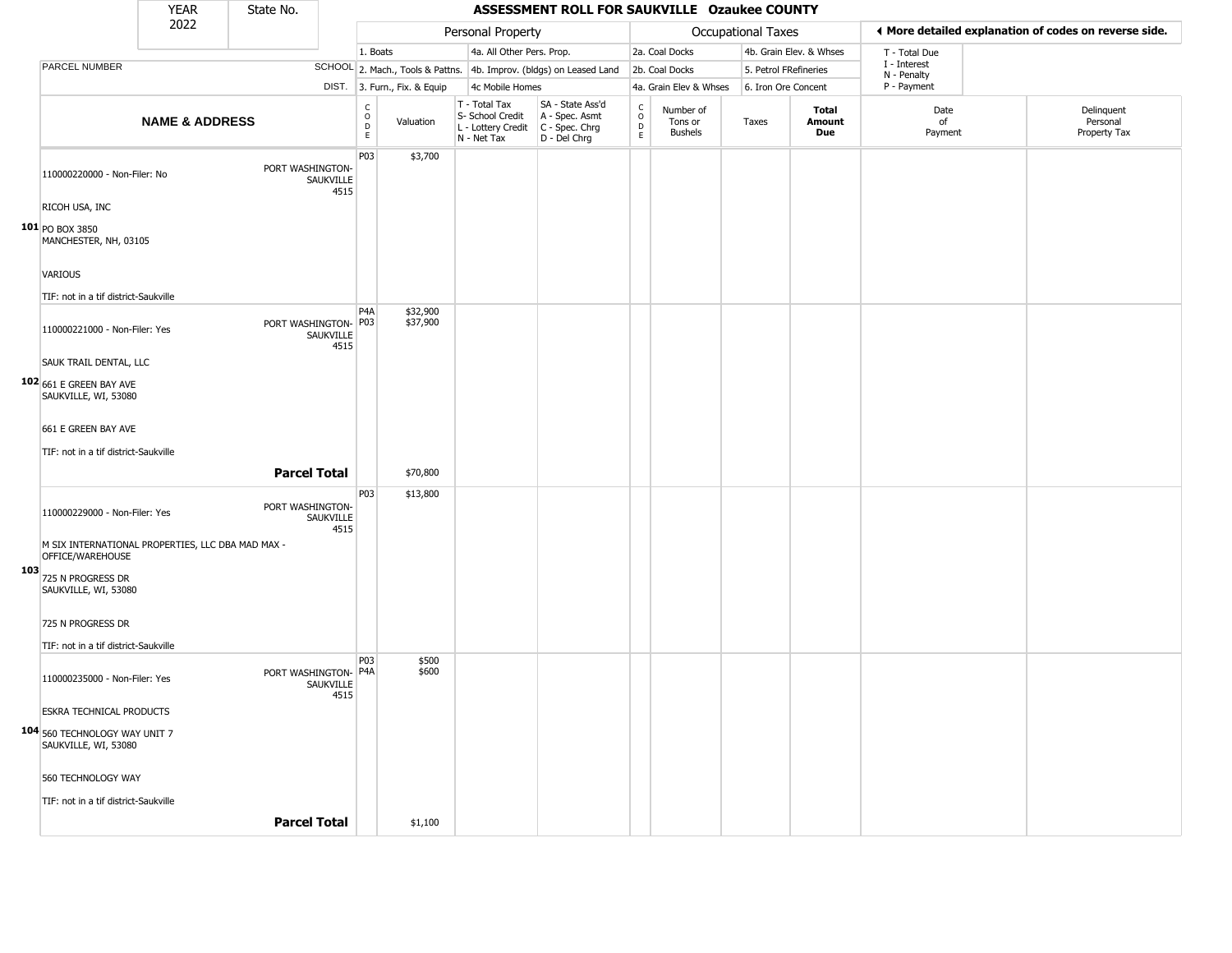|     |                                                                       | <b>YEAR</b>               | State No.            |                   |                         |                              |                                                                        | ASSESSMENT ROLL FOR SAUKVILLE Ozaukee COUNTY                         |                                             |                                        |                       |                         |                             |                                                       |
|-----|-----------------------------------------------------------------------|---------------------------|----------------------|-------------------|-------------------------|------------------------------|------------------------------------------------------------------------|----------------------------------------------------------------------|---------------------------------------------|----------------------------------------|-----------------------|-------------------------|-----------------------------|-------------------------------------------------------|
|     |                                                                       | 2022                      |                      |                   |                         |                              | Personal Property                                                      |                                                                      |                                             |                                        | Occupational Taxes    |                         |                             | ◀ More detailed explanation of codes on reverse side. |
|     |                                                                       |                           |                      |                   | 1. Boats                |                              | 4a. All Other Pers. Prop.                                              |                                                                      |                                             | 2a. Coal Docks                         |                       | 4b. Grain Elev. & Whses | T - Total Due               |                                                       |
|     | PARCEL NUMBER                                                         |                           |                      |                   |                         |                              |                                                                        | SCHOOL 2. Mach., Tools & Pattns. 4b. Improv. (bldgs) on Leased Land  |                                             | 2b. Coal Docks                         | 5. Petrol FRefineries |                         | I - Interest<br>N - Penalty |                                                       |
|     |                                                                       |                           |                      |                   |                         | DIST. 3. Furn., Fix. & Equip | 4c Mobile Homes                                                        |                                                                      |                                             | 4a. Grain Elev & Whses                 | 6. Iron Ore Concent   |                         | P - Payment                 |                                                       |
|     |                                                                       | <b>NAME &amp; ADDRESS</b> |                      |                   | $\frac{c}{0}$<br>D<br>E | Valuation                    | T - Total Tax<br>S- School Credit<br>L - Lottery Credit<br>N - Net Tax | SA - State Ass'd<br>A - Spec. Asmt<br>C - Spec. Chrg<br>D - Del Chrg | $\frac{c}{0}$<br>$\mathsf D$<br>$\mathsf E$ | Number of<br>Tons or<br><b>Bushels</b> | Taxes                 | Total<br>Amount<br>Due  | Date<br>of<br>Payment       | Delinquent<br>Personal<br>Property Tax                |
|     | 110000220000 - Non-Filer: No                                          |                           | PORT WASHINGTON-     | SAUKVILLE<br>4515 | P03                     | \$3,700                      |                                                                        |                                                                      |                                             |                                        |                       |                         |                             |                                                       |
|     | RICOH USA, INC                                                        |                           |                      |                   |                         |                              |                                                                        |                                                                      |                                             |                                        |                       |                         |                             |                                                       |
|     | 101 PO BOX 3850<br>MANCHESTER, NH, 03105<br>VARIOUS                   |                           |                      |                   |                         |                              |                                                                        |                                                                      |                                             |                                        |                       |                         |                             |                                                       |
|     | TIF: not in a tif district-Saukville                                  |                           |                      |                   |                         |                              |                                                                        |                                                                      |                                             |                                        |                       |                         |                             |                                                       |
|     | 110000221000 - Non-Filer: Yes                                         |                           | PORT WASHINGTON- P03 | SAUKVILLE<br>4515 | P4A                     | \$32,900<br>\$37,900         |                                                                        |                                                                      |                                             |                                        |                       |                         |                             |                                                       |
|     | SAUK TRAIL DENTAL, LLC                                                |                           |                      |                   |                         |                              |                                                                        |                                                                      |                                             |                                        |                       |                         |                             |                                                       |
|     | 102 661 E GREEN BAY AVE<br>SAUKVILLE, WI, 53080                       |                           |                      |                   |                         |                              |                                                                        |                                                                      |                                             |                                        |                       |                         |                             |                                                       |
|     | 661 E GREEN BAY AVE                                                   |                           |                      |                   |                         |                              |                                                                        |                                                                      |                                             |                                        |                       |                         |                             |                                                       |
|     |                                                                       |                           |                      |                   |                         |                              |                                                                        |                                                                      |                                             |                                        |                       |                         |                             |                                                       |
|     | TIF: not in a tif district-Saukville                                  |                           |                      |                   |                         |                              |                                                                        |                                                                      |                                             |                                        |                       |                         |                             |                                                       |
|     |                                                                       |                           | <b>Parcel Total</b>  |                   |                         | \$70,800                     |                                                                        |                                                                      |                                             |                                        |                       |                         |                             |                                                       |
|     | 110000229000 - Non-Filer: Yes                                         |                           | PORT WASHINGTON-     | SAUKVILLE<br>4515 | P03                     | \$13,800                     |                                                                        |                                                                      |                                             |                                        |                       |                         |                             |                                                       |
|     | M SIX INTERNATIONAL PROPERTIES, LLC DBA MAD MAX -<br>OFFICE/WAREHOUSE |                           |                      |                   |                         |                              |                                                                        |                                                                      |                                             |                                        |                       |                         |                             |                                                       |
| 103 |                                                                       |                           |                      |                   |                         |                              |                                                                        |                                                                      |                                             |                                        |                       |                         |                             |                                                       |
|     | 725 N PROGRESS DR<br>SAUKVILLE, WI, 53080                             |                           |                      |                   |                         |                              |                                                                        |                                                                      |                                             |                                        |                       |                         |                             |                                                       |
|     | 725 N PROGRESS DR                                                     |                           |                      |                   |                         |                              |                                                                        |                                                                      |                                             |                                        |                       |                         |                             |                                                       |
|     | TIF: not in a tif district-Saukville                                  |                           |                      |                   |                         |                              |                                                                        |                                                                      |                                             |                                        |                       |                         |                             |                                                       |
|     | 110000235000 - Non-Filer: Yes                                         |                           | PORT WASHINGTON- P4A | SAUKVILLE<br>4515 | P03                     | \$500<br>\$600               |                                                                        |                                                                      |                                             |                                        |                       |                         |                             |                                                       |
|     | <b>ESKRA TECHNICAL PRODUCTS</b>                                       |                           |                      |                   |                         |                              |                                                                        |                                                                      |                                             |                                        |                       |                         |                             |                                                       |
|     | 104 560 TECHNOLOGY WAY UNIT 7<br>SAUKVILLE, WI, 53080                 |                           |                      |                   |                         |                              |                                                                        |                                                                      |                                             |                                        |                       |                         |                             |                                                       |
|     | 560 TECHNOLOGY WAY                                                    |                           |                      |                   |                         |                              |                                                                        |                                                                      |                                             |                                        |                       |                         |                             |                                                       |
|     | TIF: not in a tif district-Saukville                                  |                           |                      |                   |                         |                              |                                                                        |                                                                      |                                             |                                        |                       |                         |                             |                                                       |
|     |                                                                       |                           | <b>Parcel Total</b>  |                   |                         | \$1,100                      |                                                                        |                                                                      |                                             |                                        |                       |                         |                             |                                                       |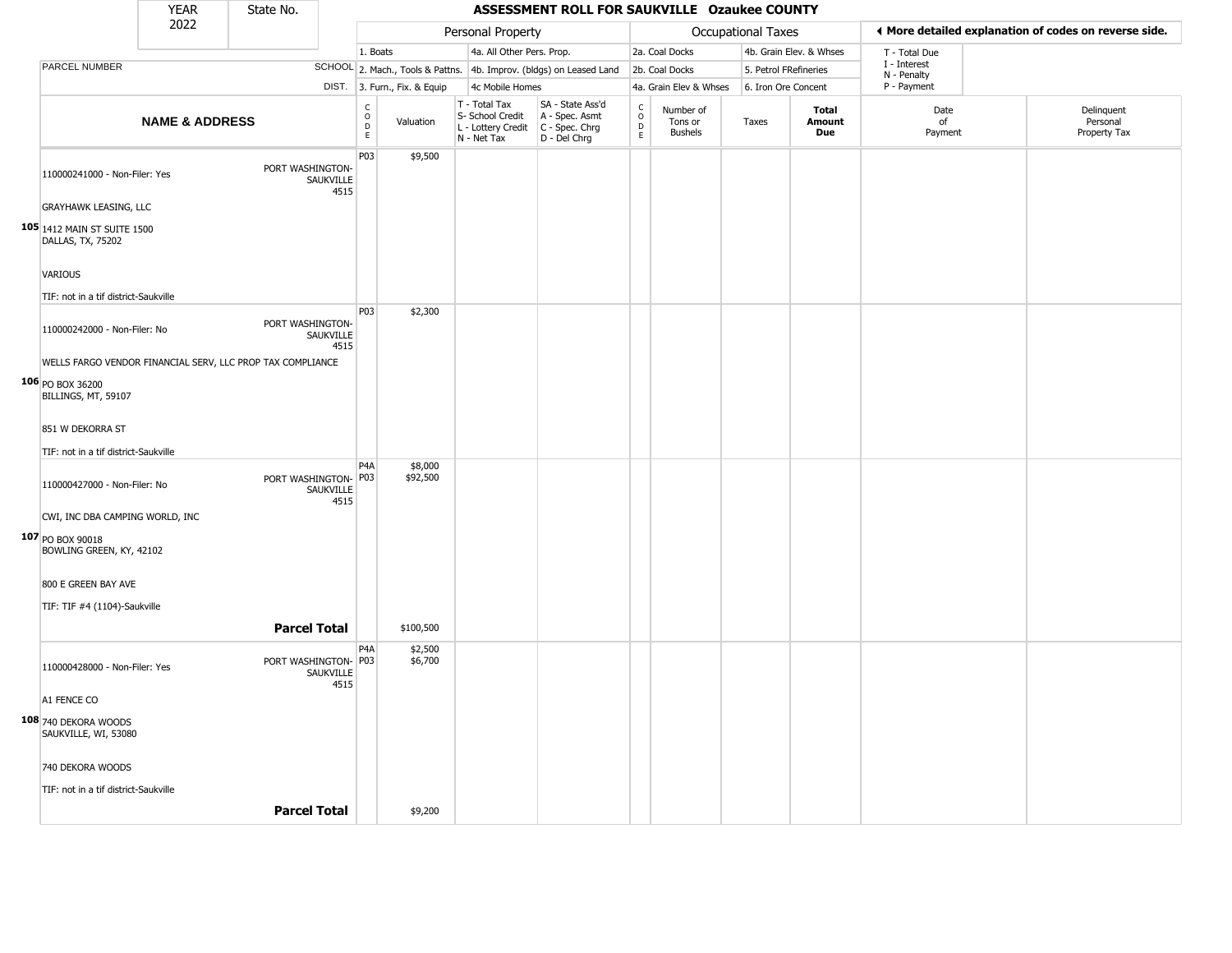|                                                  | <b>YEAR</b>               | State No.                                                  |                   |                                                 |                              |                                                                        | ASSESSMENT ROLL FOR SAUKVILLE Ozaukee COUNTY                         |                                              |                                        |                       |                               |                             |                                                       |
|--------------------------------------------------|---------------------------|------------------------------------------------------------|-------------------|-------------------------------------------------|------------------------------|------------------------------------------------------------------------|----------------------------------------------------------------------|----------------------------------------------|----------------------------------------|-----------------------|-------------------------------|-----------------------------|-------------------------------------------------------|
|                                                  | 2022                      |                                                            |                   |                                                 |                              | Personal Property                                                      |                                                                      |                                              |                                        | Occupational Taxes    |                               |                             | ♦ More detailed explanation of codes on reverse side. |
|                                                  |                           |                                                            |                   | 1. Boats                                        |                              | 4a. All Other Pers. Prop.                                              |                                                                      |                                              | 2a. Coal Docks                         |                       | 4b. Grain Elev. & Whses       | T - Total Due               |                                                       |
| PARCEL NUMBER                                    |                           |                                                            |                   |                                                 |                              |                                                                        | SCHOOL 2. Mach., Tools & Pattns. 4b. Improv. (bldgs) on Leased Land  |                                              | 2b. Coal Docks                         | 5. Petrol FRefineries |                               | I - Interest<br>N - Penalty |                                                       |
|                                                  |                           |                                                            |                   |                                                 | DIST. 3. Furn., Fix. & Equip | 4c Mobile Homes                                                        |                                                                      |                                              | 4a. Grain Elev & Whses                 | 6. Iron Ore Concent   |                               | P - Payment                 |                                                       |
|                                                  | <b>NAME &amp; ADDRESS</b> |                                                            |                   | $\begin{array}{c} C \\ O \\ D \\ E \end{array}$ | Valuation                    | T - Total Tax<br>S- School Credit<br>L - Lottery Credit<br>N - Net Tax | SA - State Ass'd<br>A - Spec. Asmt<br>C - Spec. Chrg<br>D - Del Chrg | $\begin{array}{c}\nC \\ O \\ D\n\end{array}$ | Number of<br>Tons or<br><b>Bushels</b> | Taxes                 | <b>Total</b><br>Amount<br>Due | Date<br>of<br>Payment       | Delinquent<br>Personal<br>Property Tax                |
| 110000241000 - Non-Filer: Yes                    |                           | PORT WASHINGTON-                                           | SAUKVILLE<br>4515 | P <sub>0</sub> 3                                | \$9,500                      |                                                                        |                                                                      |                                              |                                        |                       |                               |                             |                                                       |
| <b>GRAYHAWK LEASING, LLC</b>                     |                           |                                                            |                   |                                                 |                              |                                                                        |                                                                      |                                              |                                        |                       |                               |                             |                                                       |
| 105 1412 MAIN ST SUITE 1500<br>DALLAS, TX, 75202 |                           |                                                            |                   |                                                 |                              |                                                                        |                                                                      |                                              |                                        |                       |                               |                             |                                                       |
| VARIOUS                                          |                           |                                                            |                   |                                                 |                              |                                                                        |                                                                      |                                              |                                        |                       |                               |                             |                                                       |
| TIF: not in a tif district-Saukville             |                           |                                                            |                   |                                                 |                              |                                                                        |                                                                      |                                              |                                        |                       |                               |                             |                                                       |
| 110000242000 - Non-Filer: No                     |                           | PORT WASHINGTON-                                           | SAUKVILLE<br>4515 | P03                                             | \$2,300                      |                                                                        |                                                                      |                                              |                                        |                       |                               |                             |                                                       |
|                                                  |                           | WELLS FARGO VENDOR FINANCIAL SERV, LLC PROP TAX COMPLIANCE |                   |                                                 |                              |                                                                        |                                                                      |                                              |                                        |                       |                               |                             |                                                       |
| 106 PO BOX 36200<br>BILLINGS, MT, 59107          |                           |                                                            |                   |                                                 |                              |                                                                        |                                                                      |                                              |                                        |                       |                               |                             |                                                       |
| 851 W DEKORRA ST                                 |                           |                                                            |                   |                                                 |                              |                                                                        |                                                                      |                                              |                                        |                       |                               |                             |                                                       |
| TIF: not in a tif district-Saukville             |                           |                                                            |                   |                                                 |                              |                                                                        |                                                                      |                                              |                                        |                       |                               |                             |                                                       |
| 110000427000 - Non-Filer: No                     |                           | PORT WASHINGTON- P03                                       | SAUKVILLE<br>4515 | P <sub>4</sub> A                                | \$8,000<br>\$92,500          |                                                                        |                                                                      |                                              |                                        |                       |                               |                             |                                                       |
| CWI, INC DBA CAMPING WORLD, INC                  |                           |                                                            |                   |                                                 |                              |                                                                        |                                                                      |                                              |                                        |                       |                               |                             |                                                       |
| 107 PO BOX 90018<br>BOWLING GREEN, KY, 42102     |                           |                                                            |                   |                                                 |                              |                                                                        |                                                                      |                                              |                                        |                       |                               |                             |                                                       |
| 800 E GREEN BAY AVE                              |                           |                                                            |                   |                                                 |                              |                                                                        |                                                                      |                                              |                                        |                       |                               |                             |                                                       |
| TIF: TIF #4 (1104)-Saukville                     |                           |                                                            |                   |                                                 |                              |                                                                        |                                                                      |                                              |                                        |                       |                               |                             |                                                       |
|                                                  |                           | <b>Parcel Total</b>                                        |                   |                                                 | \$100,500                    |                                                                        |                                                                      |                                              |                                        |                       |                               |                             |                                                       |
|                                                  |                           |                                                            |                   | P <sub>4</sub> A                                | \$2,500                      |                                                                        |                                                                      |                                              |                                        |                       |                               |                             |                                                       |
| 110000428000 - Non-Filer: Yes                    |                           | PORT WASHINGTON- P03                                       | SAUKVILLE<br>4515 |                                                 | \$6,700                      |                                                                        |                                                                      |                                              |                                        |                       |                               |                             |                                                       |
| A1 FENCE CO                                      |                           |                                                            |                   |                                                 |                              |                                                                        |                                                                      |                                              |                                        |                       |                               |                             |                                                       |
| 108 740 DEKORA WOODS<br>SAUKVILLE, WI, 53080     |                           |                                                            |                   |                                                 |                              |                                                                        |                                                                      |                                              |                                        |                       |                               |                             |                                                       |
| 740 DEKORA WOODS                                 |                           |                                                            |                   |                                                 |                              |                                                                        |                                                                      |                                              |                                        |                       |                               |                             |                                                       |
| TIF: not in a tif district-Saukville             |                           |                                                            |                   |                                                 |                              |                                                                        |                                                                      |                                              |                                        |                       |                               |                             |                                                       |
|                                                  |                           | <b>Parcel Total</b>                                        |                   |                                                 | \$9,200                      |                                                                        |                                                                      |                                              |                                        |                       |                               |                             |                                                       |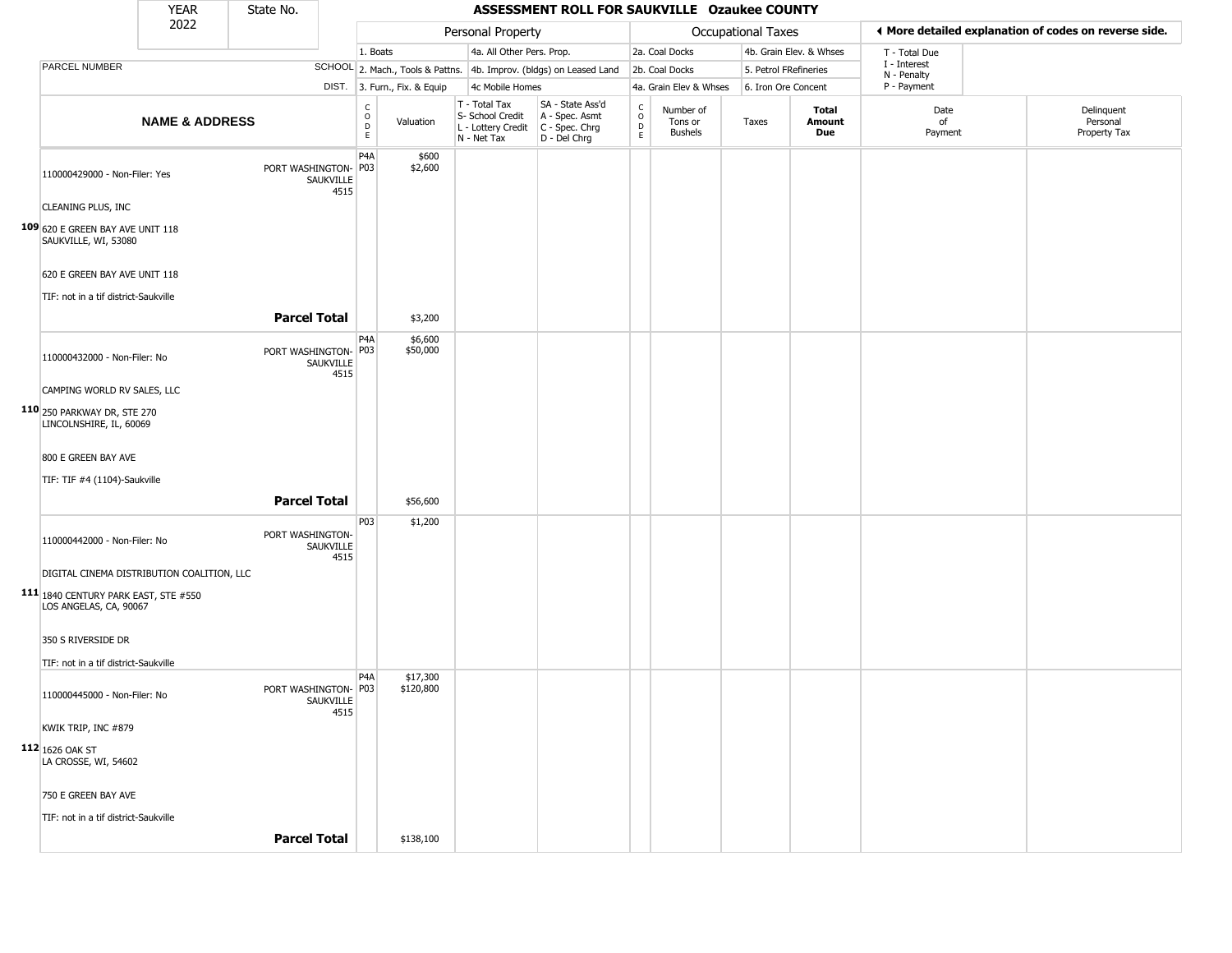|                                                                | <b>YEAR</b>               | State No.            |                          |                                                  |                              |                                                                        | ASSESSMENT ROLL FOR SAUKVILLE Ozaukee COUNTY                         |                                             |                                        |                       |                         |                             |                                                       |
|----------------------------------------------------------------|---------------------------|----------------------|--------------------------|--------------------------------------------------|------------------------------|------------------------------------------------------------------------|----------------------------------------------------------------------|---------------------------------------------|----------------------------------------|-----------------------|-------------------------|-----------------------------|-------------------------------------------------------|
|                                                                | 2022                      |                      |                          |                                                  |                              | Personal Property                                                      |                                                                      |                                             |                                        | Occupational Taxes    |                         |                             | ♦ More detailed explanation of codes on reverse side. |
|                                                                |                           |                      |                          | 1. Boats                                         |                              | 4a. All Other Pers. Prop.                                              |                                                                      |                                             | 2a. Coal Docks                         |                       | 4b. Grain Elev. & Whses | T - Total Due               |                                                       |
| PARCEL NUMBER                                                  |                           |                      |                          |                                                  |                              |                                                                        | SCHOOL 2. Mach., Tools & Pattns. 4b. Improv. (bldgs) on Leased Land  |                                             | 2b. Coal Docks                         | 5. Petrol FRefineries |                         | I - Interest<br>N - Penalty |                                                       |
|                                                                |                           |                      |                          |                                                  | DIST. 3. Furn., Fix. & Equip | 4c Mobile Homes                                                        |                                                                      |                                             | 4a. Grain Elev & Whses                 | 6. Iron Ore Concent   |                         | P - Payment                 |                                                       |
|                                                                | <b>NAME &amp; ADDRESS</b> |                      |                          | $_{\rm o}^{\rm c}$<br>$\mathsf D$<br>$\mathsf E$ | Valuation                    | T - Total Tax<br>S- School Credit<br>L - Lottery Credit<br>N - Net Tax | SA - State Ass'd<br>A - Spec. Asmt<br>C - Spec. Chrg<br>D - Del Chrg | $\frac{c}{0}$<br>$\mathsf D$<br>$\mathsf E$ | Number of<br>Tons or<br><b>Bushels</b> | Taxes                 | Total<br>Amount<br>Due  | Date<br>of<br>Payment       | Delinquent<br>Personal<br>Property Tax                |
| 110000429000 - Non-Filer: Yes                                  |                           | PORT WASHINGTON- P03 | SAUKVILLE<br>4515        | P <sub>4</sub> A                                 | \$600<br>\$2,600             |                                                                        |                                                                      |                                             |                                        |                       |                         |                             |                                                       |
| CLEANING PLUS, INC                                             |                           |                      |                          |                                                  |                              |                                                                        |                                                                      |                                             |                                        |                       |                         |                             |                                                       |
| 109 620 E GREEN BAY AVE UNIT 118<br>SAUKVILLE, WI, 53080       |                           |                      |                          |                                                  |                              |                                                                        |                                                                      |                                             |                                        |                       |                         |                             |                                                       |
| 620 E GREEN BAY AVE UNIT 118                                   |                           |                      |                          |                                                  |                              |                                                                        |                                                                      |                                             |                                        |                       |                         |                             |                                                       |
| TIF: not in a tif district-Saukville                           |                           |                      |                          |                                                  |                              |                                                                        |                                                                      |                                             |                                        |                       |                         |                             |                                                       |
|                                                                |                           | <b>Parcel Total</b>  |                          |                                                  | \$3,200                      |                                                                        |                                                                      |                                             |                                        |                       |                         |                             |                                                       |
| 110000432000 - Non-Filer: No                                   |                           | PORT WASHINGTON- P03 | SAUKVILLE<br>4515        | P4A                                              | \$6,600<br>\$50,000          |                                                                        |                                                                      |                                             |                                        |                       |                         |                             |                                                       |
| CAMPING WORLD RV SALES, LLC                                    |                           |                      |                          |                                                  |                              |                                                                        |                                                                      |                                             |                                        |                       |                         |                             |                                                       |
| 110 250 PARKWAY DR, STE 270<br>LINCOLNSHIRE, IL, 60069         |                           |                      |                          |                                                  |                              |                                                                        |                                                                      |                                             |                                        |                       |                         |                             |                                                       |
| 800 E GREEN BAY AVE                                            |                           |                      |                          |                                                  |                              |                                                                        |                                                                      |                                             |                                        |                       |                         |                             |                                                       |
| TIF: TIF #4 (1104)-Saukville                                   |                           |                      |                          |                                                  |                              |                                                                        |                                                                      |                                             |                                        |                       |                         |                             |                                                       |
|                                                                |                           | <b>Parcel Total</b>  |                          |                                                  | \$56,600                     |                                                                        |                                                                      |                                             |                                        |                       |                         |                             |                                                       |
| 110000442000 - Non-Filer: No                                   |                           | PORT WASHINGTON-     | SAUKVILLE<br>4515        | P03                                              | \$1,200                      |                                                                        |                                                                      |                                             |                                        |                       |                         |                             |                                                       |
| DIGITAL CINEMA DISTRIBUTION COALITION, LLC                     |                           |                      |                          |                                                  |                              |                                                                        |                                                                      |                                             |                                        |                       |                         |                             |                                                       |
| 111 1840 CENTURY PARK EAST, STE #550<br>LOS ANGELAS, CA, 90067 |                           |                      |                          |                                                  |                              |                                                                        |                                                                      |                                             |                                        |                       |                         |                             |                                                       |
| 350 S RIVERSIDE DR                                             |                           |                      |                          |                                                  |                              |                                                                        |                                                                      |                                             |                                        |                       |                         |                             |                                                       |
| TIF: not in a tif district-Saukville                           |                           |                      |                          |                                                  |                              |                                                                        |                                                                      |                                             |                                        |                       |                         |                             |                                                       |
| 110000445000 - Non-Filer: No                                   |                           | PORT WASHINGTON- P03 | <b>SAUKVILLE</b><br>4515 | P4A                                              | \$17,300<br>\$120,800        |                                                                        |                                                                      |                                             |                                        |                       |                         |                             |                                                       |
| KWIK TRIP, INC #879                                            |                           |                      |                          |                                                  |                              |                                                                        |                                                                      |                                             |                                        |                       |                         |                             |                                                       |
| 112 1626 OAK ST<br>LA CROSSE, WI, 54602                        |                           |                      |                          |                                                  |                              |                                                                        |                                                                      |                                             |                                        |                       |                         |                             |                                                       |
| 750 E GREEN BAY AVE                                            |                           |                      |                          |                                                  |                              |                                                                        |                                                                      |                                             |                                        |                       |                         |                             |                                                       |
| TIF: not in a tif district-Saukville                           |                           |                      |                          |                                                  |                              |                                                                        |                                                                      |                                             |                                        |                       |                         |                             |                                                       |
|                                                                |                           | <b>Parcel Total</b>  |                          |                                                  | \$138,100                    |                                                                        |                                                                      |                                             |                                        |                       |                         |                             |                                                       |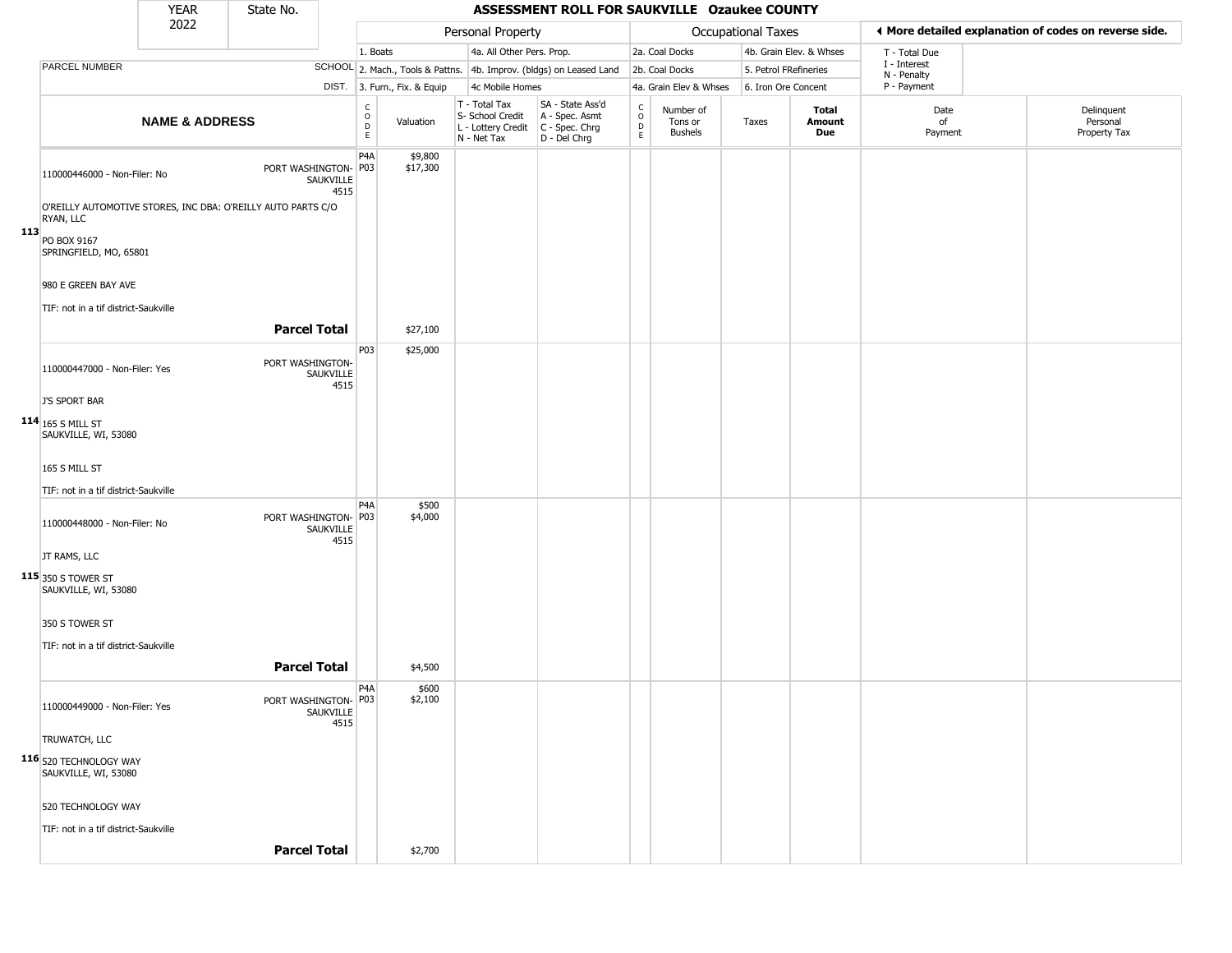|     |                                                                           | <b>YEAR</b>               | State No.            |                          |                                                  |                              |                                                                        | ASSESSMENT ROLL FOR SAUKVILLE Ozaukee COUNTY                         |                                                 |                                        |                       |                         |                             |                                                       |
|-----|---------------------------------------------------------------------------|---------------------------|----------------------|--------------------------|--------------------------------------------------|------------------------------|------------------------------------------------------------------------|----------------------------------------------------------------------|-------------------------------------------------|----------------------------------------|-----------------------|-------------------------|-----------------------------|-------------------------------------------------------|
|     |                                                                           | 2022                      |                      |                          |                                                  |                              | Personal Property                                                      |                                                                      |                                                 |                                        | Occupational Taxes    |                         |                             | ♦ More detailed explanation of codes on reverse side. |
|     |                                                                           |                           |                      |                          | 1. Boats                                         |                              | 4a. All Other Pers. Prop.                                              |                                                                      |                                                 | 2a. Coal Docks                         |                       | 4b. Grain Elev. & Whses | T - Total Due               |                                                       |
|     | PARCEL NUMBER                                                             |                           |                      |                          |                                                  |                              |                                                                        | SCHOOL 2. Mach., Tools & Pattns. 4b. Improv. (bldgs) on Leased Land  |                                                 | 2b. Coal Docks                         | 5. Petrol FRefineries |                         | I - Interest<br>N - Penalty |                                                       |
|     |                                                                           |                           |                      |                          |                                                  | DIST. 3. Furn., Fix. & Equip | 4c Mobile Homes                                                        |                                                                      |                                                 | 4a. Grain Elev & Whses                 | 6. Iron Ore Concent   |                         | P - Payment                 |                                                       |
|     |                                                                           | <b>NAME &amp; ADDRESS</b> |                      |                          | $_{\rm o}^{\rm c}$<br>$\mathsf D$<br>$\mathsf E$ | Valuation                    | T - Total Tax<br>S- School Credit<br>L - Lottery Credit<br>N - Net Tax | SA - State Ass'd<br>A - Spec. Asmt<br>C - Spec. Chrg<br>D - Del Chrg | $\begin{array}{c} C \\ O \\ D \\ E \end{array}$ | Number of<br>Tons or<br><b>Bushels</b> | Taxes                 | Total<br>Amount<br>Due  | Date<br>of<br>Payment       | Delinquent<br>Personal<br>Property Tax                |
|     | 110000446000 - Non-Filer: No                                              |                           | PORT WASHINGTON- P03 | <b>SAUKVILLE</b><br>4515 | P <sub>4</sub> A                                 | \$9,800<br>\$17,300          |                                                                        |                                                                      |                                                 |                                        |                       |                         |                             |                                                       |
|     | O'REILLY AUTOMOTIVE STORES, INC DBA: O'REILLY AUTO PARTS C/O<br>RYAN, LLC |                           |                      |                          |                                                  |                              |                                                                        |                                                                      |                                                 |                                        |                       |                         |                             |                                                       |
| 113 | PO BOX 9167<br>SPRINGFIELD, MO, 65801                                     |                           |                      |                          |                                                  |                              |                                                                        |                                                                      |                                                 |                                        |                       |                         |                             |                                                       |
|     | 980 E GREEN BAY AVE                                                       |                           |                      |                          |                                                  |                              |                                                                        |                                                                      |                                                 |                                        |                       |                         |                             |                                                       |
|     | TIF: not in a tif district-Saukville                                      |                           |                      |                          |                                                  |                              |                                                                        |                                                                      |                                                 |                                        |                       |                         |                             |                                                       |
|     |                                                                           |                           | <b>Parcel Total</b>  |                          |                                                  | \$27,100                     |                                                                        |                                                                      |                                                 |                                        |                       |                         |                             |                                                       |
|     | 110000447000 - Non-Filer: Yes                                             |                           | PORT WASHINGTON-     | <b>SAUKVILLE</b><br>4515 | P03                                              | \$25,000                     |                                                                        |                                                                      |                                                 |                                        |                       |                         |                             |                                                       |
|     | J'S SPORT BAR                                                             |                           |                      |                          |                                                  |                              |                                                                        |                                                                      |                                                 |                                        |                       |                         |                             |                                                       |
|     | 114 165 S MILL ST<br>SAUKVILLE, WI, 53080                                 |                           |                      |                          |                                                  |                              |                                                                        |                                                                      |                                                 |                                        |                       |                         |                             |                                                       |
|     | 165 S MILL ST                                                             |                           |                      |                          |                                                  |                              |                                                                        |                                                                      |                                                 |                                        |                       |                         |                             |                                                       |
|     | TIF: not in a tif district-Saukville                                      |                           |                      |                          |                                                  |                              |                                                                        |                                                                      |                                                 |                                        |                       |                         |                             |                                                       |
|     | 110000448000 - Non-Filer: No                                              |                           | PORT WASHINGTON- P03 | SAUKVILLE<br>4515        | P <sub>4</sub> A                                 | \$500<br>\$4,000             |                                                                        |                                                                      |                                                 |                                        |                       |                         |                             |                                                       |
|     | JT RAMS, LLC                                                              |                           |                      |                          |                                                  |                              |                                                                        |                                                                      |                                                 |                                        |                       |                         |                             |                                                       |
|     | 115 350 S TOWER ST<br>SAUKVILLE, WI, 53080                                |                           |                      |                          |                                                  |                              |                                                                        |                                                                      |                                                 |                                        |                       |                         |                             |                                                       |
|     | 350 S TOWER ST                                                            |                           |                      |                          |                                                  |                              |                                                                        |                                                                      |                                                 |                                        |                       |                         |                             |                                                       |
|     | TIF: not in a tif district-Saukville                                      |                           |                      |                          |                                                  |                              |                                                                        |                                                                      |                                                 |                                        |                       |                         |                             |                                                       |
|     |                                                                           |                           | <b>Parcel Total</b>  |                          |                                                  | \$4,500                      |                                                                        |                                                                      |                                                 |                                        |                       |                         |                             |                                                       |
|     | 110000449000 - Non-Filer: Yes                                             |                           | PORT WASHINGTON- P03 | SAUKVILLE<br>4515        | P4A                                              | \$600<br>\$2,100             |                                                                        |                                                                      |                                                 |                                        |                       |                         |                             |                                                       |
|     | TRUWATCH, LLC                                                             |                           |                      |                          |                                                  |                              |                                                                        |                                                                      |                                                 |                                        |                       |                         |                             |                                                       |
|     | 116 520 TECHNOLOGY WAY<br>SAUKVILLE, WI, 53080                            |                           |                      |                          |                                                  |                              |                                                                        |                                                                      |                                                 |                                        |                       |                         |                             |                                                       |
|     | 520 TECHNOLOGY WAY                                                        |                           |                      |                          |                                                  |                              |                                                                        |                                                                      |                                                 |                                        |                       |                         |                             |                                                       |
|     | TIF: not in a tif district-Saukville                                      |                           |                      |                          |                                                  |                              |                                                                        |                                                                      |                                                 |                                        |                       |                         |                             |                                                       |
|     |                                                                           |                           | <b>Parcel Total</b>  |                          |                                                  | \$2,700                      |                                                                        |                                                                      |                                                 |                                        |                       |                         |                             |                                                       |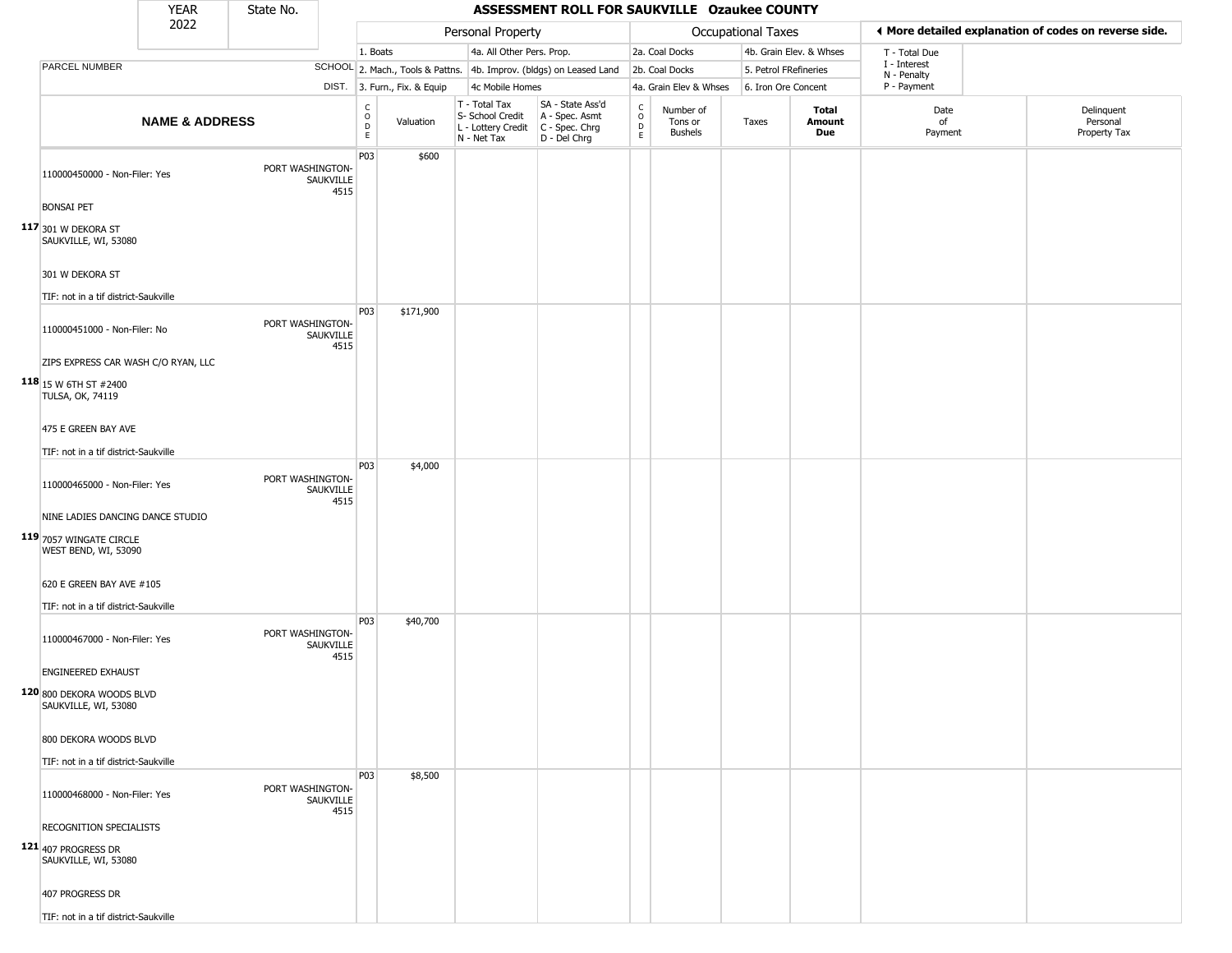|                                                   | <b>YEAR</b>               | State No.        |                   |                            |                              |                                                                        | ASSESSMENT ROLL FOR SAUKVILLE Ozaukee COUNTY                         |                                           |                                        |                       |                         |                                                       |                                        |
|---------------------------------------------------|---------------------------|------------------|-------------------|----------------------------|------------------------------|------------------------------------------------------------------------|----------------------------------------------------------------------|-------------------------------------------|----------------------------------------|-----------------------|-------------------------|-------------------------------------------------------|----------------------------------------|
|                                                   | 2022                      |                  |                   |                            |                              | Personal Property                                                      |                                                                      |                                           |                                        | Occupational Taxes    |                         | ◀ More detailed explanation of codes on reverse side. |                                        |
|                                                   |                           |                  |                   | 1. Boats                   |                              | 4a. All Other Pers. Prop.                                              |                                                                      |                                           | 2a. Coal Docks                         |                       | 4b. Grain Elev. & Whses | T - Total Due                                         |                                        |
| PARCEL NUMBER                                     |                           |                  |                   |                            |                              |                                                                        | SCHOOL 2. Mach., Tools & Pattns. 4b. Improv. (bldgs) on Leased Land  |                                           | 2b. Coal Docks                         | 5. Petrol FRefineries |                         | I - Interest                                          |                                        |
|                                                   |                           |                  |                   |                            | DIST. 3. Furn., Fix. & Equip | 4c Mobile Homes                                                        |                                                                      |                                           | 4a. Grain Elev & Whses                 | 6. Iron Ore Concent   |                         | N - Penalty<br>P - Payment                            |                                        |
|                                                   | <b>NAME &amp; ADDRESS</b> |                  |                   | C<br>0<br>D<br>$\mathsf E$ | Valuation                    | T - Total Tax<br>S- School Credit<br>L - Lottery Credit<br>N - Net Tax | SA - State Ass'd<br>A - Spec. Asmt<br>C - Spec. Chrg<br>D - Del Chrg | $\mathsf{C}$<br>$\circ$<br>$\overline{P}$ | Number of<br>Tons or<br><b>Bushels</b> | Taxes                 | Total<br>Amount<br>Due  | Date<br>of<br>Payment                                 | Delinquent<br>Personal<br>Property Tax |
| 110000450000 - Non-Filer: Yes                     |                           | PORT WASHINGTON- | SAUKVILLE<br>4515 | P03                        | \$600                        |                                                                        |                                                                      |                                           |                                        |                       |                         |                                                       |                                        |
| <b>BONSAI PET</b>                                 |                           |                  |                   |                            |                              |                                                                        |                                                                      |                                           |                                        |                       |                         |                                                       |                                        |
| 117 301 W DEKORA ST<br>SAUKVILLE, WI, 53080       |                           |                  |                   |                            |                              |                                                                        |                                                                      |                                           |                                        |                       |                         |                                                       |                                        |
| 301 W DEKORA ST                                   |                           |                  |                   |                            |                              |                                                                        |                                                                      |                                           |                                        |                       |                         |                                                       |                                        |
| TIF: not in a tif district-Saukville              |                           |                  |                   |                            |                              |                                                                        |                                                                      |                                           |                                        |                       |                         |                                                       |                                        |
| 110000451000 - Non-Filer: No                      |                           | PORT WASHINGTON- | SAUKVILLE<br>4515 | P03                        | \$171,900                    |                                                                        |                                                                      |                                           |                                        |                       |                         |                                                       |                                        |
| ZIPS EXPRESS CAR WASH C/O RYAN, LLC               |                           |                  |                   |                            |                              |                                                                        |                                                                      |                                           |                                        |                       |                         |                                                       |                                        |
| 118 15 W 6TH ST #2400<br><b>TULSA, OK, 74119</b>  |                           |                  |                   |                            |                              |                                                                        |                                                                      |                                           |                                        |                       |                         |                                                       |                                        |
| 475 E GREEN BAY AVE                               |                           |                  |                   |                            |                              |                                                                        |                                                                      |                                           |                                        |                       |                         |                                                       |                                        |
| TIF: not in a tif district-Saukville              |                           |                  |                   |                            |                              |                                                                        |                                                                      |                                           |                                        |                       |                         |                                                       |                                        |
| 110000465000 - Non-Filer: Yes                     |                           | PORT WASHINGTON- | SAUKVILLE<br>4515 | P03                        | \$4,000                      |                                                                        |                                                                      |                                           |                                        |                       |                         |                                                       |                                        |
| NINE LADIES DANCING DANCE STUDIO                  |                           |                  |                   |                            |                              |                                                                        |                                                                      |                                           |                                        |                       |                         |                                                       |                                        |
| 119 7057 WINGATE CIRCLE<br>WEST BEND, WI, 53090   |                           |                  |                   |                            |                              |                                                                        |                                                                      |                                           |                                        |                       |                         |                                                       |                                        |
| 620 E GREEN BAY AVE #105                          |                           |                  |                   |                            |                              |                                                                        |                                                                      |                                           |                                        |                       |                         |                                                       |                                        |
| TIF: not in a tif district-Saukville              |                           |                  |                   |                            |                              |                                                                        |                                                                      |                                           |                                        |                       |                         |                                                       |                                        |
| 110000467000 - Non-Filer: Yes                     |                           | PORT WASHINGTON- | SAUKVILLE<br>4515 | P03                        | \$40,700                     |                                                                        |                                                                      |                                           |                                        |                       |                         |                                                       |                                        |
| <b>ENGINEERED EXHAUST</b>                         |                           |                  |                   |                            |                              |                                                                        |                                                                      |                                           |                                        |                       |                         |                                                       |                                        |
| 120 800 DEKORA WOODS BLVD<br>SAUKVILLE, WI, 53080 |                           |                  |                   |                            |                              |                                                                        |                                                                      |                                           |                                        |                       |                         |                                                       |                                        |
| 800 DEKORA WOODS BLVD                             |                           |                  |                   |                            |                              |                                                                        |                                                                      |                                           |                                        |                       |                         |                                                       |                                        |
| TIF: not in a tif district-Saukville              |                           |                  |                   |                            |                              |                                                                        |                                                                      |                                           |                                        |                       |                         |                                                       |                                        |
| 110000468000 - Non-Filer: Yes                     |                           | PORT WASHINGTON- | SAUKVILLE<br>4515 | P03                        | \$8,500                      |                                                                        |                                                                      |                                           |                                        |                       |                         |                                                       |                                        |
| RECOGNITION SPECIALISTS                           |                           |                  |                   |                            |                              |                                                                        |                                                                      |                                           |                                        |                       |                         |                                                       |                                        |
| 121 407 PROGRESS DR<br>SAUKVILLE, WI, 53080       |                           |                  |                   |                            |                              |                                                                        |                                                                      |                                           |                                        |                       |                         |                                                       |                                        |
| 407 PROGRESS DR                                   |                           |                  |                   |                            |                              |                                                                        |                                                                      |                                           |                                        |                       |                         |                                                       |                                        |
| TIF: not in a tif district-Saukville              |                           |                  |                   |                            |                              |                                                                        |                                                                      |                                           |                                        |                       |                         |                                                       |                                        |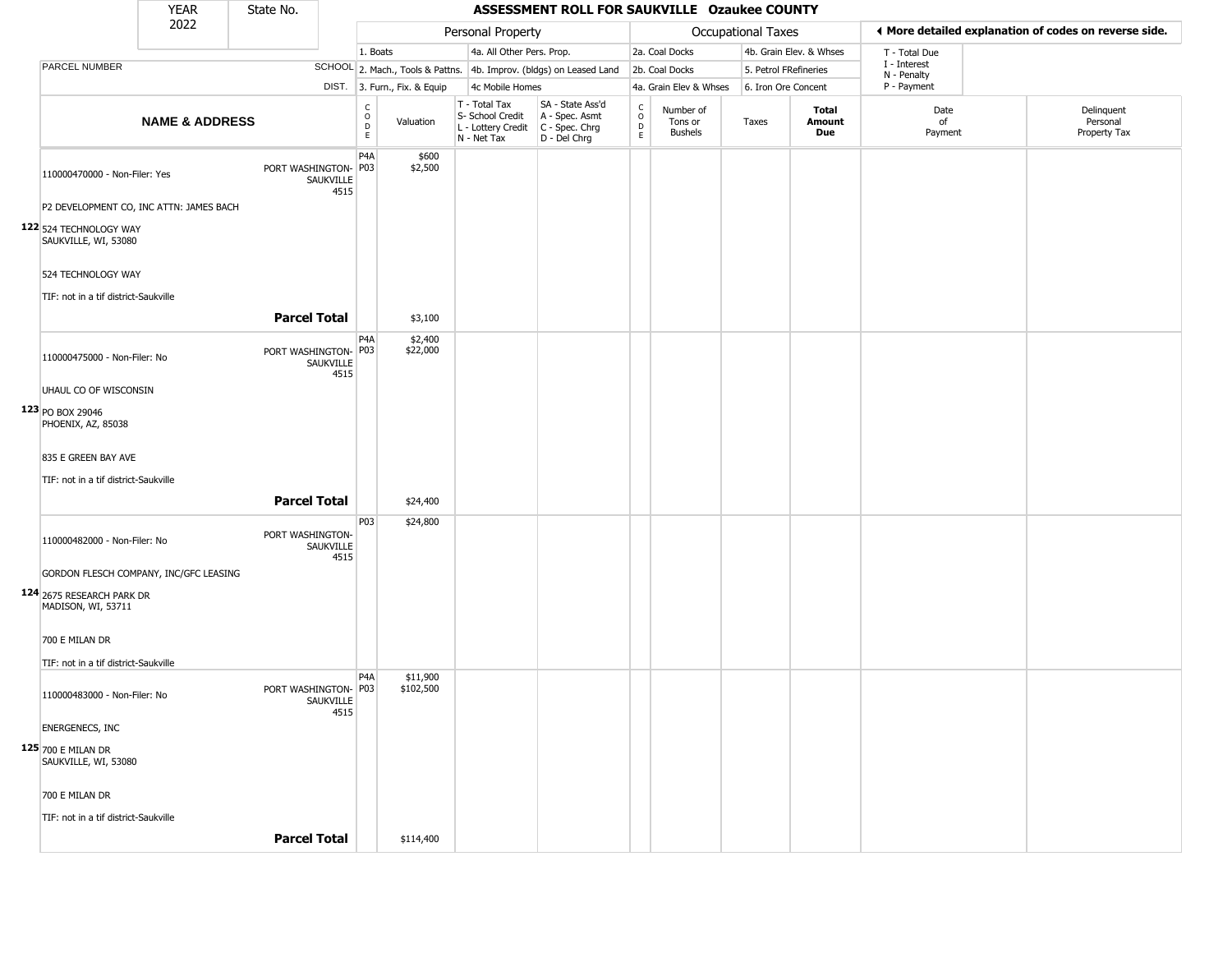|                                                   | <b>YEAR</b>               | State No.            |                   |                                |                              |                                                                        | ASSESSMENT ROLL FOR SAUKVILLE Ozaukee COUNTY                         |                                 |                                        |                       |                         |                             |                                                       |
|---------------------------------------------------|---------------------------|----------------------|-------------------|--------------------------------|------------------------------|------------------------------------------------------------------------|----------------------------------------------------------------------|---------------------------------|----------------------------------------|-----------------------|-------------------------|-----------------------------|-------------------------------------------------------|
|                                                   | 2022                      |                      |                   |                                |                              | Personal Property                                                      |                                                                      |                                 |                                        | Occupational Taxes    |                         |                             | ♦ More detailed explanation of codes on reverse side. |
|                                                   |                           |                      |                   | 1. Boats                       |                              | 4a. All Other Pers. Prop.                                              |                                                                      |                                 | 2a. Coal Docks                         |                       | 4b. Grain Elev. & Whses | T - Total Due               |                                                       |
| PARCEL NUMBER                                     |                           |                      |                   |                                |                              |                                                                        | SCHOOL 2. Mach., Tools & Pattns. 4b. Improv. (bldgs) on Leased Land  |                                 | 2b. Coal Docks                         | 5. Petrol FRefineries |                         | I - Interest<br>N - Penalty |                                                       |
|                                                   |                           |                      |                   |                                | DIST. 3. Furn., Fix. & Equip | 4c Mobile Homes                                                        |                                                                      |                                 | 4a. Grain Elev & Whses                 | 6. Iron Ore Concent   |                         | P - Payment                 |                                                       |
|                                                   | <b>NAME &amp; ADDRESS</b> |                      |                   | $\rm ^c_o$<br>$\mathsf D$<br>E | Valuation                    | T - Total Tax<br>S- School Credit<br>L - Lottery Credit<br>N - Net Tax | SA - State Ass'd<br>A - Spec. Asmt<br>C - Spec. Chrg<br>D - Del Chrg | $\rm _o^C$<br>$\mathsf D$<br>E. | Number of<br>Tons or<br><b>Bushels</b> | Taxes                 | Total<br>Amount<br>Due  | Date<br>of<br>Payment       | Delinquent<br>Personal<br>Property Tax                |
| 110000470000 - Non-Filer: Yes                     |                           | PORT WASHINGTON- P03 | SAUKVILLE<br>4515 | P <sub>4</sub> A               | \$600<br>\$2,500             |                                                                        |                                                                      |                                 |                                        |                       |                         |                             |                                                       |
| P2 DEVELOPMENT CO, INC ATTN: JAMES BACH           |                           |                      |                   |                                |                              |                                                                        |                                                                      |                                 |                                        |                       |                         |                             |                                                       |
| 122 524 TECHNOLOGY WAY<br>SAUKVILLE, WI, 53080    |                           |                      |                   |                                |                              |                                                                        |                                                                      |                                 |                                        |                       |                         |                             |                                                       |
| 524 TECHNOLOGY WAY                                |                           |                      |                   |                                |                              |                                                                        |                                                                      |                                 |                                        |                       |                         |                             |                                                       |
| TIF: not in a tif district-Saukville              |                           |                      |                   |                                |                              |                                                                        |                                                                      |                                 |                                        |                       |                         |                             |                                                       |
|                                                   |                           | <b>Parcel Total</b>  |                   |                                | \$3,100                      |                                                                        |                                                                      |                                 |                                        |                       |                         |                             |                                                       |
| 110000475000 - Non-Filer: No                      |                           | PORT WASHINGTON- P03 | SAUKVILLE<br>4515 | P <sub>4</sub> A               | \$2,400<br>\$22,000          |                                                                        |                                                                      |                                 |                                        |                       |                         |                             |                                                       |
| UHAUL CO OF WISCONSIN                             |                           |                      |                   |                                |                              |                                                                        |                                                                      |                                 |                                        |                       |                         |                             |                                                       |
| 123 PO BOX 29046<br>PHOENIX, AZ, 85038            |                           |                      |                   |                                |                              |                                                                        |                                                                      |                                 |                                        |                       |                         |                             |                                                       |
| 835 E GREEN BAY AVE                               |                           |                      |                   |                                |                              |                                                                        |                                                                      |                                 |                                        |                       |                         |                             |                                                       |
| TIF: not in a tif district-Saukville              |                           |                      |                   |                                |                              |                                                                        |                                                                      |                                 |                                        |                       |                         |                             |                                                       |
|                                                   |                           | <b>Parcel Total</b>  |                   |                                | \$24,400                     |                                                                        |                                                                      |                                 |                                        |                       |                         |                             |                                                       |
| 110000482000 - Non-Filer: No                      |                           | PORT WASHINGTON-     | SAUKVILLE<br>4515 | P <sub>0</sub> 3               | \$24,800                     |                                                                        |                                                                      |                                 |                                        |                       |                         |                             |                                                       |
| GORDON FLESCH COMPANY, INC/GFC LEASING            |                           |                      |                   |                                |                              |                                                                        |                                                                      |                                 |                                        |                       |                         |                             |                                                       |
| 124 2675 RESEARCH PARK DR<br>MADISON, WI, 53711   |                           |                      |                   |                                |                              |                                                                        |                                                                      |                                 |                                        |                       |                         |                             |                                                       |
| 700 E MILAN DR                                    |                           |                      |                   |                                |                              |                                                                        |                                                                      |                                 |                                        |                       |                         |                             |                                                       |
| TIF: not in a tif district-Saukville              |                           |                      |                   |                                |                              |                                                                        |                                                                      |                                 |                                        |                       |                         |                             |                                                       |
| 110000483000 - Non-Filer: No                      |                           | PORT WASHINGTON- P03 | SAUKVILLE<br>4515 | P <sub>4</sub> A               | \$11,900<br>\$102,500        |                                                                        |                                                                      |                                 |                                        |                       |                         |                             |                                                       |
| <b>ENERGENECS, INC</b>                            |                           |                      |                   |                                |                              |                                                                        |                                                                      |                                 |                                        |                       |                         |                             |                                                       |
| <b>125</b> 700 E MILAN DR<br>SAUKVILLE, WI, 53080 |                           |                      |                   |                                |                              |                                                                        |                                                                      |                                 |                                        |                       |                         |                             |                                                       |
| 700 E MILAN DR                                    |                           |                      |                   |                                |                              |                                                                        |                                                                      |                                 |                                        |                       |                         |                             |                                                       |
| TIF: not in a tif district-Saukville              |                           |                      |                   |                                |                              |                                                                        |                                                                      |                                 |                                        |                       |                         |                             |                                                       |
|                                                   |                           | <b>Parcel Total</b>  |                   |                                | \$114,400                    |                                                                        |                                                                      |                                 |                                        |                       |                         |                             |                                                       |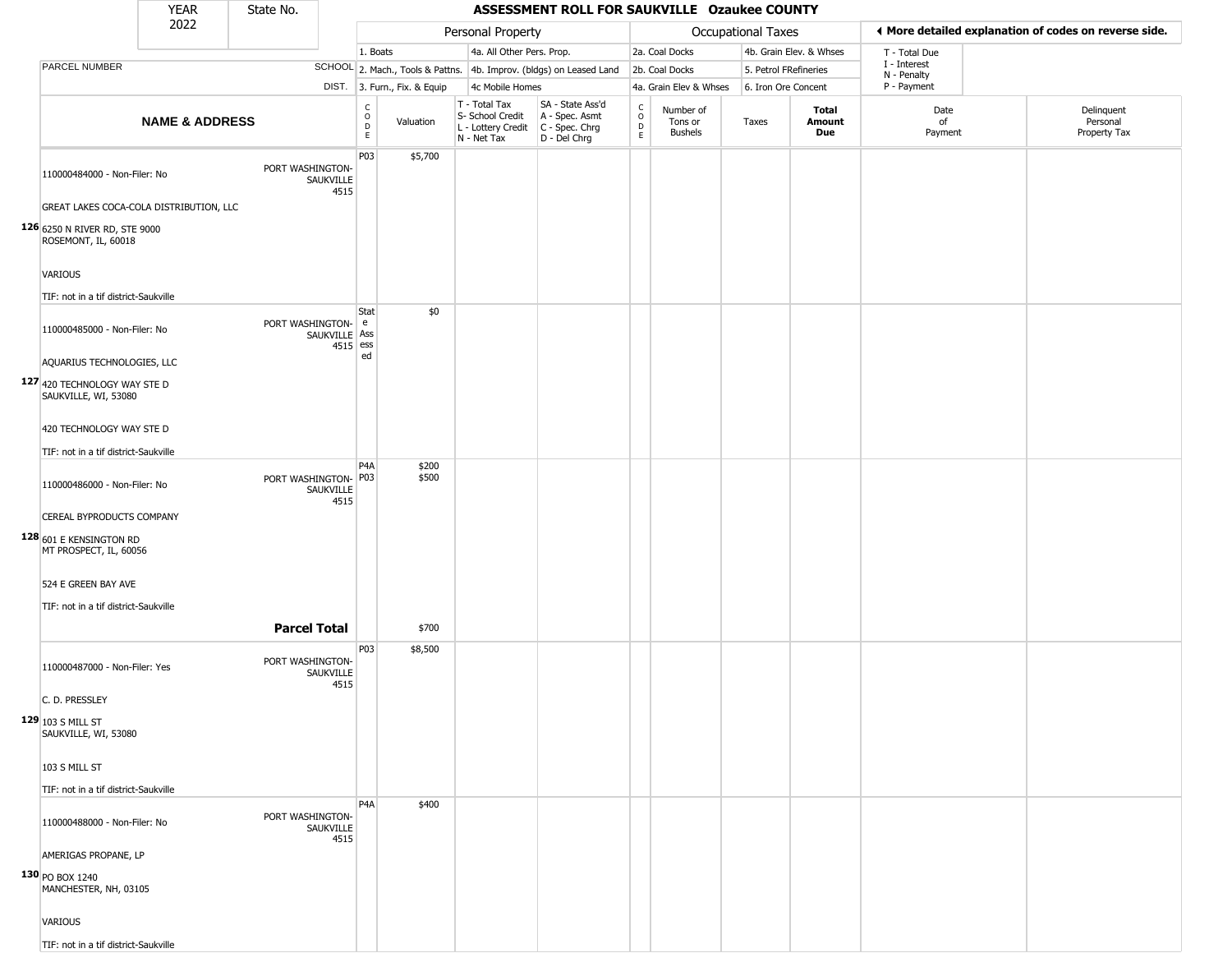|                                                      | <b>YEAR</b>               | State No.            |                             |                                                |                              |                                                                                         | ASSESSMENT ROLL FOR SAUKVILLE Ozaukee COUNTY                        |                         |                                        |                       |                         |                             |                                                       |
|------------------------------------------------------|---------------------------|----------------------|-----------------------------|------------------------------------------------|------------------------------|-----------------------------------------------------------------------------------------|---------------------------------------------------------------------|-------------------------|----------------------------------------|-----------------------|-------------------------|-----------------------------|-------------------------------------------------------|
|                                                      | 2022                      |                      |                             |                                                |                              | Personal Property                                                                       |                                                                     |                         |                                        | Occupational Taxes    |                         |                             | ♦ More detailed explanation of codes on reverse side. |
|                                                      |                           |                      |                             | 1. Boats                                       |                              | 4a. All Other Pers. Prop.                                                               |                                                                     |                         | 2a. Coal Docks                         |                       | 4b. Grain Elev. & Whses | T - Total Due               |                                                       |
| <b>PARCEL NUMBER</b>                                 |                           |                      |                             |                                                |                              |                                                                                         | SCHOOL 2. Mach., Tools & Pattns. 4b. Improv. (bldgs) on Leased Land |                         | 2b. Coal Docks                         | 5. Petrol FRefineries |                         | I - Interest<br>N - Penalty |                                                       |
|                                                      |                           |                      |                             |                                                | DIST. 3. Furn., Fix. & Equip | 4c Mobile Homes                                                                         |                                                                     |                         | 4a. Grain Elev & Whses                 | 6. Iron Ore Concent   |                         | P - Payment                 |                                                       |
|                                                      | <b>NAME &amp; ADDRESS</b> |                      |                             | $\begin{matrix} 0 \\ 0 \\ 0 \end{matrix}$<br>E | Valuation                    | T - Total Tax<br>S- School Credit<br>L - Lottery Credit   C - Spec. Chrg<br>N - Net Tax | SA - State Ass'd<br>A - Spec. Asmt<br>D - Del Chrg                  | $\frac{c}{0}$<br>D<br>E | Number of<br>Tons or<br><b>Bushels</b> | Taxes                 | Total<br>Amount<br>Due  | Date<br>of<br>Payment       | Delinquent<br>Personal<br>Property Tax                |
| 110000484000 - Non-Filer: No                         |                           | PORT WASHINGTON-     | SAUKVILLE<br>4515           | P03                                            | \$5,700                      |                                                                                         |                                                                     |                         |                                        |                       |                         |                             |                                                       |
| GREAT LAKES COCA-COLA DISTRIBUTION, LLC              |                           |                      |                             |                                                |                              |                                                                                         |                                                                     |                         |                                        |                       |                         |                             |                                                       |
| 126 6250 N RIVER RD, STE 9000<br>ROSEMONT, IL, 60018 |                           |                      |                             |                                                |                              |                                                                                         |                                                                     |                         |                                        |                       |                         |                             |                                                       |
| <b>VARIOUS</b>                                       |                           |                      |                             |                                                |                              |                                                                                         |                                                                     |                         |                                        |                       |                         |                             |                                                       |
| TIF: not in a tif district-Saukville                 |                           |                      |                             | Stat                                           | \$0                          |                                                                                         |                                                                     |                         |                                        |                       |                         |                             |                                                       |
| 110000485000 - Non-Filer: No                         |                           | PORT WASHINGTON- e   | SAUKVILLE Ass<br>$4515$ ess |                                                |                              |                                                                                         |                                                                     |                         |                                        |                       |                         |                             |                                                       |
| AQUARIUS TECHNOLOGIES, LLC                           |                           |                      |                             | ed                                             |                              |                                                                                         |                                                                     |                         |                                        |                       |                         |                             |                                                       |
| 127 420 TECHNOLOGY WAY STE D<br>SAUKVILLE, WI, 53080 |                           |                      |                             |                                                |                              |                                                                                         |                                                                     |                         |                                        |                       |                         |                             |                                                       |
| 420 TECHNOLOGY WAY STE D                             |                           |                      |                             |                                                |                              |                                                                                         |                                                                     |                         |                                        |                       |                         |                             |                                                       |
| TIF: not in a tif district-Saukville                 |                           |                      |                             |                                                |                              |                                                                                         |                                                                     |                         |                                        |                       |                         |                             |                                                       |
| 110000486000 - Non-Filer: No                         |                           | PORT WASHINGTON- P03 | SAUKVILLE                   | P4A                                            | \$200<br>\$500               |                                                                                         |                                                                     |                         |                                        |                       |                         |                             |                                                       |
| CEREAL BYPRODUCTS COMPANY                            |                           |                      | 4515                        |                                                |                              |                                                                                         |                                                                     |                         |                                        |                       |                         |                             |                                                       |
| 128 601 E KENSINGTON RD<br>MT PROSPECT, IL, 60056    |                           |                      |                             |                                                |                              |                                                                                         |                                                                     |                         |                                        |                       |                         |                             |                                                       |
| 524 E GREEN BAY AVE                                  |                           |                      |                             |                                                |                              |                                                                                         |                                                                     |                         |                                        |                       |                         |                             |                                                       |
| TIF: not in a tif district-Saukville                 |                           | <b>Parcel Total</b>  |                             |                                                | \$700                        |                                                                                         |                                                                     |                         |                                        |                       |                         |                             |                                                       |
| 110000487000 - Non-Filer: Yes                        |                           | PORT WASHINGTON-     | SAUKVILLE<br>4515           | P03                                            | \$8,500                      |                                                                                         |                                                                     |                         |                                        |                       |                         |                             |                                                       |
| C. D. PRESSLEY                                       |                           |                      |                             |                                                |                              |                                                                                         |                                                                     |                         |                                        |                       |                         |                             |                                                       |
| $129 103$ S MILL ST<br>SAUKVILLE, WI, 53080          |                           |                      |                             |                                                |                              |                                                                                         |                                                                     |                         |                                        |                       |                         |                             |                                                       |
| 103 S MILL ST                                        |                           |                      |                             |                                                |                              |                                                                                         |                                                                     |                         |                                        |                       |                         |                             |                                                       |
| TIF: not in a tif district-Saukville                 |                           |                      |                             |                                                |                              |                                                                                         |                                                                     |                         |                                        |                       |                         |                             |                                                       |
| 110000488000 - Non-Filer: No                         |                           | PORT WASHINGTON-     | SAUKVILLE<br>4515           | P <sub>4</sub> A                               | \$400                        |                                                                                         |                                                                     |                         |                                        |                       |                         |                             |                                                       |
| AMERIGAS PROPANE, LP                                 |                           |                      |                             |                                                |                              |                                                                                         |                                                                     |                         |                                        |                       |                         |                             |                                                       |
| 130 PO BOX 1240<br>MANCHESTER, NH, 03105             |                           |                      |                             |                                                |                              |                                                                                         |                                                                     |                         |                                        |                       |                         |                             |                                                       |
| VARIOUS                                              |                           |                      |                             |                                                |                              |                                                                                         |                                                                     |                         |                                        |                       |                         |                             |                                                       |
| TIF: not in a tif district-Saukville                 |                           |                      |                             |                                                |                              |                                                                                         |                                                                     |                         |                                        |                       |                         |                             |                                                       |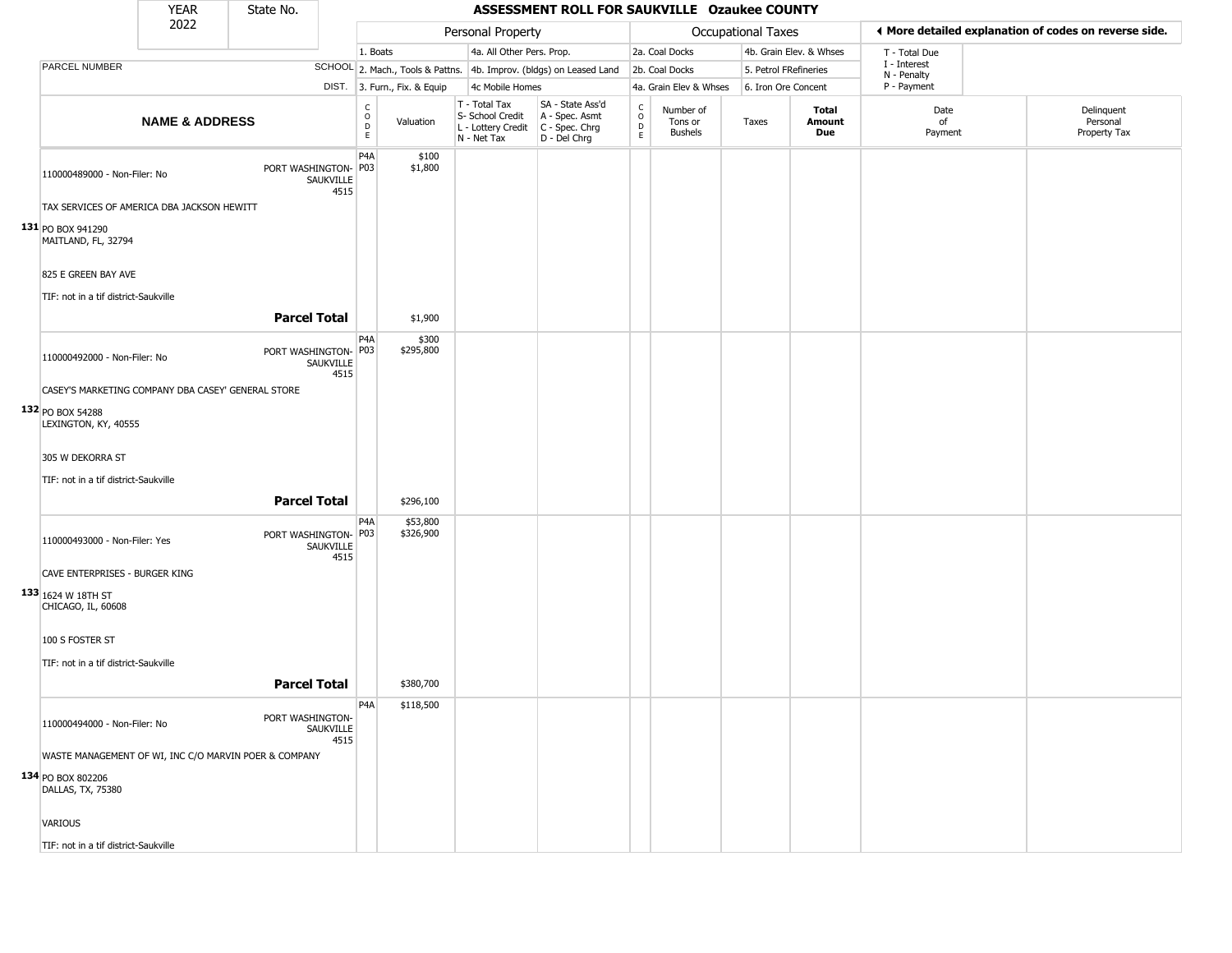|                                                       | <b>YEAR</b>               | State No.            |                   |                                                             |                                                                        | ASSESSMENT ROLL FOR SAUKVILLE Ozaukee COUNTY                         |                                    |                                        |                       |                         |                             |                                                       |
|-------------------------------------------------------|---------------------------|----------------------|-------------------|-------------------------------------------------------------|------------------------------------------------------------------------|----------------------------------------------------------------------|------------------------------------|----------------------------------------|-----------------------|-------------------------|-----------------------------|-------------------------------------------------------|
|                                                       | 2022                      |                      |                   |                                                             | Personal Property                                                      |                                                                      |                                    |                                        | Occupational Taxes    |                         |                             | ♦ More detailed explanation of codes on reverse side. |
|                                                       |                           |                      |                   | 1. Boats                                                    | 4a. All Other Pers. Prop.                                              |                                                                      |                                    | 2a. Coal Docks                         |                       | 4b. Grain Elev. & Whses | T - Total Due               |                                                       |
| PARCEL NUMBER                                         |                           |                      |                   |                                                             |                                                                        | SCHOOL 2. Mach., Tools & Pattns. 4b. Improv. (bldgs) on Leased Land  |                                    | 2b. Coal Docks                         | 5. Petrol FRefineries |                         | I - Interest<br>N - Penalty |                                                       |
|                                                       |                           |                      |                   | DIST. 3. Furn., Fix. & Equip                                | 4c Mobile Homes                                                        |                                                                      |                                    | 4a. Grain Elev & Whses                 | 6. Iron Ore Concent   |                         | P - Payment                 |                                                       |
|                                                       | <b>NAME &amp; ADDRESS</b> |                      |                   | $\begin{matrix} 0 \\ 0 \\ D \end{matrix}$<br>Valuation<br>E | T - Total Tax<br>S- School Credit<br>L - Lottery Credit<br>N - Net Tax | SA - State Ass'd<br>A - Spec. Asmt<br>C - Spec. Chrg<br>D - Del Chrg | $\rm_{o}^{c}$<br>$\mathsf{D}$<br>E | Number of<br>Tons or<br><b>Bushels</b> | Taxes                 | Total<br>Amount<br>Due  | Date<br>of<br>Payment       | Delinquent<br>Personal<br>Property Tax                |
| 110000489000 - Non-Filer: No                          |                           | PORT WASHINGTON- P03 | SAUKVILLE<br>4515 | P <sub>4</sub> A<br>\$100<br>\$1,800                        |                                                                        |                                                                      |                                    |                                        |                       |                         |                             |                                                       |
| TAX SERVICES OF AMERICA DBA JACKSON HEWITT            |                           |                      |                   |                                                             |                                                                        |                                                                      |                                    |                                        |                       |                         |                             |                                                       |
| 131 PO BOX 941290<br>MAITLAND, FL, 32794              |                           |                      |                   |                                                             |                                                                        |                                                                      |                                    |                                        |                       |                         |                             |                                                       |
| 825 E GREEN BAY AVE                                   |                           |                      |                   |                                                             |                                                                        |                                                                      |                                    |                                        |                       |                         |                             |                                                       |
| TIF: not in a tif district-Saukville                  |                           |                      |                   |                                                             |                                                                        |                                                                      |                                    |                                        |                       |                         |                             |                                                       |
|                                                       |                           | <b>Parcel Total</b>  |                   | \$1,900                                                     |                                                                        |                                                                      |                                    |                                        |                       |                         |                             |                                                       |
| 110000492000 - Non-Filer: No                          |                           | PORT WASHINGTON- P03 | SAUKVILLE<br>4515 | P4A<br>\$300<br>\$295,800                                   |                                                                        |                                                                      |                                    |                                        |                       |                         |                             |                                                       |
| CASEY'S MARKETING COMPANY DBA CASEY' GENERAL STORE    |                           |                      |                   |                                                             |                                                                        |                                                                      |                                    |                                        |                       |                         |                             |                                                       |
| 132 PO BOX 54288<br>LEXINGTON, KY, 40555              |                           |                      |                   |                                                             |                                                                        |                                                                      |                                    |                                        |                       |                         |                             |                                                       |
| 305 W DEKORRA ST                                      |                           |                      |                   |                                                             |                                                                        |                                                                      |                                    |                                        |                       |                         |                             |                                                       |
| TIF: not in a tif district-Saukville                  |                           |                      |                   |                                                             |                                                                        |                                                                      |                                    |                                        |                       |                         |                             |                                                       |
|                                                       |                           | <b>Parcel Total</b>  |                   | \$296,100                                                   |                                                                        |                                                                      |                                    |                                        |                       |                         |                             |                                                       |
| 110000493000 - Non-Filer: Yes                         |                           | PORT WASHINGTON- P03 | SAUKVILLE<br>4515 | P <sub>4</sub> A<br>\$53,800<br>\$326,900                   |                                                                        |                                                                      |                                    |                                        |                       |                         |                             |                                                       |
| CAVE ENTERPRISES - BURGER KING                        |                           |                      |                   |                                                             |                                                                        |                                                                      |                                    |                                        |                       |                         |                             |                                                       |
| 133 1624 W 18TH ST<br>CHICAGO, IL, 60608              |                           |                      |                   |                                                             |                                                                        |                                                                      |                                    |                                        |                       |                         |                             |                                                       |
| 100 S FOSTER ST                                       |                           |                      |                   |                                                             |                                                                        |                                                                      |                                    |                                        |                       |                         |                             |                                                       |
| TIF: not in a tif district-Saukville                  |                           |                      |                   |                                                             |                                                                        |                                                                      |                                    |                                        |                       |                         |                             |                                                       |
|                                                       |                           | <b>Parcel Total</b>  |                   | \$380,700                                                   |                                                                        |                                                                      |                                    |                                        |                       |                         |                             |                                                       |
| 110000494000 - Non-Filer: No                          |                           | PORT WASHINGTON-     | SAUKVILLE<br>4515 | P <sub>4</sub> A<br>\$118,500                               |                                                                        |                                                                      |                                    |                                        |                       |                         |                             |                                                       |
| WASTE MANAGEMENT OF WI, INC C/O MARVIN POER & COMPANY |                           |                      |                   |                                                             |                                                                        |                                                                      |                                    |                                        |                       |                         |                             |                                                       |
| 134 PO BOX 802206<br>DALLAS, TX, 75380                |                           |                      |                   |                                                             |                                                                        |                                                                      |                                    |                                        |                       |                         |                             |                                                       |
| <b>VARIOUS</b>                                        |                           |                      |                   |                                                             |                                                                        |                                                                      |                                    |                                        |                       |                         |                             |                                                       |
| TIF: not in a tif district-Saukville                  |                           |                      |                   |                                                             |                                                                        |                                                                      |                                    |                                        |                       |                         |                             |                                                       |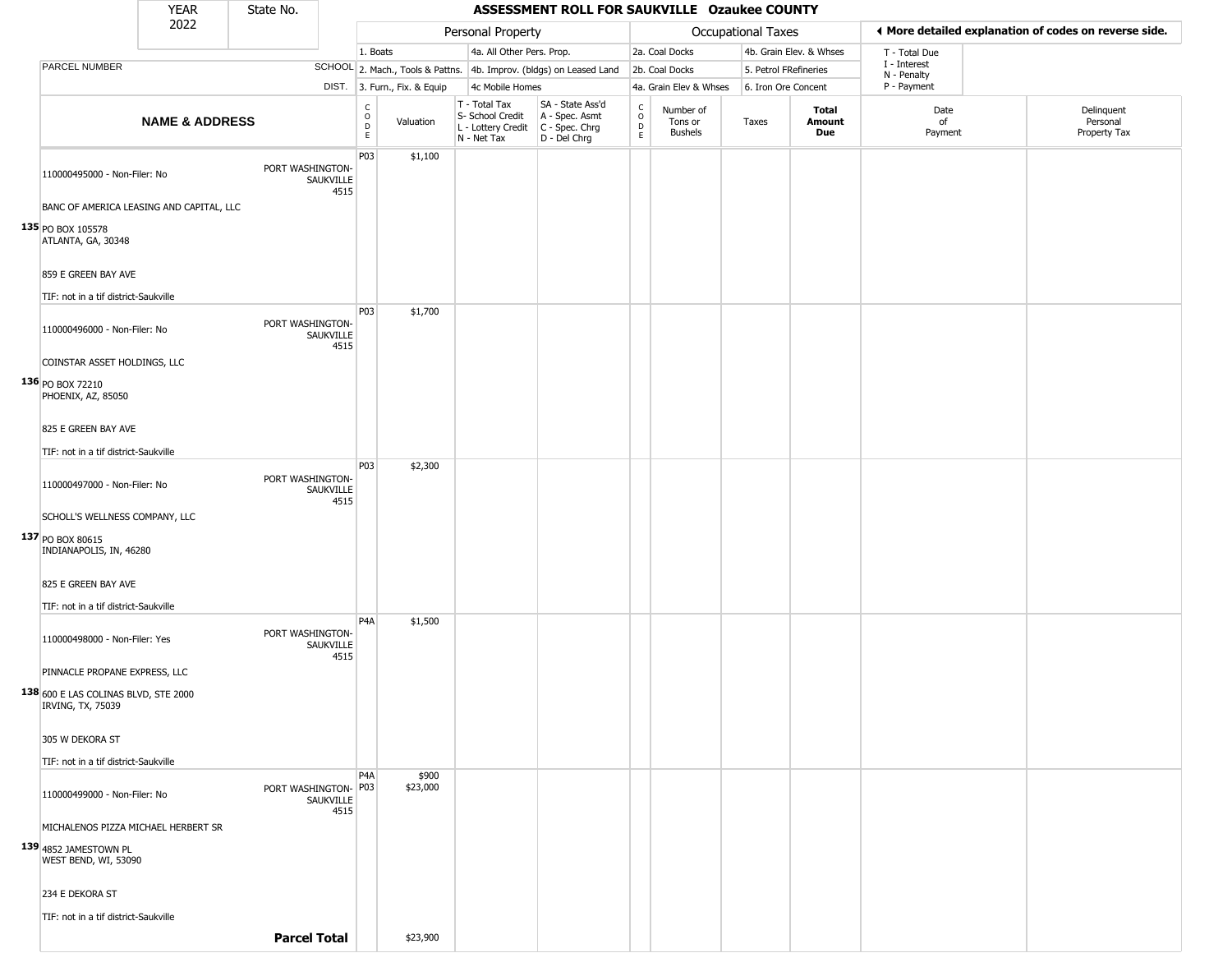|                                                           | YEAR                                     | State No.            |                   |                                                 |                              |                                                                        | ASSESSMENT ROLL FOR SAUKVILLE Ozaukee COUNTY                         |                                    |                                        |                           |                               |                             |                                                       |
|-----------------------------------------------------------|------------------------------------------|----------------------|-------------------|-------------------------------------------------|------------------------------|------------------------------------------------------------------------|----------------------------------------------------------------------|------------------------------------|----------------------------------------|---------------------------|-------------------------------|-----------------------------|-------------------------------------------------------|
|                                                           | 2022                                     |                      |                   |                                                 |                              | Personal Property                                                      |                                                                      |                                    |                                        | <b>Occupational Taxes</b> |                               |                             | ♦ More detailed explanation of codes on reverse side. |
|                                                           |                                          |                      |                   | 1. Boats                                        |                              | 4a. All Other Pers. Prop.                                              |                                                                      |                                    | 2a. Coal Docks                         |                           | 4b. Grain Elev. & Whses       | T - Total Due               |                                                       |
| PARCEL NUMBER                                             |                                          |                      |                   |                                                 |                              |                                                                        | SCHOOL 2. Mach., Tools & Pattns. 4b. Improv. (bldgs) on Leased Land  |                                    | 2b. Coal Docks                         | 5. Petrol FRefineries     |                               | I - Interest<br>N - Penalty |                                                       |
|                                                           |                                          |                      |                   |                                                 | DIST. 3. Furn., Fix. & Equip | 4c Mobile Homes                                                        |                                                                      |                                    | 4a. Grain Elev & Whses                 | 6. Iron Ore Concent       |                               | P - Payment                 |                                                       |
|                                                           | <b>NAME &amp; ADDRESS</b>                |                      |                   | $\begin{array}{c} C \\ O \\ D \\ E \end{array}$ | Valuation                    | T - Total Tax<br>S- School Credit<br>L - Lottery Credit<br>N - Net Tax | SA - State Ass'd<br>A - Spec. Asmt<br>C - Spec. Chrg<br>D - Del Chrg | $\frac{c}{0}$<br>$\mathsf D$<br>E. | Number of<br>Tons or<br><b>Bushels</b> | Taxes                     | <b>Total</b><br>Amount<br>Due | Date<br>of<br>Payment       | Delinquent<br>Personal<br>Property Tax                |
| 110000495000 - Non-Filer: No                              |                                          | PORT WASHINGTON-     | SAUKVILLE<br>4515 | P03                                             | \$1,100                      |                                                                        |                                                                      |                                    |                                        |                           |                               |                             |                                                       |
|                                                           | BANC OF AMERICA LEASING AND CAPITAL, LLC |                      |                   |                                                 |                              |                                                                        |                                                                      |                                    |                                        |                           |                               |                             |                                                       |
| 135 PO BOX 105578<br>ATLANTA, GA, 30348                   |                                          |                      |                   |                                                 |                              |                                                                        |                                                                      |                                    |                                        |                           |                               |                             |                                                       |
| 859 E GREEN BAY AVE                                       |                                          |                      |                   |                                                 |                              |                                                                        |                                                                      |                                    |                                        |                           |                               |                             |                                                       |
| TIF: not in a tif district-Saukville                      |                                          |                      |                   |                                                 |                              |                                                                        |                                                                      |                                    |                                        |                           |                               |                             |                                                       |
| 110000496000 - Non-Filer: No                              |                                          | PORT WASHINGTON-     | SAUKVILLE<br>4515 | P03                                             | \$1,700                      |                                                                        |                                                                      |                                    |                                        |                           |                               |                             |                                                       |
| COINSTAR ASSET HOLDINGS, LLC                              |                                          |                      |                   |                                                 |                              |                                                                        |                                                                      |                                    |                                        |                           |                               |                             |                                                       |
| 136 PO BOX 72210<br>PHOENIX, AZ, 85050                    |                                          |                      |                   |                                                 |                              |                                                                        |                                                                      |                                    |                                        |                           |                               |                             |                                                       |
| 825 E GREEN BAY AVE                                       |                                          |                      |                   |                                                 |                              |                                                                        |                                                                      |                                    |                                        |                           |                               |                             |                                                       |
| TIF: not in a tif district-Saukville                      |                                          |                      |                   |                                                 |                              |                                                                        |                                                                      |                                    |                                        |                           |                               |                             |                                                       |
| 110000497000 - Non-Filer: No                              |                                          | PORT WASHINGTON-     | SAUKVILLE<br>4515 | P03                                             | \$2,300                      |                                                                        |                                                                      |                                    |                                        |                           |                               |                             |                                                       |
| SCHOLL'S WELLNESS COMPANY, LLC                            |                                          |                      |                   |                                                 |                              |                                                                        |                                                                      |                                    |                                        |                           |                               |                             |                                                       |
| 137 PO BOX 80615<br>INDIANAPOLIS, IN, 46280               |                                          |                      |                   |                                                 |                              |                                                                        |                                                                      |                                    |                                        |                           |                               |                             |                                                       |
| 825 E GREEN BAY AVE                                       |                                          |                      |                   |                                                 |                              |                                                                        |                                                                      |                                    |                                        |                           |                               |                             |                                                       |
| TIF: not in a tif district-Saukville                      |                                          |                      |                   |                                                 |                              |                                                                        |                                                                      |                                    |                                        |                           |                               |                             |                                                       |
| 110000498000 - Non-Filer: Yes                             |                                          | PORT WASHINGTON-     | SAUKVILLE<br>4515 | P <sub>4</sub> A                                | \$1,500                      |                                                                        |                                                                      |                                    |                                        |                           |                               |                             |                                                       |
| PINNACLE PROPANE EXPRESS, LLC                             |                                          |                      |                   |                                                 |                              |                                                                        |                                                                      |                                    |                                        |                           |                               |                             |                                                       |
| 138 600 E LAS COLINAS BLVD, STE 2000<br>IRVING, TX, 75039 |                                          |                      |                   |                                                 |                              |                                                                        |                                                                      |                                    |                                        |                           |                               |                             |                                                       |
| 305 W DEKORA ST                                           |                                          |                      |                   |                                                 |                              |                                                                        |                                                                      |                                    |                                        |                           |                               |                             |                                                       |
| TIF: not in a tif district-Saukville                      |                                          |                      |                   |                                                 |                              |                                                                        |                                                                      |                                    |                                        |                           |                               |                             |                                                       |
| 110000499000 - Non-Filer: No                              |                                          | PORT WASHINGTON- P03 | SAUKVILLE<br>4515 | P <sub>4</sub> A                                | \$900<br>\$23,000            |                                                                        |                                                                      |                                    |                                        |                           |                               |                             |                                                       |
|                                                           | MICHALENOS PIZZA MICHAEL HERBERT SR      |                      |                   |                                                 |                              |                                                                        |                                                                      |                                    |                                        |                           |                               |                             |                                                       |
| 139 4852 JAMESTOWN PL<br>WEST BEND, WI, 53090             |                                          |                      |                   |                                                 |                              |                                                                        |                                                                      |                                    |                                        |                           |                               |                             |                                                       |
| 234 E DEKORA ST                                           |                                          |                      |                   |                                                 |                              |                                                                        |                                                                      |                                    |                                        |                           |                               |                             |                                                       |
| TIF: not in a tif district-Saukville                      |                                          |                      |                   |                                                 |                              |                                                                        |                                                                      |                                    |                                        |                           |                               |                             |                                                       |
|                                                           |                                          | <b>Parcel Total</b>  |                   |                                                 | \$23,900                     |                                                                        |                                                                      |                                    |                                        |                           |                               |                             |                                                       |
|                                                           |                                          |                      |                   |                                                 |                              |                                                                        |                                                                      |                                    |                                        |                           |                               |                             |                                                       |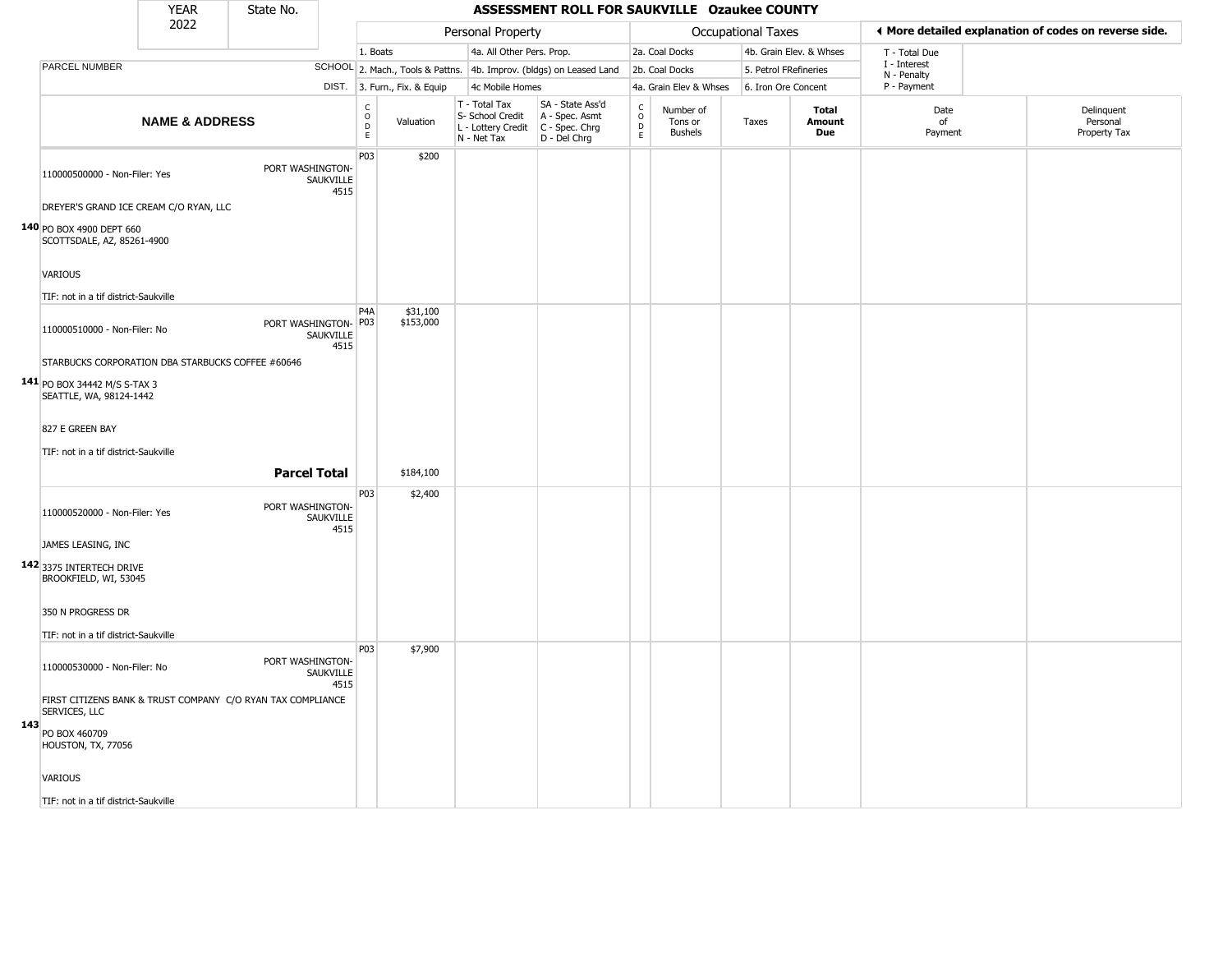|     |                                                                              | <b>YEAR</b>               | State No.            |                   |                                                       |                              |                                                                        | ASSESSMENT ROLL FOR SAUKVILLE Ozaukee COUNTY                           |                                                     |                                        |                       |                               |                             |                                                       |
|-----|------------------------------------------------------------------------------|---------------------------|----------------------|-------------------|-------------------------------------------------------|------------------------------|------------------------------------------------------------------------|------------------------------------------------------------------------|-----------------------------------------------------|----------------------------------------|-----------------------|-------------------------------|-----------------------------|-------------------------------------------------------|
|     |                                                                              | 2022                      |                      |                   |                                                       |                              | Personal Property                                                      |                                                                        |                                                     |                                        | Occupational Taxes    |                               |                             | ◀ More detailed explanation of codes on reverse side. |
|     |                                                                              |                           |                      |                   | 1. Boats                                              |                              | 4a. All Other Pers. Prop.                                              |                                                                        |                                                     | 2a. Coal Docks                         |                       | 4b. Grain Elev. & Whses       | T - Total Due               |                                                       |
|     | PARCEL NUMBER                                                                |                           |                      |                   |                                                       |                              |                                                                        | SCHOOL 2. Mach., Tools & Pattns. 4b. Improv. (bldgs) on Leased Land    |                                                     | 2b. Coal Docks                         | 5. Petrol FRefineries |                               | I - Interest<br>N - Penalty |                                                       |
|     |                                                                              |                           |                      |                   |                                                       | DIST. 3. Furn., Fix. & Equip | 4c Mobile Homes                                                        |                                                                        |                                                     | 4a. Grain Elev & Whses                 | 6. Iron Ore Concent   |                               | P - Payment                 |                                                       |
|     |                                                                              | <b>NAME &amp; ADDRESS</b> |                      |                   | $\mathsf{C}$<br>$\circ$<br>$\mathsf D$<br>$\mathsf E$ | Valuation                    | T - Total Tax<br>S- School Credit<br>L - Lottery Credit<br>N - Net Tax | SA - State Ass'd<br>A - Spec. Asmt<br>$C - Spec. Chrg$<br>D - Del Chrg | $_{\rm o}^{\rm c}$<br>$\overline{D}$<br>$\mathsf E$ | Number of<br>Tons or<br><b>Bushels</b> | Taxes                 | Total<br>Amount<br><b>Due</b> | Date<br>of<br>Payment       | Delinquent<br>Personal<br>Property Tax                |
|     | 110000500000 - Non-Filer: Yes                                                |                           | PORT WASHINGTON-     | SAUKVILLE<br>4515 | P03                                                   | \$200                        |                                                                        |                                                                        |                                                     |                                        |                       |                               |                             |                                                       |
|     | DREYER'S GRAND ICE CREAM C/O RYAN, LLC                                       |                           |                      |                   |                                                       |                              |                                                                        |                                                                        |                                                     |                                        |                       |                               |                             |                                                       |
|     | 140 PO BOX 4900 DEPT 660<br>SCOTTSDALE, AZ, 85261-4900                       |                           |                      |                   |                                                       |                              |                                                                        |                                                                        |                                                     |                                        |                       |                               |                             |                                                       |
|     | <b>VARIOUS</b>                                                               |                           |                      |                   |                                                       |                              |                                                                        |                                                                        |                                                     |                                        |                       |                               |                             |                                                       |
|     | TIF: not in a tif district-Saukville                                         |                           |                      |                   |                                                       |                              |                                                                        |                                                                        |                                                     |                                        |                       |                               |                             |                                                       |
|     | 110000510000 - Non-Filer: No                                                 |                           | PORT WASHINGTON- P03 | SAUKVILLE<br>4515 | P4A                                                   | \$31,100<br>\$153,000        |                                                                        |                                                                        |                                                     |                                        |                       |                               |                             |                                                       |
|     | STARBUCKS CORPORATION DBA STARBUCKS COFFEE #60646                            |                           |                      |                   |                                                       |                              |                                                                        |                                                                        |                                                     |                                        |                       |                               |                             |                                                       |
|     | 141 PO BOX 34442 M/S S-TAX 3<br>SEATTLE, WA, 98124-1442                      |                           |                      |                   |                                                       |                              |                                                                        |                                                                        |                                                     |                                        |                       |                               |                             |                                                       |
|     | 827 E GREEN BAY                                                              |                           |                      |                   |                                                       |                              |                                                                        |                                                                        |                                                     |                                        |                       |                               |                             |                                                       |
|     | TIF: not in a tif district-Saukville                                         |                           |                      |                   |                                                       |                              |                                                                        |                                                                        |                                                     |                                        |                       |                               |                             |                                                       |
|     |                                                                              |                           | <b>Parcel Total</b>  |                   |                                                       | \$184,100                    |                                                                        |                                                                        |                                                     |                                        |                       |                               |                             |                                                       |
|     | 110000520000 - Non-Filer: Yes                                                |                           | PORT WASHINGTON-     | SAUKVILLE<br>4515 | P03                                                   | \$2,400                      |                                                                        |                                                                        |                                                     |                                        |                       |                               |                             |                                                       |
|     | JAMES LEASING, INC                                                           |                           |                      |                   |                                                       |                              |                                                                        |                                                                        |                                                     |                                        |                       |                               |                             |                                                       |
|     | 142 3375 INTERTECH DRIVE<br>BROOKFIELD, WI, 53045                            |                           |                      |                   |                                                       |                              |                                                                        |                                                                        |                                                     |                                        |                       |                               |                             |                                                       |
|     | 350 N PROGRESS DR                                                            |                           |                      |                   |                                                       |                              |                                                                        |                                                                        |                                                     |                                        |                       |                               |                             |                                                       |
|     | TIF: not in a tif district-Saukville                                         |                           |                      |                   |                                                       |                              |                                                                        |                                                                        |                                                     |                                        |                       |                               |                             |                                                       |
|     | 110000530000 - Non-Filer: No                                                 |                           | PORT WASHINGTON-     | SAUKVILLE<br>4515 | P03                                                   | \$7,900                      |                                                                        |                                                                        |                                                     |                                        |                       |                               |                             |                                                       |
|     | FIRST CITIZENS BANK & TRUST COMPANY C/O RYAN TAX COMPLIANCE<br>SERVICES, LLC |                           |                      |                   |                                                       |                              |                                                                        |                                                                        |                                                     |                                        |                       |                               |                             |                                                       |
| 143 | PO BOX 460709<br>HOUSTON, TX, 77056                                          |                           |                      |                   |                                                       |                              |                                                                        |                                                                        |                                                     |                                        |                       |                               |                             |                                                       |
|     | VARIOUS                                                                      |                           |                      |                   |                                                       |                              |                                                                        |                                                                        |                                                     |                                        |                       |                               |                             |                                                       |
|     | TIF: not in a tif district-Saukville                                         |                           |                      |                   |                                                       |                              |                                                                        |                                                                        |                                                     |                                        |                       |                               |                             |                                                       |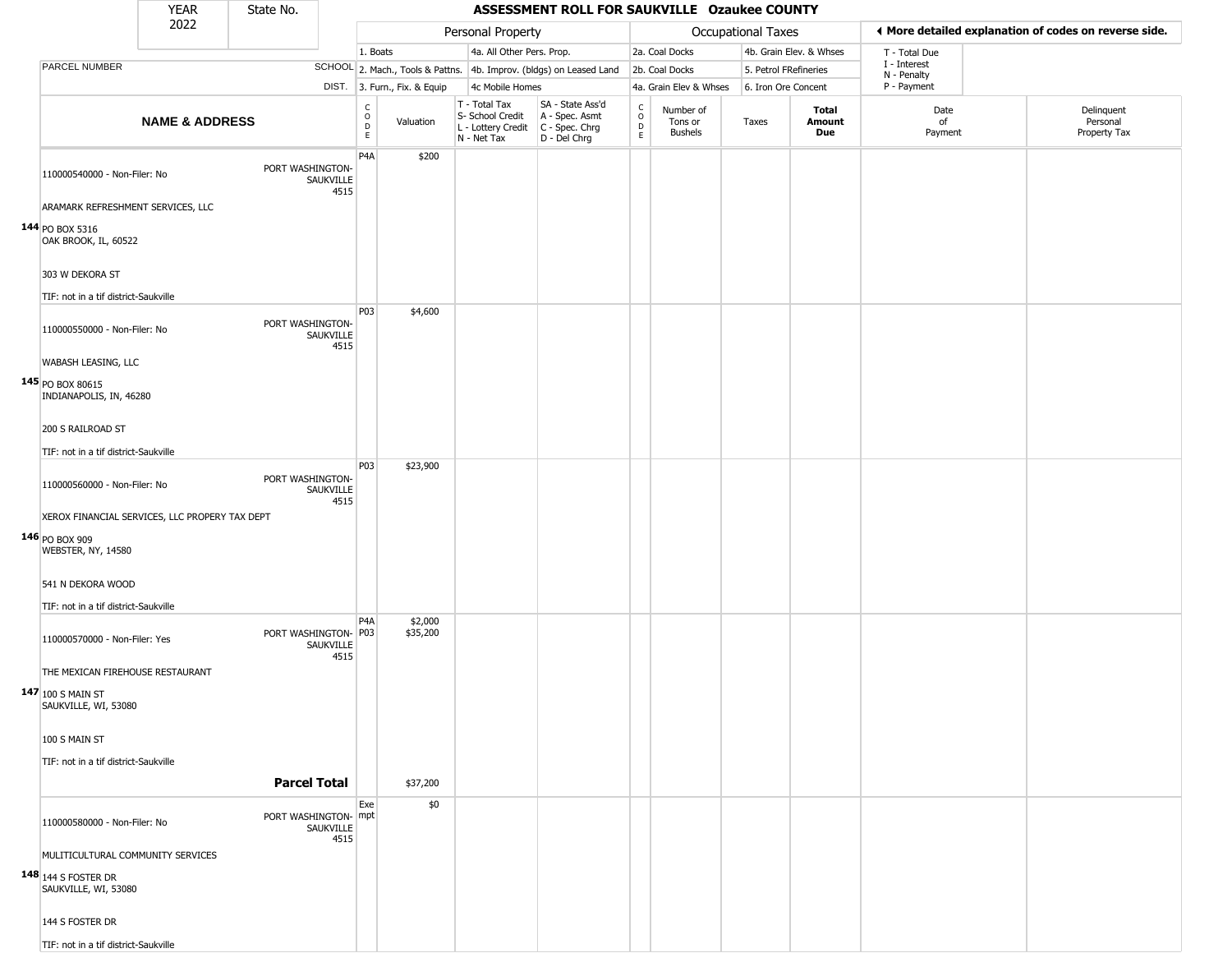|                                                    | YEAR                      | State No.            |                   |                                |                              |                                                                        | ASSESSMENT ROLL FOR SAUKVILLE Ozaukee COUNTY                         |                      |                                        |                           |                         |                             |                                                       |
|----------------------------------------------------|---------------------------|----------------------|-------------------|--------------------------------|------------------------------|------------------------------------------------------------------------|----------------------------------------------------------------------|----------------------|----------------------------------------|---------------------------|-------------------------|-----------------------------|-------------------------------------------------------|
|                                                    | 2022                      |                      |                   |                                |                              | Personal Property                                                      |                                                                      |                      |                                        | <b>Occupational Taxes</b> |                         |                             | ♦ More detailed explanation of codes on reverse side. |
|                                                    |                           |                      |                   | 1. Boats                       |                              | 4a. All Other Pers. Prop.                                              |                                                                      |                      | 2a. Coal Docks                         |                           | 4b. Grain Elev. & Whses | T - Total Due               |                                                       |
| <b>PARCEL NUMBER</b>                               |                           |                      |                   |                                |                              |                                                                        | SCHOOL 2. Mach., Tools & Pattns. 4b. Improv. (bldgs) on Leased Land  |                      | 2b. Coal Docks                         | 5. Petrol FRefineries     |                         | I - Interest<br>N - Penalty |                                                       |
|                                                    |                           |                      |                   |                                | DIST. 3. Furn., Fix. & Equip | 4c Mobile Homes                                                        |                                                                      |                      | 4a. Grain Elev & Whses                 | 6. Iron Ore Concent       |                         | P - Payment                 |                                                       |
|                                                    | <b>NAME &amp; ADDRESS</b> |                      |                   | $\rm _o^C$<br>$\mathsf D$<br>E | Valuation                    | T - Total Tax<br>S- School Credit<br>L - Lottery Credit<br>N - Net Tax | SA - State Ass'd<br>A - Spec. Asmt<br>C - Spec. Chrg<br>D - Del Chrg | $\rm _o^c$<br>D<br>E | Number of<br>Tons or<br><b>Bushels</b> | Taxes                     | Total<br>Amount<br>Due  | Date<br>of<br>Payment       | Delinquent<br>Personal<br>Property Tax                |
| 110000540000 - Non-Filer: No                       |                           | PORT WASHINGTON-     | SAUKVILLE<br>4515 | P <sub>4</sub> A               | \$200                        |                                                                        |                                                                      |                      |                                        |                           |                         |                             |                                                       |
| ARAMARK REFRESHMENT SERVICES, LLC                  |                           |                      |                   |                                |                              |                                                                        |                                                                      |                      |                                        |                           |                         |                             |                                                       |
| 144 PO BOX 5316<br>OAK BROOK, IL, 60522            |                           |                      |                   |                                |                              |                                                                        |                                                                      |                      |                                        |                           |                         |                             |                                                       |
| 303 W DEKORA ST                                    |                           |                      |                   |                                |                              |                                                                        |                                                                      |                      |                                        |                           |                         |                             |                                                       |
| TIF: not in a tif district-Saukville               |                           |                      |                   |                                |                              |                                                                        |                                                                      |                      |                                        |                           |                         |                             |                                                       |
| 110000550000 - Non-Filer: No                       |                           | PORT WASHINGTON-     | SAUKVILLE<br>4515 | <b>P03</b>                     | \$4,600                      |                                                                        |                                                                      |                      |                                        |                           |                         |                             |                                                       |
| WABASH LEASING, LLC                                |                           |                      |                   |                                |                              |                                                                        |                                                                      |                      |                                        |                           |                         |                             |                                                       |
| 145 PO BOX 80615<br>INDIANAPOLIS, IN, 46280        |                           |                      |                   |                                |                              |                                                                        |                                                                      |                      |                                        |                           |                         |                             |                                                       |
| 200 S RAILROAD ST                                  |                           |                      |                   |                                |                              |                                                                        |                                                                      |                      |                                        |                           |                         |                             |                                                       |
| TIF: not in a tif district-Saukville               |                           |                      |                   |                                |                              |                                                                        |                                                                      |                      |                                        |                           |                         |                             |                                                       |
| 110000560000 - Non-Filer: No                       |                           | PORT WASHINGTON-     | SAUKVILLE<br>4515 | P03                            | \$23,900                     |                                                                        |                                                                      |                      |                                        |                           |                         |                             |                                                       |
| XEROX FINANCIAL SERVICES, LLC PROPERY TAX DEPT     |                           |                      |                   |                                |                              |                                                                        |                                                                      |                      |                                        |                           |                         |                             |                                                       |
| $146$ PO BOX 909<br>WEBSTER, NY, 14580             |                           |                      |                   |                                |                              |                                                                        |                                                                      |                      |                                        |                           |                         |                             |                                                       |
| 541 N DEKORA WOOD                                  |                           |                      |                   |                                |                              |                                                                        |                                                                      |                      |                                        |                           |                         |                             |                                                       |
| TIF: not in a tif district-Saukville               |                           |                      |                   |                                |                              |                                                                        |                                                                      |                      |                                        |                           |                         |                             |                                                       |
| 110000570000 - Non-Filer: Yes                      |                           | PORT WASHINGTON-     | SAUKVILLE<br>4515 | P4A<br>P03                     | \$2,000<br>\$35,200          |                                                                        |                                                                      |                      |                                        |                           |                         |                             |                                                       |
| THE MEXICAN FIREHOUSE RESTAURANT                   |                           |                      |                   |                                |                              |                                                                        |                                                                      |                      |                                        |                           |                         |                             |                                                       |
| $147 100$ S MAIN ST<br>SAUKVILLE, WI, 53080        |                           |                      |                   |                                |                              |                                                                        |                                                                      |                      |                                        |                           |                         |                             |                                                       |
| 100 S MAIN ST                                      |                           |                      |                   |                                |                              |                                                                        |                                                                      |                      |                                        |                           |                         |                             |                                                       |
| TIF: not in a tif district-Saukville               |                           |                      |                   |                                |                              |                                                                        |                                                                      |                      |                                        |                           |                         |                             |                                                       |
|                                                    |                           | <b>Parcel Total</b>  |                   |                                | \$37,200                     |                                                                        |                                                                      |                      |                                        |                           |                         |                             |                                                       |
| 110000580000 - Non-Filer: No                       |                           | PORT WASHINGTON- mpt | SAUKVILLE<br>4515 | Exe                            | \$0                          |                                                                        |                                                                      |                      |                                        |                           |                         |                             |                                                       |
| MULITICULTURAL COMMUNITY SERVICES                  |                           |                      |                   |                                |                              |                                                                        |                                                                      |                      |                                        |                           |                         |                             |                                                       |
| <b>148</b> 144 S FOSTER DR<br>SAUKVILLE, WI, 53080 |                           |                      |                   |                                |                              |                                                                        |                                                                      |                      |                                        |                           |                         |                             |                                                       |
| 144 S FOSTER DR                                    |                           |                      |                   |                                |                              |                                                                        |                                                                      |                      |                                        |                           |                         |                             |                                                       |
| TIF: not in a tif district-Saukville               |                           |                      |                   |                                |                              |                                                                        |                                                                      |                      |                                        |                           |                         |                             |                                                       |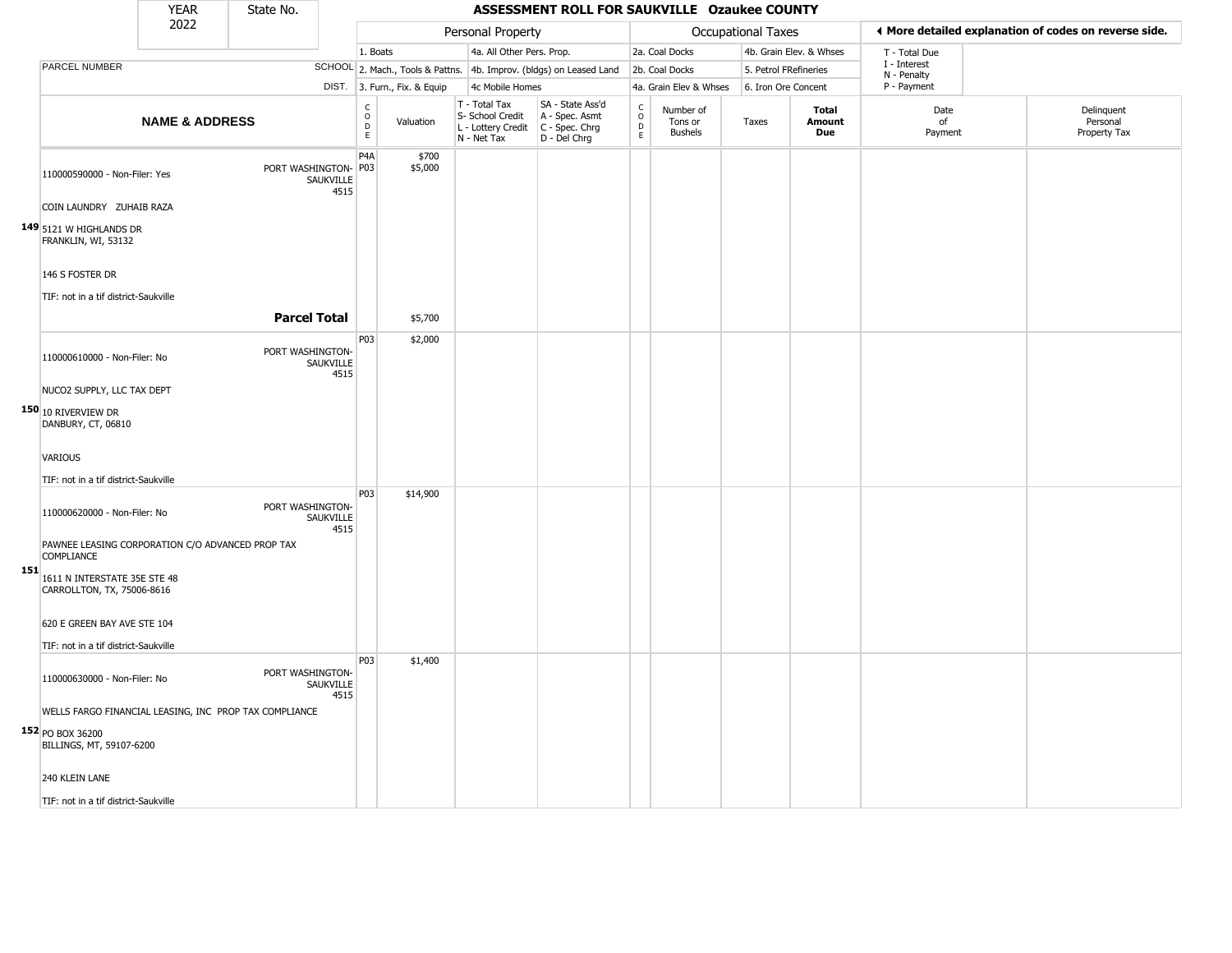|     |                                                                       | <b>YEAR</b>               | State No.            |                   |                               |                              |                                                                        | ASSESSMENT ROLL FOR SAUKVILLE Ozaukee COUNTY                         |                                             |                                        |                           |                         |                             |                                                       |
|-----|-----------------------------------------------------------------------|---------------------------|----------------------|-------------------|-------------------------------|------------------------------|------------------------------------------------------------------------|----------------------------------------------------------------------|---------------------------------------------|----------------------------------------|---------------------------|-------------------------|-----------------------------|-------------------------------------------------------|
|     |                                                                       | 2022                      |                      |                   |                               |                              | Personal Property                                                      |                                                                      |                                             |                                        | <b>Occupational Taxes</b> |                         |                             | ◀ More detailed explanation of codes on reverse side. |
|     |                                                                       |                           |                      |                   | 1. Boats                      |                              | 4a. All Other Pers. Prop.                                              |                                                                      |                                             | 2a. Coal Docks                         |                           | 4b. Grain Elev. & Whses | T - Total Due               |                                                       |
|     | PARCEL NUMBER                                                         |                           |                      |                   |                               |                              |                                                                        | SCHOOL 2. Mach., Tools & Pattns. 4b. Improv. (bldgs) on Leased Land  |                                             | 2b. Coal Docks                         | 5. Petrol FRefineries     |                         | I - Interest<br>N - Penalty |                                                       |
|     |                                                                       |                           |                      |                   |                               | DIST. 3. Furn., Fix. & Equip | 4c Mobile Homes                                                        |                                                                      |                                             | 4a. Grain Elev & Whses                 | 6. Iron Ore Concent       |                         | P - Payment                 |                                                       |
|     |                                                                       | <b>NAME &amp; ADDRESS</b> |                      |                   | $\overline{0}$<br>$\mathsf E$ | Valuation                    | T - Total Tax<br>S- School Credit<br>L - Lottery Credit<br>N - Net Tax | SA - State Ass'd<br>A - Spec. Asmt<br>C - Spec. Chrg<br>D - Del Chrg | $\mathsf{C}$<br>$\overline{D}$<br>$\bar{E}$ | Number of<br>Tons or<br><b>Bushels</b> | Taxes                     | Total<br>Amount<br>Due  | Date<br>of<br>Payment       | Delinquent<br>Personal<br>Property Tax                |
|     | 110000590000 - Non-Filer: Yes                                         |                           | PORT WASHINGTON- P03 | SAUKVILLE<br>4515 | P4A                           | \$700<br>\$5,000             |                                                                        |                                                                      |                                             |                                        |                           |                         |                             |                                                       |
|     | COIN LAUNDRY ZUHAIB RAZA                                              |                           |                      |                   |                               |                              |                                                                        |                                                                      |                                             |                                        |                           |                         |                             |                                                       |
|     | 149 5121 W HIGHLANDS DR<br>FRANKLIN, WI, 53132                        |                           |                      |                   |                               |                              |                                                                        |                                                                      |                                             |                                        |                           |                         |                             |                                                       |
|     | 146 S FOSTER DR                                                       |                           |                      |                   |                               |                              |                                                                        |                                                                      |                                             |                                        |                           |                         |                             |                                                       |
|     | TIF: not in a tif district-Saukville                                  |                           |                      |                   |                               |                              |                                                                        |                                                                      |                                             |                                        |                           |                         |                             |                                                       |
|     |                                                                       |                           | <b>Parcel Total</b>  |                   |                               | \$5,700                      |                                                                        |                                                                      |                                             |                                        |                           |                         |                             |                                                       |
|     | 110000610000 - Non-Filer: No                                          |                           | PORT WASHINGTON-     | SAUKVILLE<br>4515 | P03                           | \$2,000                      |                                                                        |                                                                      |                                             |                                        |                           |                         |                             |                                                       |
|     | NUCO2 SUPPLY, LLC TAX DEPT                                            |                           |                      |                   |                               |                              |                                                                        |                                                                      |                                             |                                        |                           |                         |                             |                                                       |
|     | 150 10 RIVERVIEW DR<br>DANBURY, CT, 06810                             |                           |                      |                   |                               |                              |                                                                        |                                                                      |                                             |                                        |                           |                         |                             |                                                       |
|     | <b>VARIOUS</b>                                                        |                           |                      |                   |                               |                              |                                                                        |                                                                      |                                             |                                        |                           |                         |                             |                                                       |
|     |                                                                       |                           |                      |                   |                               |                              |                                                                        |                                                                      |                                             |                                        |                           |                         |                             |                                                       |
|     | TIF: not in a tif district-Saukville                                  |                           |                      |                   |                               |                              |                                                                        |                                                                      |                                             |                                        |                           |                         |                             |                                                       |
|     | 110000620000 - Non-Filer: No                                          |                           | PORT WASHINGTON-     | SAUKVILLE<br>4515 | P03                           | \$14,900                     |                                                                        |                                                                      |                                             |                                        |                           |                         |                             |                                                       |
| 151 | PAWNEE LEASING CORPORATION C/O ADVANCED PROP TAX<br><b>COMPLIANCE</b> |                           |                      |                   |                               |                              |                                                                        |                                                                      |                                             |                                        |                           |                         |                             |                                                       |
|     | 1611 N INTERSTATE 35E STE 48<br>CARROLLTON, TX, 75006-8616            |                           |                      |                   |                               |                              |                                                                        |                                                                      |                                             |                                        |                           |                         |                             |                                                       |
|     | 620 E GREEN BAY AVE STE 104                                           |                           |                      |                   |                               |                              |                                                                        |                                                                      |                                             |                                        |                           |                         |                             |                                                       |
|     | TIF: not in a tif district-Saukville                                  |                           |                      |                   | P03                           | \$1,400                      |                                                                        |                                                                      |                                             |                                        |                           |                         |                             |                                                       |
|     | 110000630000 - Non-Filer: No                                          |                           | PORT WASHINGTON-     | SAUKVILLE<br>4515 |                               |                              |                                                                        |                                                                      |                                             |                                        |                           |                         |                             |                                                       |
|     | WELLS FARGO FINANCIAL LEASING, INC PROP TAX COMPLIANCE                |                           |                      |                   |                               |                              |                                                                        |                                                                      |                                             |                                        |                           |                         |                             |                                                       |
|     | 152 PO BOX 36200<br>BILLINGS, MT, 59107-6200                          |                           |                      |                   |                               |                              |                                                                        |                                                                      |                                             |                                        |                           |                         |                             |                                                       |
|     | 240 KLEIN LANE                                                        |                           |                      |                   |                               |                              |                                                                        |                                                                      |                                             |                                        |                           |                         |                             |                                                       |
|     | TIF: not in a tif district-Saukville                                  |                           |                      |                   |                               |                              |                                                                        |                                                                      |                                             |                                        |                           |                         |                             |                                                       |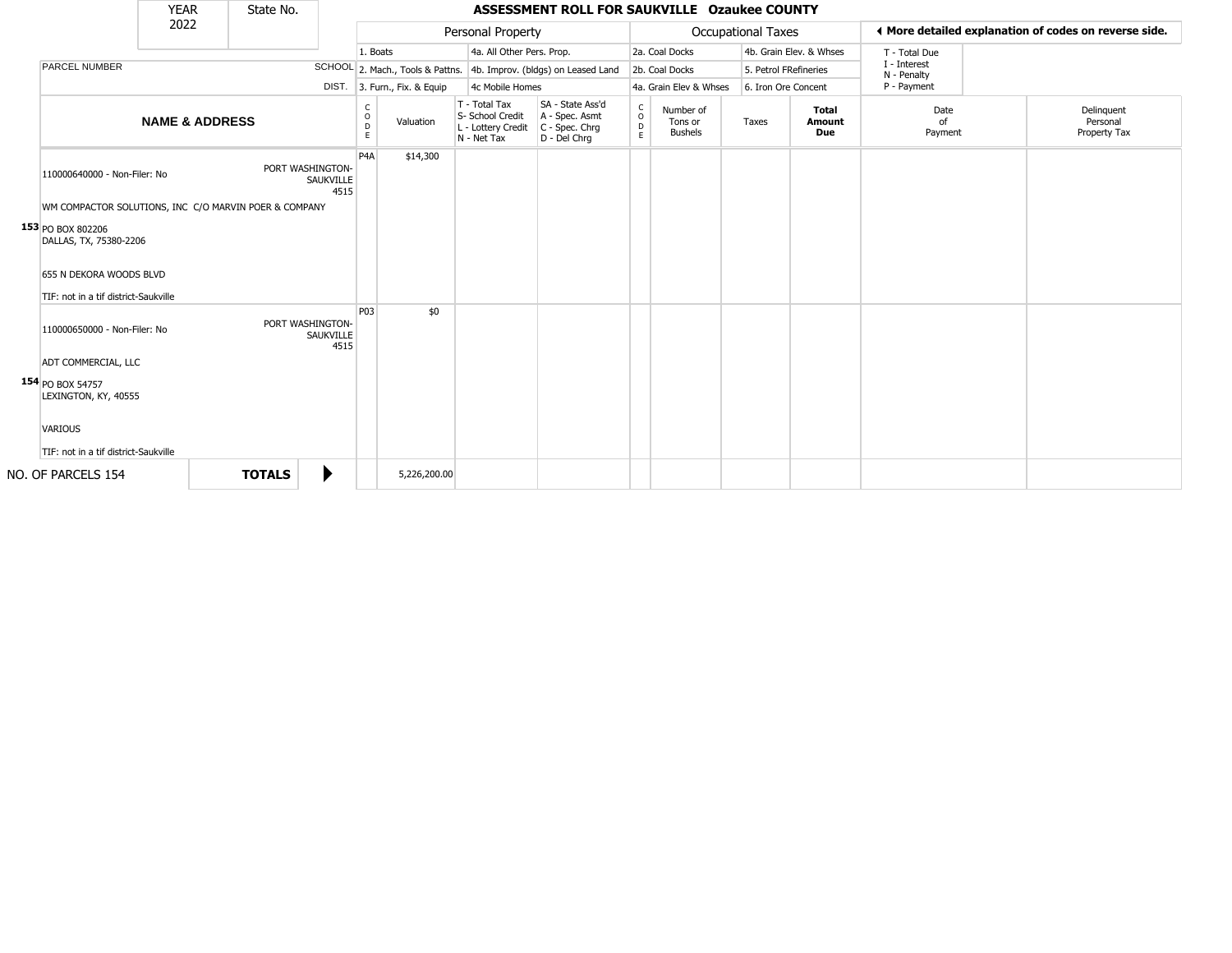|                                                                                                                                                                                                   | <b>YEAR</b>               | State No.        |                   |                  |                                  |                                                                        | ASSESSMENT ROLL FOR SAUKVILLE Ozaukee COUNTY                         |                                   |                                        |                       |                         |                             |                                                       |
|---------------------------------------------------------------------------------------------------------------------------------------------------------------------------------------------------|---------------------------|------------------|-------------------|------------------|----------------------------------|------------------------------------------------------------------------|----------------------------------------------------------------------|-----------------------------------|----------------------------------------|-----------------------|-------------------------|-----------------------------|-------------------------------------------------------|
|                                                                                                                                                                                                   | 2022                      |                  |                   |                  |                                  | Personal Property                                                      |                                                                      |                                   |                                        | Occupational Taxes    |                         |                             | ♦ More detailed explanation of codes on reverse side. |
|                                                                                                                                                                                                   |                           |                  |                   | 1. Boats         |                                  | 4a. All Other Pers. Prop.                                              |                                                                      |                                   | 2a. Coal Docks                         |                       | 4b. Grain Elev. & Whses | T - Total Due               |                                                       |
| <b>PARCEL NUMBER</b>                                                                                                                                                                              |                           |                  |                   |                  | SCHOOL 2. Mach., Tools & Pattns. |                                                                        | 4b. Improv. (bldgs) on Leased Land                                   |                                   | 2b. Coal Docks                         | 5. Petrol FRefineries |                         | I - Interest<br>N - Penalty |                                                       |
|                                                                                                                                                                                                   |                           |                  |                   |                  | DIST. 3. Furn., Fix. & Equip     | 4c Mobile Homes                                                        |                                                                      |                                   | 4a. Grain Elev & Whses                 | 6. Iron Ore Concent   |                         | P - Payment                 |                                                       |
|                                                                                                                                                                                                   | <b>NAME &amp; ADDRESS</b> |                  |                   | C<br>0<br>D<br>E | Valuation                        | T - Total Tax<br>S- School Credit<br>L - Lottery Credit<br>N - Net Tax | SA - State Ass'd<br>A - Spec. Asmt<br>C - Spec. Chrg<br>D - Del Chrq | C<br>$\circ$<br>$\mathsf{D}$<br>E | Number of<br>Tons or<br><b>Bushels</b> | Taxes                 | Total<br>Amount<br>Due  | Date<br>of<br>Payment       | Delinguent<br>Personal<br>Property Tax                |
| 110000640000 - Non-Filer: No<br>WM COMPACTOR SOLUTIONS, INC C/O MARVIN POER & COMPANY<br>153 PO BOX 802206<br>DALLAS, TX, 75380-2206<br>655 N DEKORA WOODS BLVD                                   |                           | PORT WASHINGTON- | SAUKVILLE<br>4515 | P <sub>4</sub> A | \$14,300                         |                                                                        |                                                                      |                                   |                                        |                       |                         |                             |                                                       |
| TIF: not in a tif district-Saukville<br>110000650000 - Non-Filer: No<br>ADT COMMERCIAL, LLC<br>154 PO BOX 54757<br>LEXINGTON, KY, 40555<br><b>VARIOUS</b><br>TIF: not in a tif district-Saukville |                           | PORT WASHINGTON- | SAUKVILLE<br>4515 | P <sub>03</sub>  | \$0                              |                                                                        |                                                                      |                                   |                                        |                       |                         |                             |                                                       |
| NO. OF PARCELS 154                                                                                                                                                                                |                           | <b>TOTALS</b>    | ▶                 |                  | 5,226,200.00                     |                                                                        |                                                                      |                                   |                                        |                       |                         |                             |                                                       |